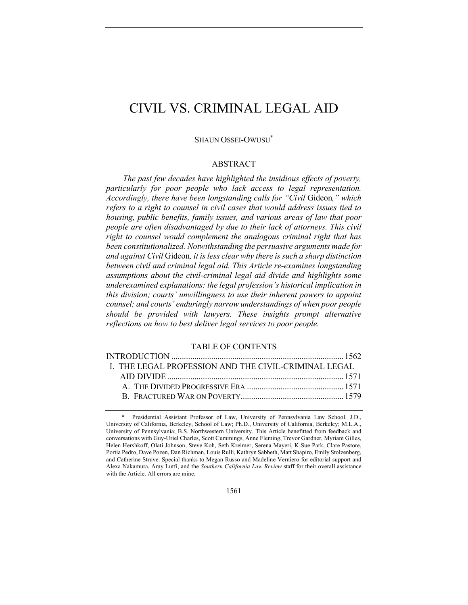# CIVIL VS. CRIMINAL LEGAL AID

#### SHAUN OSSEI-OWUSU\*

# ABSTRACT

*The past few decades have highlighted the insidious effects of poverty, particularly for poor people who lack access to legal representation. Accordingly, there have been longstanding calls for "Civil* Gideon*," which*  refers to a right to counsel in civil cases that would address issues tied to *housing, public benefits, family issues, and various areas of law that poor people are often disadvantaged by due to their lack of attorneys. This civil right to counsel would complement the analogous criminal right that has been constitutionalized. Notwithstanding the persuasive arguments made for and against Civil* Gideon*, it is less clear why there is such a sharp distinction between civil and criminal legal aid. This Article re-examines longstanding assumptions about the civil-criminal legal aid divide and highlights some underexamined explanations: the legal profession's historical implication in this division; courts' unwillingness to use their inherent powers to appoint counsel; and courts' enduringly narrow understandings of when poor people should be provided with lawyers. These insights prompt alternative reflections on how to best deliver legal services to poor people.*

#### TABLE OF CONTENTS

| I. THE LEGAL PROFESSION AND THE CIVIL-CRIMINAL LEGAL |  |
|------------------------------------------------------|--|
|                                                      |  |
|                                                      |  |
|                                                      |  |
|                                                      |  |

<sup>\*</sup> Presidential Assistant Professor of Law, University of Pennsylvania Law School. J.D., University of California, Berkeley, School of Law; Ph.D., University of California, Berkeley; M.L.A., University of Pennsylvania; B.S. Northwestern University. This Article benefitted from feedback and conversations with Guy-Uriel Charles, Scott Cummings, Anne Fleming, Trevor Gardner, Myriam Gilles, Helen Hershkoff, Olati Johnson, Steve Koh, Seth Kreimer, Serena Mayeri, K-Sue Park, Clare Pastore, Portia Pedro, Dave Pozen, Dan Richman, Louis Rulli, Kathryn Sabbeth, Matt Shapiro, Emily Stolzenberg, and Catherine Struve. Special thanks to Megan Russo and Madeline Verniero for editorial support and Alexa Nakamura, Amy Lutfi, and the *Southern California Law Review* staff for their overall assistance with the Article. All errors are mine.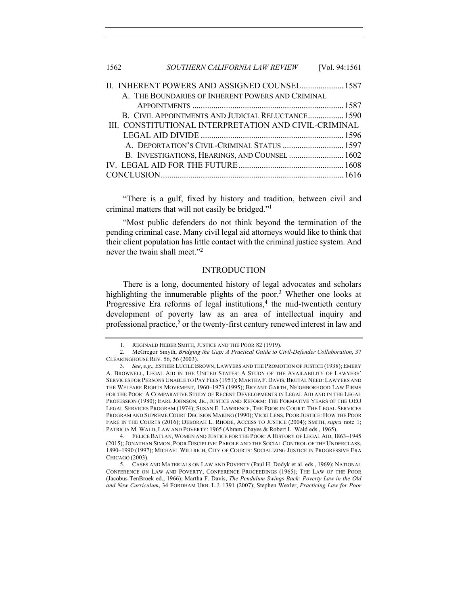| 1562 | SOUTHERN CALIFORNIA LAW REVIEW | [Vol. 94:1561] |
|------|--------------------------------|----------------|
|      |                                |                |

| II. INHERENT POWERS AND ASSIGNED COUNSEL 1587         |  |
|-------------------------------------------------------|--|
| A. THE BOUNDARIES OF INHERENT POWERS AND CRIMINAL     |  |
|                                                       |  |
| B. CIVIL APPOINTMENTS AND JUDICIAL RELUCTANCE 1590    |  |
| III. CONSTITUTIONAL INTERPRETATION AND CIVIL-CRIMINAL |  |
|                                                       |  |
| A. DEPORTATION'S CIVIL-CRIMINAL STATUS  1597          |  |
| B. INVESTIGATIONS, HEARINGS, AND COUNSEL  1602        |  |
|                                                       |  |
|                                                       |  |

"There is a gulf, fixed by history and tradition, between civil and criminal matters that will not easily be bridged."1

"Most public defenders do not think beyond the termination of the pending criminal case. Many civil legal aid attorneys would like to think that their client population has little contact with the criminal justice system. And never the twain shall meet."<sup>2</sup>

#### INTRODUCTION

There is a long, documented history of legal advocates and scholars highlighting the innumerable plights of the poor.<sup>3</sup> Whether one looks at Progressive Era reforms of legal institutions, $4$  the mid-twentieth century development of poverty law as an area of intellectual inquiry and professional practice,<sup>5</sup> or the twenty-first century renewed interest in law and

4. FELICE BATLAN, WOMEN AND JUSTICE FOR THE POOR: A HISTORY OF LEGAL AID, 1863–1945 (2015); JONATHAN SIMON, POOR DISCIPLINE: PAROLE AND THE SOCIAL CONTROL OF THE UNDERCLASS, 1890–1990 (1997); MICHAEL WILLRICH, CITY OF COURTS: SOCIALIZING JUSTICE IN PROGRESSIVE ERA CHICAGO (2003).

5. CASES AND MATERIALS ON LAW AND POVERTY (Paul H. Dodyk et al. eds., 1969); NATIONAL CONFERENCE ON LAW AND POVERTY, CONFERENCE PROCEEDINGS (1965); THE LAW OF THE POOR (Jacobus TenBroek ed., 1966); Martha F. Davis, *The Pendulum Swings Back: Poverty Law in the Old and New Curriculum*, 34 FORDHAM URB. L.J. 1391 (2007); Stephen Wexler, *Practicing Law for Poor* 

<sup>1.</sup> REGINALD HEBER SMITH, JUSTICE AND THE POOR 82 (1919).

<sup>2.</sup> McGregor Smyth, *Bridging the Gap: A Practical Guide to Civil-Defender Collaboration*, 37 CLEARINGHOUSE REV. 56, 56 (2003).

<sup>3</sup>*. See*, *e.g*., ESTHER LUCILE BROWN, LAWYERS AND THE PROMOTION OF JUSTICE (1938); EMERY A. BROWNELL, LEGAL AID IN THE UNITED STATES: A STUDY OF THE AVAILABILITY OF LAWYERS' SERVICES FOR PERSONS UNABLE TO PAY FEES (1951); MARTHA F. DAVIS, BRUTAL NEED: LAWYERS AND THE WELFARE RIGHTS MOVEMENT, 1960–1973 (1995); BRYANT GARTH, NEIGHBORHOOD LAW FIRMS FOR THE POOR: A COMPARATIVE STUDY OF RECENT DEVELOPMENTS IN LEGAL AID AND IN THE LEGAL PROFESSION (1980); EARL JOHNSON, JR., JUSTICE AND REFORM: THE FORMATIVE YEARS OF THE OEO LEGAL SERVICES PROGRAM (1974); SUSAN E. LAWRENCE, THE POOR IN COURT: THE LEGAL SERVICES PROGRAM AND SUPREME COURT DECISION MAKING (1990); VICKI LENS, POOR JUSTICE: HOW THE POOR FARE IN THE COURTS (2016); DEBORAH L. RHODE, ACCESS TO JUSTICE (2004); SMITH, *supra* note 1; PATRICIA M. WALD, LAW AND POVERTY: 1965 (Abram Chayes & Robert L. Wald eds., 1965).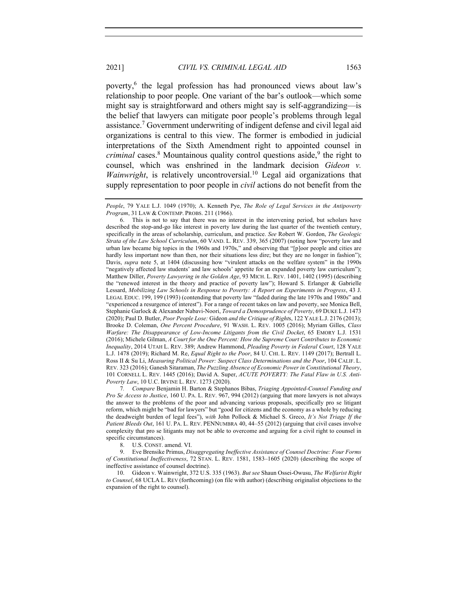poverty,6 the legal profession has had pronounced views about law's relationship to poor people. One variant of the bar's outlook—which some might say is straightforward and others might say is self-aggrandizing—is the belief that lawyers can mitigate poor people's problems through legal assistance.<sup>7</sup> Government underwriting of indigent defense and civil legal aid organizations is central to this view. The former is embodied in judicial interpretations of the Sixth Amendment right to appointed counsel in *criminal* cases.<sup>8</sup> Mountainous quality control questions aside,<sup>9</sup> the right to counsel, which was enshrined in the landmark decision *Gideon v. Wainwright*, is relatively uncontroversial.<sup>10</sup> Legal aid organizations that supply representation to poor people in *civil* actions do not benefit from the

6. This is not to say that there was no interest in the intervening period, but scholars have described the stop-and-go like interest in poverty law during the last quarter of the twentieth century, specifically in the areas of scholarship, curriculum, and practice. *See* Robert W. Gordon, *The Geologic Strata of the Law School Curriculum*, 60 VAND. L. REV. 339, 365 (2007) (noting how "poverty law and urban law became big topics in the 1960s and 1970s," and observing that "[p]oor people and cities are hardly less important now than then, nor their situations less dire; but they are no longer in fashion"); Davis, *supra* note 5, at 1404 (discussing how "virulent attacks on the welfare system" in the 1990s "negatively affected law students' and law schools' appetite for an expanded poverty law curriculum"); Matthew Diller, *Poverty Lawyering in the Golden Age*, 93 MICH. L. REV. 1401, 1402 (1995) (describing the "renewed interest in the theory and practice of poverty law"); Howard S. Erlanger & Gabrielle Lessard, *Mobilizing Law Schools in Response to Poverty: A Report on Experiments in Progress*, 43 J. LEGAL EDUC. 199, 199 (1993) (contending that poverty law "faded during the late 1970s and 1980s" and "experienced a resurgence of interest"). For a range of recent takes on law and poverty, see Monica Bell, Stephanie Garlock & Alexander Nabavi-Noori, *Toward a Demosprudence of Poverty*, 69 DUKE L.J. 1473 (2020); Paul D. Butler, *Poor People Lose:* Gideon *and the Critique of Right*s, 122 YALE L.J. 2176 (2013); Brooke D. Coleman, *One Percent Procedure*, 91 WASH. L. REV. 1005 (2016); Myriam Gilles, *Class Warfare: The Disappearance of Low-Income Litigants from the Civil Docket*, 65 EMORY L.J. 1531 (2016); Michele Gilman, *A Court for the One Percent: How the Supreme Court Contributes to Economic Inequality*, 2014 UTAH L. REV. 389; Andrew Hammond, *Pleading Poverty in Federal Court*, 128 YALE L.J. 1478 (2019); Richard M. Re, *Equal Right to the Poor*, 84 U. CHI. L. REV. 1149 (2017); Bertrall L. Ross II & Su Li, *Measuring Political Power: Suspect Class Determinations and the Poor*, 104 CALIF. L. REV. 323 (2016); Ganesh Sitaraman, *The Puzzling Absence of Economic Power in Constitutional Theory*, 101 CORNELL L. REV. 1445 (2016); David A. Super, *ACUTE POVERTY: The Fatal Flaw in U.S. Anti-Poverty Law*, 10 U.C. IRVINE L. REV. 1273 (2020).

7*. Compare* Benjamin H. Barton & Stephanos Bibas, *Triaging Appointed-Counsel Funding and Pro Se Access to Justice*, 160 U. PA. L. REV. 967, 994 (2012) (arguing that more lawyers is not always the answer to the problems of the poor and advancing various proposals, specifically pro se litigant reform, which might be "bad for lawyers" but "good for citizens and the economy as a whole by reducing the deadweight burden of legal fees"), *with* John Pollock & Michael S. Greco, *It's Not Triage If the Patient Bleeds Out*, 161 U. PA. L. REV. PENNUMBRA 40, 44–55 (2012) (arguing that civil cases involve complexity that pro se litigants may not be able to overcome and arguing for a civil right to counsel in specific circumstances).

8. U.S. CONST. amend. VI.

9. Eve Brensike Primus, *Disaggregating Ineffective Assistance of Counsel Doctrine: Four Forms of Constitutional Ineffectiveness*, 72 STAN. L. REV. 1581, 1583–1605 (2020) (describing the scope of ineffective assistance of counsel doctrine).

10. Gideon v. Wainwright, 372 U.S. 335 (1963). *But see* Shaun Ossei-Owusu, *The Welfarist Right to Counsel*, 68 UCLA L. REV (forthcoming) (on file with author) (describing originalist objections to the expansion of the right to counsel).

*People*, 79 YALE L.J. 1049 (1970); A. Kenneth Pye, *The Role of Legal Services in the Antipoverty Program*, 31 LAW & CONTEMP. PROBS. 211 (1966).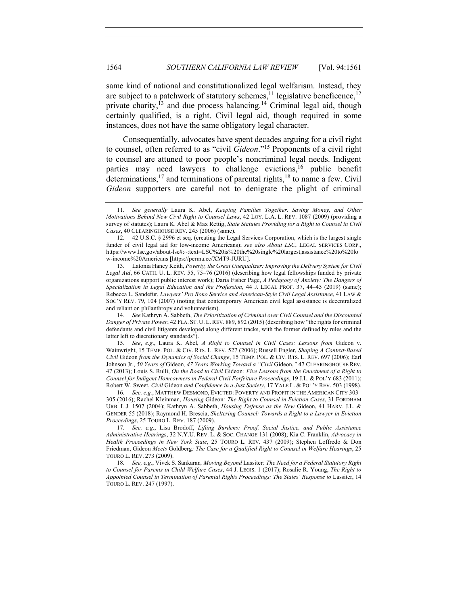same kind of national and constitutionalized legal welfarism. Instead, they are subject to a patchwork of statutory schemes,<sup>11</sup> legislative beneficence,<sup>12</sup> private charity,<sup> $13$ </sup> and due process balancing.<sup>14</sup> Criminal legal aid, though certainly qualified, is a right. Civil legal aid, though required in some instances, does not have the same obligatory legal character.

Consequentially, advocates have spent decades arguing for a civil right to counsel, often referred to as "civil *Gideon*."15 Proponents of a civil right to counsel are attuned to poor people's noncriminal legal needs. Indigent parties may need lawyers to challenge evictions,<sup>16</sup> public benefit determinations,<sup>17</sup> and terminations of parental rights,<sup>18</sup> to name a few. Civil *Gideon* supporters are careful not to denigrate the plight of criminal

13. Latonia Haney Keith, *Poverty, the Great Unequalizer: Improving the Delivery System for Civil Legal Aid*, 66 CATH. U. L. REV. 55, 75–76 (2016) (describing how legal fellowships funded by private organizations support public interest work); Daria Fisher Page, *A Pedagogy of Anxiety: The Dangers of Specialization in Legal Education and the Profession*, 44 J. LEGAL PROF. 37, 44–45 (2019) (same); Rebecca L. Sandefur, *Lawyers' Pro Bono Service and American-Style Civil Legal Assistance*, 41 LAW & SOC'Y REV. 79, 104 (2007) (noting that contemporary American civil legal assistance is decentralized and reliant on philanthropy and volunteerism).

14*. See* Kathryn A. Sabbeth, *The Prioritization of Criminal over Civil Counsel and the Discounted Danger of Private Power*, 42 FLA. ST. U. L. REV. 889, 892 (2015) (describing how "the rights for criminal defendants and civil litigants developed along different tracks, with the former defined by rules and the latter left to discretionary standards").

15*. See*, *e.g*., Laura K. Abel, *A Right to Counsel in Civil Cases: Lessons from* Gideon v. Wainwright, 15 TEMP. POL. & CIV. RTS. L. REV. 527 (2006); Russell Engler, *Shaping A Context-Based Civil* Gideon *from the Dynamics of Social Change*, 15 TEMP. POL. & CIV. RTS. L. REV. 697 (2006); Earl Johnson Jr., *50 Years of* Gideon*, 47 Years Working Toward a "Civil* Gideon,*"* 47 CLEARINGHOUSE REv. 47 (2013); Louis S. Rulli, *On the Road to Civil* Gideon*: Five Lessons from the Enactment of a Right to Counsel for Indigent Homeowners in Federal Civil Forfeiture Proceedings*, 19 J.L. & POL'Y 683 (2011); Robert W. Sweet, *Civil* Gideon *and Confidence in a Just Society*, 17 YALE L. & POL'Y REV. 503 (1998).

16*. See, e.g.*, MATTHEW DESMOND, EVICTED: POVERTY AND PROFIT IN THE AMERICAN CITY 303– 305 (2016); Rachel Kleinman, *Housing* Gideon*: The Right to Counsel in Eviction Cases*, 31 FORDHAM URB. L.J. 1507 (2004); Kathryn A. Sabbeth, *Housing Defense as the New* Gideon, 41 HARV. J.L. & GENDER 55 (2018); Raymond H. Brescia, *Sheltering Counsel: Towards a Right to a Lawyer in Eviction Proceedings*, 25 TOURO L. REV. 187 (2009).

17*. See, e.g.*, Lisa Brodoff, *Lifting Burdens: Proof, Social Justice, and Public Assistance Administrative Hearing*s, 32 N.Y.U. REV. L. & SOC. CHANGE 131 (2008); Kia C. Franklin, *Advocacy in Health Proceedings in New York State*, 25 TOURO L. REV. 437 (2009); Stephen Loffredo & Don Friedman, Gideon *Meets* Goldberg*: The Case for a Qualified Right to Counsel in Welfare Hearings*, 25 TOURO L. REV. 273 (2009).

18*. See, e.g.*, Vivek S. Sankaran*, Moving Beyond* Lassiter*: The Need for a Federal Statutory Right to Counsel for Parents in Child Welfare Cases*, 44 J. LEGIS. 1 (2017); Rosalie R. Young, *The Right to Appointed Counsel in Termination of Parental Rights Proceedings: The States' Response to* Lassiter, 14 TOURO L. REV. 247 (1997).

<sup>11</sup>*. See generally* Laura K. Abel, *Keeping Families Together, Saving Money, and Other Motivations Behind New Civil Right to Counsel Laws*, 42 LOY. L.A. L. REV. 1087 (2009) (providing a survey of statutes); Laura K. Abel & Max Rettig, *State Statutes Providing for a Right to Counsel in Civil Cases*, 40 CLEARINGHOUSE REV. 245 (2006) (same).

<sup>12.</sup> 42 U.S.C. § 2996 et seq. (creating the Legal Services Corporation, which is the largest single funder of civil legal aid for low-income Americans); *see also About LSC*, LEGAL SERVICES CORP., https://www.lsc.gov/about-lsc#:~:text=LSC%20is%20the%20single%20largest,assistance%20to%20lo w-income%20Americans [https://perma.cc/XMT9-JURU].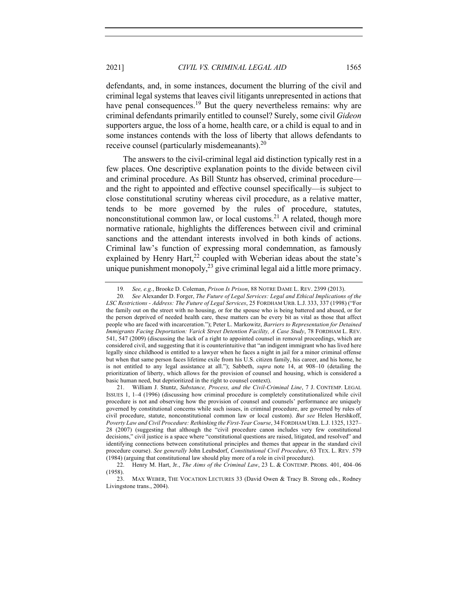defendants, and, in some instances, document the blurring of the civil and criminal legal systems that leaves civil litigants unrepresented in actions that have penal consequences.<sup>19</sup> But the query nevertheless remains: why are criminal defendants primarily entitled to counsel? Surely, some civil *Gideon* supporters argue, the loss of a home, health care, or a child is equal to and in some instances contends with the loss of liberty that allows defendants to receive counsel (particularly misdemeanants). $20$ 

The answers to the civil-criminal legal aid distinction typically rest in a few places. One descriptive explanation points to the divide between civil and criminal procedure. As Bill Stuntz has observed, criminal procedure and the right to appointed and effective counsel specifically—is subject to close constitutional scrutiny whereas civil procedure, as a relative matter, tends to be more governed by the rules of procedure, statutes, nonconstitutional common law, or local customs.<sup>21</sup> A related, though more normative rationale, highlights the differences between civil and criminal sanctions and the attendant interests involved in both kinds of actions. Criminal law's function of expressing moral condemnation, as famously explained by Henry Hart, $^{22}$  coupled with Weberian ideas about the state's unique punishment monopoly,  $2<sup>3</sup>$  give criminal legal aid a little more primacy.

<sup>19</sup>*. See, e.g.*, Brooke D. Coleman, *Prison Is Prison*, 88 NOTRE DAME L. REV. 2399 (2013).

<sup>20</sup>*. See* Alexander D. Forger, *The Future of Legal Services: Legal and Ethical Implications of the LSC Restrictions - Address: The Future of Legal Services*, 25 FORDHAM URB. L.J. 333, 337 (1998) ("For the family out on the street with no housing, or for the spouse who is being battered and abused, or for the person deprived of needed health care, these matters can be every bit as vital as those that affect people who are faced with incarceration."); Peter L. Markowitz, *Barriers to Representation for Detained Immigrants Facing Deportation: Varick Street Detention Facility, A Case Study*, 78 FORDHAM L. REV. 541, 547 (2009) (discussing the lack of a right to appointed counsel in removal proceedings, which are considered civil, and suggesting that it is counterintuitive that "an indigent immigrant who has lived here legally since childhood is entitled to a lawyer when he faces a night in jail for a minor criminal offense but when that same person faces lifetime exile from his U.S. citizen family, his career, and his home, he is not entitled to any legal assistance at all."); Sabbeth, *supra* note 14, at 908–10 (detailing the prioritization of liberty, which allows for the provision of counsel and housing, which is considered a basic human need, but deprioritized in the right to counsel context).

<sup>21.</sup> William J. Stuntz, *Substance, Process, and the Civil-Criminal Line*, 7 J. CONTEMP. LEGAL ISSUES 1, 1–4 (1996) (discussing how criminal procedure is completely constitutionalized while civil procedure is not and observing how the provision of counsel and counsels' performance are uniquely governed by constitutional concerns while such issues, in criminal procedure, are governed by rules of civil procedure, statute, nonconstitutional common law or local custom). *But see* Helen Hershkoff, *Poverty Law and Civil Procedure: Rethinking the First-Year Course*, 34 FORDHAM URB. L.J. 1325, 1327– 28 (2007) (suggesting that although the "civil procedure canon includes very few constitutional decisions," civil justice is a space where "constitutional questions are raised, litigated, and resolved" and identifying connections between constitutional principles and themes that appear in the standard civil procedure course). *See generally* John Leubsdorf, *Constitutional Civil Procedure*, 63 TEX. L. REV. 579 (1984) (arguing that constitutional law should play more of a role in civil procedure).

<sup>22.</sup> Henry M. Hart, Jr., *The Aims of the Criminal Law*, 23 L. & CONTEMP. PROBS. 401, 404–06 (1958).

<sup>23.</sup> MAX WEBER, THE VOCATION LECTURES 33 (David Owen & Tracy B. Strong eds., Rodney Livingstone trans., 2004).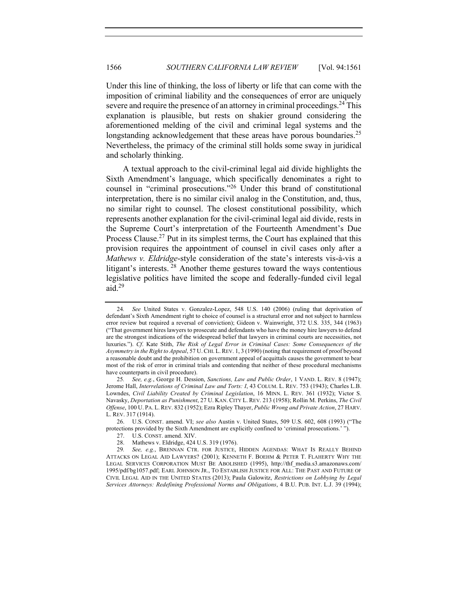Under this line of thinking, the loss of liberty or life that can come with the imposition of criminal liability and the consequences of error are uniquely severe and require the presence of an attorney in criminal proceedings.<sup>24</sup> This explanation is plausible, but rests on shakier ground considering the aforementioned melding of the civil and criminal legal systems and the longstanding acknowledgement that these areas have porous boundaries.<sup>25</sup> Nevertheless, the primacy of the criminal still holds some sway in juridical and scholarly thinking.

A textual approach to the civil-criminal legal aid divide highlights the Sixth Amendment's language, which specifically denominates a right to counsel in "criminal prosecutions."<sup>26</sup> Under this brand of constitutional interpretation, there is no similar civil analog in the Constitution, and, thus, no similar right to counsel. The closest constitutional possibility, which represents another explanation for the civil-criminal legal aid divide, rests in the Supreme Court's interpretation of the Fourteenth Amendment's Due Process Clause.<sup>27</sup> Put in its simplest terms, the Court has explained that this provision requires the appointment of counsel in civil cases only after a *Mathews v. Eldridge*-style consideration of the state's interests vis-à-vis a litigant's interests.<sup>28</sup> Another theme gestures toward the ways contentious legislative politics have limited the scope and federally-funded civil legal aid.29

26. U.S. CONST. amend. VI; *see also* Austin v. United States, 509 U.S. 602, 608 (1993) ("The protections provided by the Sixth Amendment are explicitly confined to 'criminal prosecutions.' ").

<sup>24</sup>*. See* United States v. Gonzalez-Lopez, 548 U.S. 140 (2006) (ruling that deprivation of defendant's Sixth Amendment right to choice of counsel is a structural error and not subject to harmless error review but required a reversal of conviction); Gideon v. Wainwright, 372 U.S. 335, 344 (1963) ("That government hires lawyers to prosecute and defendants who have the money hire lawyers to defend are the strongest indications of the widespread belief that lawyers in criminal courts are necessities, not luxuries."). *Cf*. Kate Stith, *The Risk of Legal Error in Criminal Cases: Some Consequences of the Asymmetry in the Right to Appeal*, 57 U.CHI. L.REV. 1, 3 (1990) (noting that requirement of proof beyond a reasonable doubt and the prohibition on government appeal of acquittals causes the government to bear most of the risk of error in criminal trials and contending that neither of these procedural mechanisms have counterparts in civil procedure).

<sup>25</sup>*. See, e.g.*, George H. Dession, *Sanctions, Law and Public Order*, 1 VAND. L. REV. 8 (1947); Jerome Hall, *Interrelations of Criminal Law and Torts: I*, 43 COLUM. L. REV. 753 (1943); Charles L.B. Lowndes, *Civil Liability Created by Criminal Legislation*, 16 MINN. L. REV. 361 (1932); Victor S. Navasky, *Deportation as Punishment*, 27 U. KAN. CITY L. REV. 213 (1958); Rollin M. Perkins, *The Civil Offense*, 100 U. PA. L. REV. 832 (1952); Ezra Ripley Thayer, *Public Wrong and Private Action*, 27 HARV. L. REV. 317 (1914).

<sup>27.</sup> U.S. CONST. amend. XIV.

<sup>28.</sup> Mathews v. Eldridge, 424 U.S. 319 (1976).

<sup>29</sup>*. See, e.g.*, BRENNAN CTR. FOR JUSTICE, HIDDEN AGENDAS: WHAT IS REALLY BEHIND ATTACKS ON LEGAL AID LAWYERS? (2001); KENNETH F. BOEHM & PETER T. FLAHERTY WHY THE LEGAL SERVICES CORPORATION MUST BE ABOLISHED (1995), http://thf\_media.s3.amazonaws.com/ 1995/pdf/bg1057.pdf; EARL JOHNSON JR., TO ESTABLISH JUSTICE FOR ALL: THE PAST AND FUTURE OF CIVIL LEGAL AID IN THE UNITED STATES (2013); Paula Galowitz, *Restrictions on Lobbying by Legal Services Attorneys: Redefining Professional Norms and Obligations*, 4 B.U. PUB. INT. L.J. 39 (1994);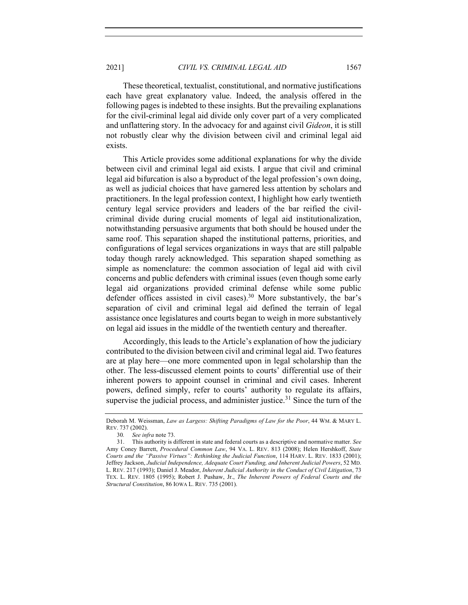These theoretical, textualist, constitutional, and normative justifications each have great explanatory value. Indeed, the analysis offered in the following pages is indebted to these insights. But the prevailing explanations for the civil-criminal legal aid divide only cover part of a very complicated and unflattering story. In the advocacy for and against civil *Gideon*, it is still not robustly clear why the division between civil and criminal legal aid exists.

This Article provides some additional explanations for why the divide between civil and criminal legal aid exists. I argue that civil and criminal legal aid bifurcation is also a byproduct of the legal profession's own doing, as well as judicial choices that have garnered less attention by scholars and practitioners. In the legal profession context, I highlight how early twentieth century legal service providers and leaders of the bar reified the civilcriminal divide during crucial moments of legal aid institutionalization, notwithstanding persuasive arguments that both should be housed under the same roof. This separation shaped the institutional patterns, priorities, and configurations of legal services organizations in ways that are still palpable today though rarely acknowledged. This separation shaped something as simple as nomenclature: the common association of legal aid with civil concerns and public defenders with criminal issues (even though some early legal aid organizations provided criminal defense while some public defender offices assisted in civil cases).<sup>30</sup> More substantively, the bar's separation of civil and criminal legal aid defined the terrain of legal assistance once legislatures and courts began to weigh in more substantively on legal aid issues in the middle of the twentieth century and thereafter.

Accordingly, this leads to the Article's explanation of how the judiciary contributed to the division between civil and criminal legal aid. Two features are at play here—one more commented upon in legal scholarship than the other. The less-discussed element points to courts' differential use of their inherent powers to appoint counsel in criminal and civil cases. Inherent powers, defined simply, refer to courts' authority to regulate its affairs, supervise the judicial process, and administer justice.<sup>31</sup> Since the turn of the

Deborah M. Weissman, *Law as Largess: Shifting Paradigms of Law for the Poor*, 44 WM. & MARY L. REV. 737 (2002).

<sup>30</sup>*. See infra* note 73.

<sup>31.</sup> This authority is different in state and federal courts as a descriptive and normative matter. *See* Amy Coney Barrett, *Procedural Common Law*, 94 VA. L. REV. 813 (2008); Helen Hershkoff, *State Courts and the "Passive Virtues": Rethinking the Judicial Function*, 114 HARV. L. REV. 1833 (2001); Jeffrey Jackson, *Judicial Independence, Adequate Court Funding, and Inherent Judicial Powers*, 52 MD. L. REV. 217 (1993); Daniel J. Meador, *Inherent Judicial Authority in the Conduct of Civil Litigation*, 73 TEX. L. REV. 1805 (1995); Robert J. Pushaw, Jr., *The Inherent Powers of Federal Courts and the Structural Constitution*, 86 IOWA L. REV. 735 (2001).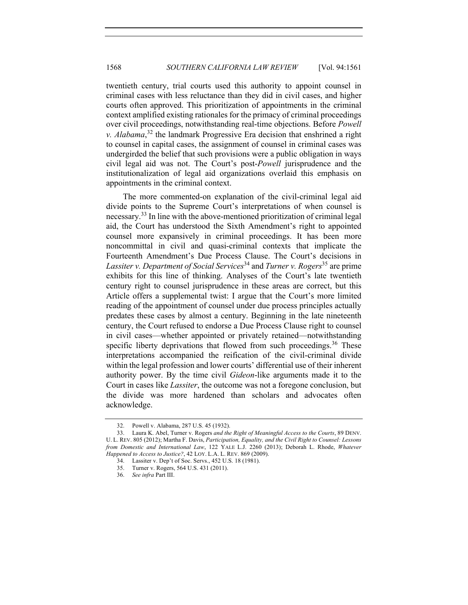twentieth century, trial courts used this authority to appoint counsel in criminal cases with less reluctance than they did in civil cases, and higher courts often approved. This prioritization of appointments in the criminal context amplified existing rationales for the primacy of criminal proceedings over civil proceedings, notwithstanding real-time objections. Before *Powell v. Alabama*, <sup>32</sup> the landmark Progressive Era decision that enshrined a right to counsel in capital cases, the assignment of counsel in criminal cases was undergirded the belief that such provisions were a public obligation in ways civil legal aid was not. The Court's post-*Powell* jurisprudence and the institutionalization of legal aid organizations overlaid this emphasis on appointments in the criminal context.

The more commented-on explanation of the civil-criminal legal aid divide points to the Supreme Court's interpretations of when counsel is necessary.<sup>33</sup> In line with the above-mentioned prioritization of criminal legal aid, the Court has understood the Sixth Amendment's right to appointed counsel more expansively in criminal proceedings. It has been more noncommittal in civil and quasi-criminal contexts that implicate the Fourteenth Amendment's Due Process Clause. The Court's decisions in *Lassiter v. Department of Social Services*<sup>34</sup> and *Turner v. Rogers*<sup>35</sup> are prime exhibits for this line of thinking. Analyses of the Court's late twentieth century right to counsel jurisprudence in these areas are correct, but this Article offers a supplemental twist: I argue that the Court's more limited reading of the appointment of counsel under due process principles actually predates these cases by almost a century. Beginning in the late nineteenth century, the Court refused to endorse a Due Process Clause right to counsel in civil cases—whether appointed or privately retained—notwithstanding specific liberty deprivations that flowed from such proceedings.<sup>36</sup> These interpretations accompanied the reification of the civil-criminal divide within the legal profession and lower courts' differential use of their inherent authority power. By the time civil *Gideon*-like arguments made it to the Court in cases like *Lassiter*, the outcome was not a foregone conclusion, but the divide was more hardened than scholars and advocates often acknowledge.

<sup>32.</sup> Powell v. Alabama, 287 U.S. 45 (1932).

<sup>33.</sup> Laura K. Abel, Turner v. Rogers *and the Right of Meaningful Access to the Courts*, 89 DENV. U. L. REV. 805 (2012); Martha F. Davis, *Participation, Equality, and the Civil Right to Counsel: Lessons from Domestic and International Law*, 122 YALE L.J. 2260 (2013); Deborah L. Rhode, *Whatever Happened to Access to Justice?*, 42 LOY. L.A. L. REV. 869 (2009).

<sup>34.</sup> Lassiter v. Dep't of Soc. Servs., 452 U.S. 18 (1981).

<sup>35.</sup> Turner v. Rogers, 564 U.S. 431 (2011).

<sup>36.</sup> *See infra* Part III.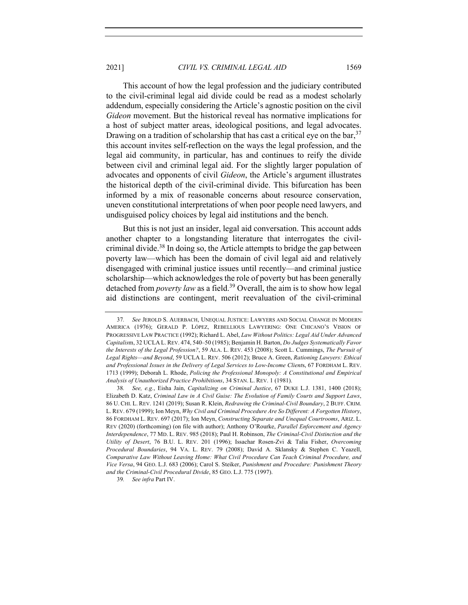This account of how the legal profession and the judiciary contributed to the civil-criminal legal aid divide could be read as a modest scholarly addendum, especially considering the Article's agnostic position on the civil *Gideon* movement. But the historical reveal has normative implications for a host of subject matter areas, ideological positions, and legal advocates. Drawing on a tradition of scholarship that has cast a critical eye on the bar,  $37$ this account invites self-reflection on the ways the legal profession, and the legal aid community, in particular, has and continues to reify the divide between civil and criminal legal aid. For the slightly larger population of advocates and opponents of civil *Gideon*, the Article's argument illustrates the historical depth of the civil-criminal divide. This bifurcation has been informed by a mix of reasonable concerns about resource conservation, uneven constitutional interpretations of when poor people need lawyers, and undisguised policy choices by legal aid institutions and the bench.

But this is not just an insider, legal aid conversation. This account adds another chapter to a longstanding literature that interrogates the civilcriminal divide.<sup>38</sup> In doing so, the Article attempts to bridge the gap between poverty law—which has been the domain of civil legal aid and relatively disengaged with criminal justice issues until recently—and criminal justice scholarship—which acknowledges the role of poverty but has been generally detached from *poverty law* as a field.<sup>39</sup> Overall, the aim is to show how legal aid distinctions are contingent, merit reevaluation of the civil-criminal

39*. See infra* Part IV.

<sup>37</sup>*. See* JEROLD S. AUERBACH, UNEQUAL JUSTICE: LAWYERS AND SOCIAL CHANGE IN MODERN AMERICA (1976); GERALD P. LÓPEZ, REBELLIOUS LAWYERING: ONE CHICANO'S VISION OF PROGRESSIVE LAW PRACTICE (1992); Richard L. Abel, *Law Without Politics: Legal Aid Under Advanced Capitalis*m, 32 UCLA L. REV. 474, 540–50 (1985); Benjamin H. Barton, *Do Judges Systematically Favor the Interests of the Legal Profession?*, 59 ALA. L. REV. 453 (2008); Scott L. Cummings, *The Pursuit of Legal Rights*—*and Beyond*, 59 UCLA L. REV. 506 (2012); Bruce A. Green, *Rationing Lawyers: Ethical and Professional Issues in the Delivery of Legal Services to Low-Income Client*s, 67 FORDHAM L. REV. 1713 (1999); Deborah L. Rhode, *Policing the Professional Monopoly: A Constitutional and Empirical Analysis of Unauthorized Practice Prohibitions*, 34 STAN. L. REV. 1 (1981).

<sup>38</sup>*. See, e.g.*, Eisha Jain, *Capitalizing on Criminal Justice*, 67 DUKE L.J. 1381, 1400 (2018); Elizabeth D. Katz, *Criminal Law in A Civil Guise: The Evolution of Family Courts and Support Laws*, 86 U. CHI. L. REV. 1241 (2019); Susan R. Klein, *Redrawing the Criminal-Civil Boundary*, 2 BUFF. CRIM. L. REV. 679 (1999); Ion Meyn, *Why Civil and Criminal Procedure Are So Different: A Forgotten History*, 86 FORDHAM L. REV. 697 (2017); Ion Meyn, *Constructing Separate and Unequal Courtrooms*, ARIZ. L. REV (2020) (forthcoming) (on file with author); Anthony O'Rourke, *Parallel Enforcement and Agency Interdependence*, 77 MD. L. REV. 985 (2018); Paul H. Robinson, *The Criminal-Civil Distinction and the Utility of Desert*, 76 B.U. L. REV. 201 (1996); Issachar Rosen-Zvi & Talia Fisher, *Overcoming Procedural Boundaries*, 94 VA. L. REV. 79 (2008); David A. Sklansky & Stephen C. Yeazell, *Comparative Law Without Leaving Home: What Civil Procedure Can Teach Criminal Procedure, and Vice Versa*, 94 GEO. L.J. 683 (2006); Carol S. Steiker, *Punishment and Procedure: Punishment Theory and the Criminal-Civil Procedural Divide*, 85 GEO. L.J. 775 (1997).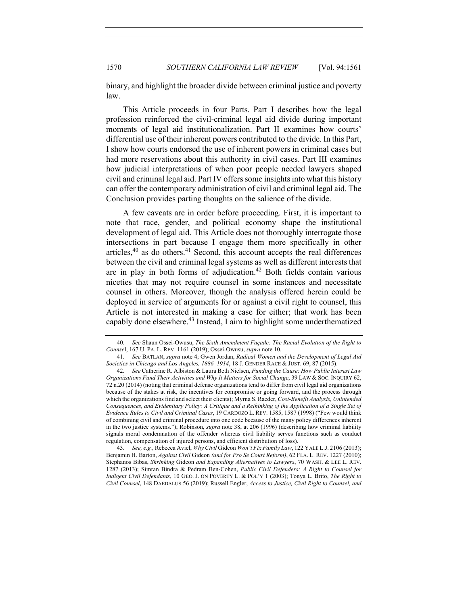binary, and highlight the broader divide between criminal justice and poverty law.

This Article proceeds in four Parts. Part I describes how the legal profession reinforced the civil-criminal legal aid divide during important moments of legal aid institutionalization. Part II examines how courts' differential use of their inherent powers contributed to the divide. In this Part, I show how courts endorsed the use of inherent powers in criminal cases but had more reservations about this authority in civil cases. Part III examines how judicial interpretations of when poor people needed lawyers shaped civil and criminal legal aid. Part IV offers some insights into what this history can offer the contemporary administration of civil and criminal legal aid. The Conclusion provides parting thoughts on the salience of the divide.

A few caveats are in order before proceeding. First, it is important to note that race, gender, and political economy shape the institutional development of legal aid. This Article does not thoroughly interrogate those intersections in part because I engage them more specifically in other articles, $40$  as do others. $41$  Second, this account accepts the real differences between the civil and criminal legal systems as well as different interests that are in play in both forms of adjudication.<sup>42</sup> Both fields contain various niceties that may not require counsel in some instances and necessitate counsel in others. Moreover, though the analysis offered herein could be deployed in service of arguments for or against a civil right to counsel, this Article is not interested in making a case for either; that work has been capably done elsewhere.<sup>43</sup> Instead, I aim to highlight some underthematized

43*. See, e.g.*, Rebecca Aviel, *Why Civil* Gideon *Won't Fix Family Law*, 122 YALE L.J. 2106 (2013); Benjamin H. Barton, *Against Civil* Gideon *(and for Pro Se Court Reform)*, 62 FLA. L. REV. 1227 (2010); Stephanos Bibas, *Shrinking* Gideon *and Expanding Alternatives to Lawyers*, 70 WASH. & LEE L. REV. 1287 (2013); Simran Bindra & Pedram Ben-Cohen, *Public Civil Defenders: A Right to Counsel for Indigent Civil Defendants*, 10 GEO. J. ON POVERTY L. & POL'Y 1 (2003); Tonya L. Brito, *The Right to Civil Counsel*, 148 DAEDALUS 56 (2019); Russell Engler, *Access to Justice, Civil Right to Counsel, and* 

<sup>40</sup>*. See* Shaun Ossei-Owusu, *The Sixth Amendment Façade: The Racial Evolution of the Right to Counse*l, 167 U. PA. L. REV. 1161 (2019); Ossei-Owusu, *supra* note 10.

<sup>41</sup>*. See* BATLAN, *supra* note 4; Gwen Jordan, *Radical Women and the Development of Legal Aid Societies in Chicago and Los Angeles, 1886–1914*, 18 J. GENDER RACE & JUST. 69, 87 (2015).

<sup>42</sup>*. See* Catherine R. Albiston & Laura Beth Nielsen, *Funding the Cause: How Public Interest Law Organizations Fund Their Activities and Why It Matters for Social Change*, 39 LAW & SOC. INQUIRY 62, 72 n.20 (2014) (noting that criminal defense organizations tend to differ from civil legal aid organizations because of the stakes at risk, the incentives for compromise or going forward, and the process through which the organizations find and select their clients); Myrna S. Raeder, *Cost-Benefit Analysis, Unintended Consequences, and Evidentiary Policy: A Critique and a Rethinking of the Application of a Single Set of Evidence Rules to Civil and Criminal Cases*, 19 CARDOZO L. REV. 1585, 1587 (1998) ("Few would think of combining civil and criminal procedure into one code because of the many policy differences inherent in the two justice systems."); Robinson, *supra* note 38, at 206 (1996) (describing how criminal liability signals moral condemnation of the offender whereas civil liability serves functions such as conduct regulation, compensation of injured persons, and efficient distribution of loss).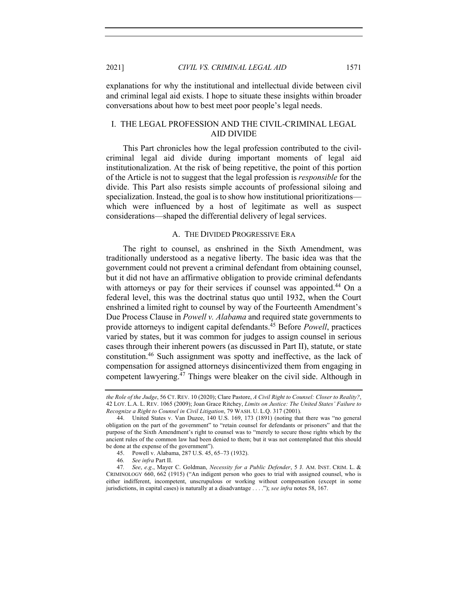explanations for why the institutional and intellectual divide between civil and criminal legal aid exists. I hope to situate these insights within broader conversations about how to best meet poor people's legal needs.

## I. THE LEGAL PROFESSION AND THE CIVIL-CRIMINAL LEGAL AID DIVIDE

This Part chronicles how the legal profession contributed to the civilcriminal legal aid divide during important moments of legal aid institutionalization. At the risk of being repetitive, the point of this portion of the Article is not to suggest that the legal profession is *responsible* for the divide. This Part also resists simple accounts of professional siloing and specialization. Instead, the goal is to show how institutional prioritizations which were influenced by a host of legitimate as well as suspect considerations—shaped the differential delivery of legal services.

#### A. THE DIVIDED PROGRESSIVE ERA

The right to counsel, as enshrined in the Sixth Amendment, was traditionally understood as a negative liberty. The basic idea was that the government could not prevent a criminal defendant from obtaining counsel, but it did not have an affirmative obligation to provide criminal defendants with attorneys or pay for their services if counsel was appointed.<sup>44</sup> On a federal level, this was the doctrinal status quo until 1932, when the Court enshrined a limited right to counsel by way of the Fourteenth Amendment's Due Process Clause in *Powell v. Alabama* and required state governments to provide attorneys to indigent capital defendants.45 Before *Powell*, practices varied by states, but it was common for judges to assign counsel in serious cases through their inherent powers (as discussed in Part II), statute, or state constitution.46 Such assignment was spotty and ineffective, as the lack of compensation for assigned attorneys disincentivized them from engaging in competent lawyering. $47$  Things were bleaker on the civil side. Although in

*the Role of the Judge*, 56 CT. REV. 10 (2020); Clare Pastore, *A Civil Right to Counsel: Closer to Reality?*, 42 LOY. L.A. L. REV. 1065 (2009); Joan Grace Ritchey, *Limits on Justice: The United States' Failure to Recognize a Right to Counsel in Civil Litigation*, 79 WASH. U. L.Q. 317 (2001).

<sup>44.</sup> United States v. Van Duzee, 140 U.S. 169, 173 (1891) (noting that there was "no general obligation on the part of the government" to "retain counsel for defendants or prisoners" and that the purpose of the Sixth Amendment's right to counsel was to "merely to secure those rights which by the ancient rules of the common law had been denied to them; but it was not contemplated that this should be done at the expense of the government").

<sup>45.</sup> Powell v. Alabama, 287 U.S. 45, 65–73 (1932).

<sup>46</sup>*. See infra* Part II.

<sup>47</sup>*. See*, *e.g*., Mayer C. Goldman, *Necessity for a Public Defender*, 5 J. AM. INST. CRIM. L. & CRIMINOLOGY 660, 662 (1915) ("An indigent person who goes to trial with assigned counsel, who is either indifferent, incompetent, unscrupulous or working without compensation (except in some jurisdictions, in capital cases) is naturally at a disadvantage . . . ."); *see infra* notes 58, 167.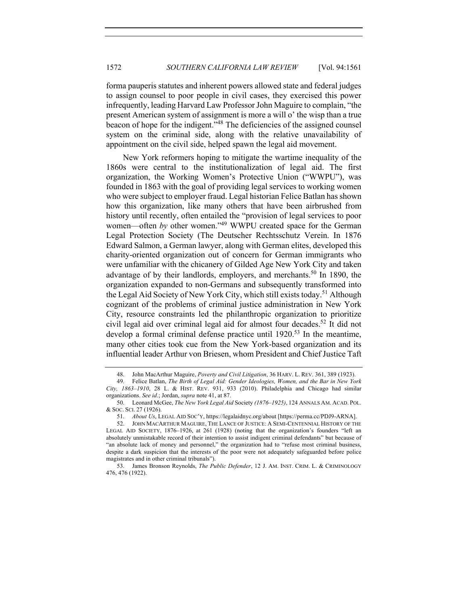forma pauperis statutes and inherent powers allowed state and federal judges to assign counsel to poor people in civil cases, they exercised this power infrequently, leading Harvard Law Professor John Maguire to complain, "the present American system of assignment is more a will o' the wisp than a true beacon of hope for the indigent."48 The deficiencies of the assigned counsel system on the criminal side, along with the relative unavailability of appointment on the civil side, helped spawn the legal aid movement.

New York reformers hoping to mitigate the wartime inequality of the 1860s were central to the institutionalization of legal aid. The first organization, the Working Women's Protective Union ("WWPU"), was founded in 1863 with the goal of providing legal services to working women who were subject to employer fraud. Legal historian Felice Batlan has shown how this organization, like many others that have been airbrushed from history until recently, often entailed the "provision of legal services to poor women—often *by* other women."<sup>49</sup> WWPU created space for the German Legal Protection Society (The Deutscher Rechtsschutz Verein. In 1876 Edward Salmon, a German lawyer, along with German elites, developed this charity-oriented organization out of concern for German immigrants who were unfamiliar with the chicanery of Gilded Age New York City and taken advantage of by their landlords, employers, and merchants.<sup>50</sup> In 1890, the organization expanded to non-Germans and subsequently transformed into the Legal Aid Society of New York City, which still exists today.<sup>51</sup> Although cognizant of the problems of criminal justice administration in New York City, resource constraints led the philanthropic organization to prioritize civil legal aid over criminal legal aid for almost four decades.<sup>52</sup> It did not develop a formal criminal defense practice until  $1920$ <sup>53</sup> In the meantime, many other cities took cue from the New York-based organization and its influential leader Arthur von Briesen, whom President and Chief Justice Taft

<sup>48.</sup> John MacArthur Maguire, *Poverty and Civil Litigation*, 36 HARV. L. REV. 361, 389 (1923).<br>49 Felice Batlan, *The Rirth of Legal Aid: Gender Ideologies, Women, and the Bar in New You* 

<sup>49.</sup> Felice Batlan, *The Birth of Legal Aid: Gender Ideologies, Women, and the Bar in New York City, 1863–1910*, 28 L. & HIST. REV. 931, 933 (2010). Philadelphia and Chicago had similar organizations. *See id*.; Jordan, *supra* note 41, at 87.

<sup>50.</sup> Leonard McGee, *The New York Legal Aid* Society *(1876–1925)*, 124 ANNALS AM. ACAD. POL. & SOC. SCI. 27 (1926).

<sup>51.</sup> *About Us*, LEGAL AID SOC'Y, https://legalaidnyc.org/about [https://perma.cc/PDJ9-ARNA].

<sup>52.</sup> JOHN MACARTHUR MAGUIRE, THE LANCE OF JUSTICE: A SEMI-CENTENNIAL HISTORY OF THE LEGAL AID SOCIETY, 1876–1926, at 261 (1928) (noting that the organization's founders "left an absolutely unmistakable record of their intention to assist indigent criminal defendants" but because of "an absolute lack of money and personnel," the organization had to "refuse most criminal business, despite a dark suspicion that the interests of the poor were not adequately safeguarded before police magistrates and in other criminal tribunals").

<sup>53.</sup> James Bronson Reynolds, *The Public Defender*, 12 J. AM. INST. CRIM. L. & CRIMINOLOGY 476, 476 (1922).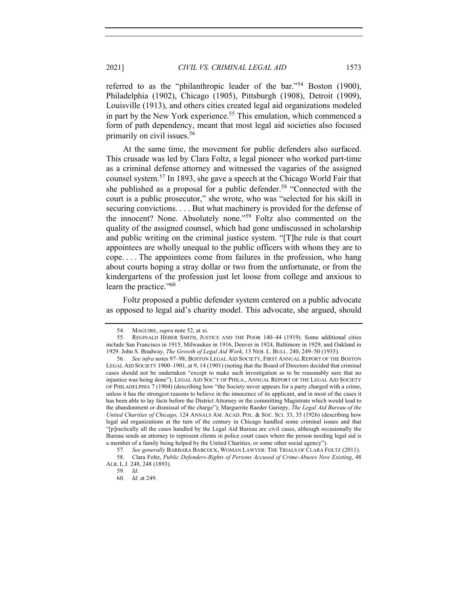referred to as the "philanthropic leader of the bar."<sup>54</sup> Boston (1900), Philadelphia (1902), Chicago (1905), Pittsburgh (1908), Detroit (1909), Louisville (1913), and others cities created legal aid organizations modeled in part by the New York experience.<sup>55</sup> This emulation, which commenced a form of path dependency, meant that most legal aid societies also focused primarily on civil issues.56

At the same time, the movement for public defenders also surfaced. This crusade was led by Clara Foltz, a legal pioneer who worked part-time as a criminal defense attorney and witnessed the vagaries of the assigned counsel system.57 In 1893, she gave a speech at the Chicago World Fair that she published as a proposal for a public defender.<sup>58</sup> "Connected with the court is a public prosecutor," she wrote, who was "selected for his skill in securing convictions. . . . But what machinery is provided for the defense of the innocent? None. Absolutely none."<sup>59</sup> Foltz also commented on the quality of the assigned counsel, which had gone undiscussed in scholarship and public writing on the criminal justice system. "[T]he rule is that court appointees are wholly unequal to the public officers with whom they are to cope. . . . The appointees come from failures in the profession, who hang about courts hoping a stray dollar or two from the unfortunate, or from the kindergartens of the profession just let loose from college and anxious to learn the practice."<sup>60</sup>

Foltz proposed a public defender system centered on a public advocate as opposed to legal aid's charity model. This advocate, she argued, should

<sup>54.</sup> MAGUIRE, *supra* note 52, at xi.

<sup>55.</sup> REGINALD HEBER SMITH, JUSTICE AND THE POOR 140–44 (1919). Some additional cities include San Francisco in 1915, Milwaukee in 1916, Denver in 1924, Baltimore in 1929, and Oakland in 1929. John S. Bradway, *The Growth of Legal Aid Work*, 13 NEB. L. BULL. 240, 249–50 (1935).

<sup>56</sup>*. See infra* notes 97–98; BOSTON LEGAL AID SOCIETY, FIRST ANNUAL REPORT OF THE BOSTON LEGAL AID SOCIETY 1900–1901, at 9, 14 (1901) (noting that the Board of Directors decided that criminal cases should not be undertaken "except to make such investigation as to be reasonably sure that no injustice was being done"); LEGAL AID SOC'Y OF PHILA., ANNUAL REPORT OF THE LEGAL AID SOCIETY OF PHILADELPHIA 7 (1904) (describing how "the Society never appears for a party charged with a crime, unless it has the strongest reasons to believe in the innocence of its applicant, and in most of the cases it has been able to lay facts before the District Attorney or the committing Magistrate which would lead to the abandonment or dismissal of the charge"); Marguerite Raeder Gariepy, *The Legal Aid Bureau of the United Charities of Chicago*, 124 ANNALS AM. ACAD. POL. & SOC. SCI. 33, 35 (1926) (describing how legal aid organizations at the turn of the century in Chicago handled some criminal issues and that "[p]ractically all the cases handled by the Legal Aid Bureau are civil cases, although occasionally the Bureau sends an attorney to represent clients in police court cases where the person needing legal aid is a member of a family being helped by the United Charities, or some other social agency").

<sup>57</sup>*. See generally* BARBARA BABCOCK, WOMAN LAWYER: THE TRIALS OF CLARA FOLTZ (2011). 58. Clara Foltz, *Public Defenders-Rights of Persons Accused of Crime-Abuses Now Existing*, 48 ALB. L.J. 248, 248 (1893).

<sup>59</sup>*. Id*.

<sup>60</sup>*. Id*. at 249.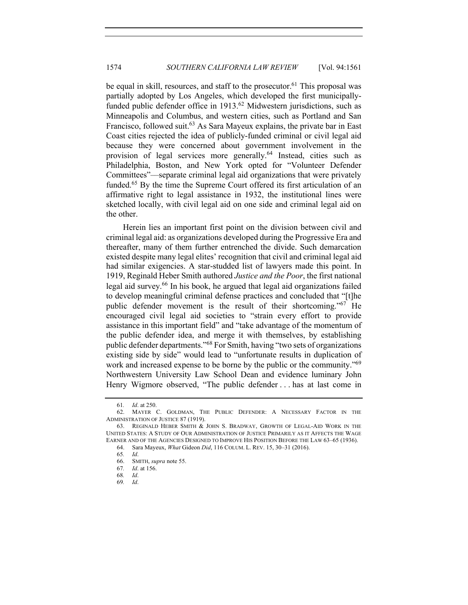be equal in skill, resources, and staff to the prosecutor.<sup>61</sup> This proposal was partially adopted by Los Angeles, which developed the first municipallyfunded public defender office in  $1913<sup>62</sup>$  Midwestern jurisdictions, such as Minneapolis and Columbus, and western cities, such as Portland and San Francisco, followed suit.<sup>63</sup> As Sara Mayeux explains, the private bar in East Coast cities rejected the idea of publicly-funded criminal or civil legal aid because they were concerned about government involvement in the provision of legal services more generally.<sup>64</sup> Instead, cities such as Philadelphia, Boston, and New York opted for "Volunteer Defender Committees"––separate criminal legal aid organizations that were privately funded.<sup>65</sup> By the time the Supreme Court offered its first articulation of an affirmative right to legal assistance in 1932, the institutional lines were sketched locally, with civil legal aid on one side and criminal legal aid on the other.

Herein lies an important first point on the division between civil and criminal legal aid: as organizations developed during the Progressive Era and thereafter, many of them further entrenched the divide. Such demarcation existed despite many legal elites' recognition that civil and criminal legal aid had similar exigencies. A star-studded list of lawyers made this point. In 1919, Reginald Heber Smith authored *Justice and the Poor*, the first national legal aid survey.<sup>66</sup> In his book, he argued that legal aid organizations failed to develop meaningful criminal defense practices and concluded that "[t]he public defender movement is the result of their shortcoming."<sup>67</sup> He encouraged civil legal aid societies to "strain every effort to provide assistance in this important field" and "take advantage of the momentum of the public defender idea, and merge it with themselves, by establishing public defender departments."<sup>68</sup> For Smith, having "two sets of organizations existing side by side" would lead to "unfortunate results in duplication of work and increased expense to be borne by the public or the community."<sup>69</sup> Northwestern University Law School Dean and evidence luminary John Henry Wigmore observed, "The public defender . . . has at last come in

<sup>61</sup>*. Id*. at 250.

<sup>62.</sup> MAYER C. GOLDMAN, THE PUBLIC DEFENDER: A NECESSARY FACTOR IN THE ADMINISTRATION OF JUSTICE 87 (1919).

<sup>63.</sup> REGINALD HEBER SMITH & JOHN S. BRADWAY, GROWTH OF LEGAL-AID WORK IN THE UNITED STATES: A STUDY OF OUR ADMINISTRATION OF JUSTICE PRIMARILY AS IT AFFECTS THE WAGE EARNER AND OF THE AGENCIES DESIGNED TO IMPROVE HIS POSITION BEFORE THE LAW 63–65 (1936).

<sup>64.</sup> Sara Mayeux, *What* Gideon *Did*, 116 COLUM. L. REV. 15, 30–31 (2016).

<sup>65</sup>*. Id*.

<sup>66.</sup> SMITH, *supra* note 55.

<sup>67</sup>*. Id*. at 156.

<sup>68</sup>*. Id*.

<sup>69</sup>*. Id*.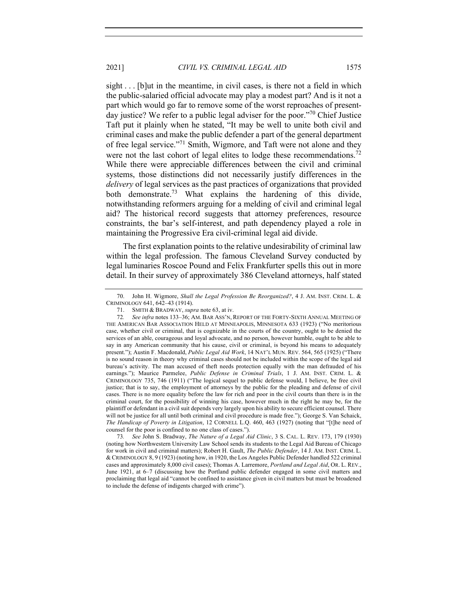sight . . . [b]ut in the meantime, in civil cases, is there not a field in which the public-salaried official advocate may play a modest part? And is it not a part which would go far to remove some of the worst reproaches of presentday justice? We refer to a public legal adviser for the poor."<sup>70</sup> Chief Justice Taft put it plainly when he stated, "It may be well to unite both civil and criminal cases and make the public defender a part of the general department of free legal service."71 Smith, Wigmore, and Taft were not alone and they were not the last cohort of legal elites to lodge these recommendations.<sup>72</sup> While there were appreciable differences between the civil and criminal systems, those distinctions did not necessarily justify differences in the *delivery* of legal services as the past practices of organizations that provided both demonstrate.<sup>73</sup> What explains the hardening of this divide, notwithstanding reformers arguing for a melding of civil and criminal legal aid? The historical record suggests that attorney preferences, resource constraints, the bar's self-interest, and path dependency played a role in maintaining the Progressive Era civil-criminal legal aid divide.

The first explanation points to the relative undesirability of criminal law within the legal profession. The famous Cleveland Survey conducted by legal luminaries Roscoe Pound and Felix Frankfurter spells this out in more detail. In their survey of approximately 386 Cleveland attorneys, half stated

73*. See* John S. Bradway, *The Nature of a Legal Aid Clinic*, 3 S. CAL. L. REV. 173, 179 (1930) (noting how Northwestern University Law School sends its students to the Legal Aid Bureau of Chicago for work in civil and criminal matters); Robert H. Gault, *The Public Defender*, 14 J. AM. INST. CRIM. L. & CRIMINOLOGY 8, 9 (1923) (noting how, in 1920, the Los Angeles Public Defender handled 522 criminal cases and approximately 8,000 civil cases); Thomas A. Larremore, *Portland and Legal Aid*, OR. L. REV., June 1921, at 6–7 (discussing how the Portland public defender engaged in some civil matters and proclaiming that legal aid "cannot be confined to assistance given in civil matters but must be broadened to include the defense of indigents charged with crime").

<sup>70.</sup> John H. Wigmore, *Shall the Legal Profession Be Reorganized?*, 4 J. AM. INST. CRIM. L. & CRIMINOLOGY 641, 642–43 (1914).

<sup>71.</sup> SMITH & BRADWAY, *supra* note 63, at iv.

<sup>72</sup>*. See infra* notes 133–36; AM. BAR ASS'N, REPORT OF THE FORTY-SIXTH ANNUAL MEETING OF THE AMERICAN BAR ASSOCIATION HELD AT MINNEAPOLIS, MINNESOTA 633 (1923) ("No meritorious case, whether civil or criminal, that is cognizable in the courts of the country, ought to be denied the services of an able, courageous and loyal advocate, and no person, however humble, ought to be able to say in any American community that his cause, civil or criminal, is beyond his means to adequately present."); Austin F. Macdonald, *Public Legal Aid Work*, 14 NAT'L MUN. REV. 564, 565 (1925) ("There is no sound reason in theory why criminal cases should not be included within the scope of the legal aid bureau's activity. The man accused of theft needs protection equally with the man defrauded of his earnings."); Maurice Parmelee, *Public Defense in Criminal Trials*, 1 J. AM. INST. CRIM. L. & CRIMINOLOGY 735, 746 (1911) ("The logical sequel to public defense would, I believe, be free civil justice; that is to say, the employment of attorneys by the public for the pleading and defense of civil cases. There is no more equality before the law for rich and poor in the civil courts than there is in the criminal court, for the possibility of winning his case, however much in the right he may be, for the plaintiff or defendant in a civil suit depends very largely upon his ability to secure efficient counsel. There will not be justice for all until both criminal and civil procedure is made free."); George S. Van Schaick, *The Handicap of Poverty in Litigation*, 12 CORNELL L.Q. 460, 463 (1927) (noting that "[t]he need of counsel for the poor is confined to no one class of cases.").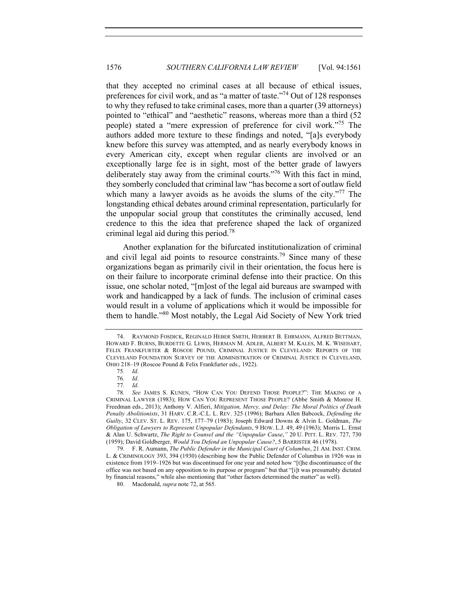that they accepted no criminal cases at all because of ethical issues, preferences for civil work, and as "a matter of taste."74 Out of 128 responses to why they refused to take criminal cases, more than a quarter (39 attorneys) pointed to "ethical" and "aesthetic" reasons, whereas more than a third (52 people) stated a "mere expression of preference for civil work."75 The authors added more texture to these findings and noted, "[a]s everybody knew before this survey was attempted, and as nearly everybody knows in every American city, except when regular clients are involved or an exceptionally large fee is in sight, most of the better grade of lawyers deliberately stay away from the criminal courts."<sup>76</sup> With this fact in mind, they somberly concluded that criminal law "has become a sort of outlaw field which many a lawyer avoids as he avoids the slums of the city."<sup>77</sup> The longstanding ethical debates around criminal representation, particularly for the unpopular social group that constitutes the criminally accused, lend credence to this the idea that preference shaped the lack of organized criminal legal aid during this period.<sup>78</sup>

Another explanation for the bifurcated institutionalization of criminal and civil legal aid points to resource constraints.<sup>79</sup> Since many of these organizations began as primarily civil in their orientation, the focus here is on their failure to incorporate criminal defense into their practice. On this issue, one scholar noted, "[m]ost of the legal aid bureaus are swamped with work and handicapped by a lack of funds. The inclusion of criminal cases would result in a volume of applications which it would be impossible for them to handle."<sup>80</sup> Most notably, the Legal Aid Society of New York tried

80. Macdonald, *supra* note 72, at 565.

<sup>74.</sup> RAYMOND FOSDICK, REGINALD HEBER SMITH, HERBERT B. EHRMANN, ALFRED BETTMAN, HOWARD F. BURNS, BURDETTE G. LEWIS, HERMAN M. ADLER, ALBERT M. KALES, M. K. WISEHART, FELIX FRANKFURTER & ROSCOE POUND, CRIMINAL JUSTICE IN CLEVELAND: REPORTS OF THE CLEVELAND FOUNDATION SURVEY OF THE ADMINISTRATION OF CRIMINAL JUSTICE IN CLEVELAND, OHIO 218–19 (Roscoe Pound & Felix Frankfurter eds., 1922).

<sup>75</sup>*. Id*.

<sup>76</sup>*. Id*.

<sup>77</sup>*. Id*.

<sup>78</sup>*. See* JAMES S. KUNEN, "HOW CAN YOU DEFEND THOSE PEOPLE?": THE MAKING OF A CRIMINAL LAWYER (1983); HOW CAN YOU REPRESENT THOSE PEOPLE? (Abbe Smith & Monroe H. Freedman eds., 2013); Anthony V. Alfieri, *Mitigation, Mercy, and Delay: The Moral Politics of Death Penalty Abolitionists*, 31 HARV. C.R.-C.L. L. REV. 325 (1996); Barbara Allen Babcock, *Defending the Guilty*, 32 CLEV. ST. L. REV. 175, 177–79 (1983); Joseph Edward Downs & Alvin L. Goldman, *The Obligation of Lawyers to Represent Unpopular Defendants*, 9 HOW. L.J. 49, 49 (1963); Morris L. Ernst & Alan U. Schwartz, *The Right to Counsel and the "Unpopular Cause*,*"* 20 U. PITT. L. REV. 727, 730 (1959); David Goldberger, *Would You Defend an Unpopular Cause?*, 5 BARRISTER 46 (1978).

<sup>79.</sup> F. R. Aumann, *The Public Defender in the Municipal Court of Columbus*, 21 AM. INST. CRIM. L. & CRIMINOLOGY 393, 394 (1930) (describing how the Public Defender of Columbus in 1926 was in existence from 1919–1926 but was discontinued for one year and noted how "[t]he discontinuance of the office was not based on any opposition to its purpose or program" but that "[i]t was presumably dictated by financial reasons," while also mentioning that "other factors determined the matter" as well).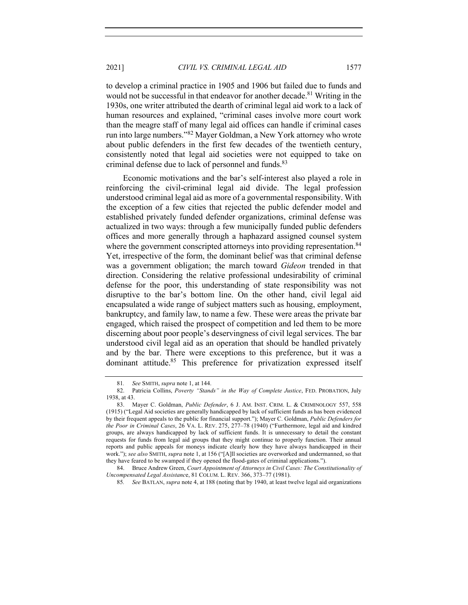to develop a criminal practice in 1905 and 1906 but failed due to funds and would not be successful in that endeavor for another decade.<sup>81</sup> Writing in the 1930s, one writer attributed the dearth of criminal legal aid work to a lack of human resources and explained, "criminal cases involve more court work than the meagre staff of many legal aid offices can handle if criminal cases run into large numbers."<sup>82</sup> Mayer Goldman, a New York attorney who wrote about public defenders in the first few decades of the twentieth century, consistently noted that legal aid societies were not equipped to take on criminal defense due to lack of personnel and funds.<sup>83</sup>

Economic motivations and the bar's self-interest also played a role in reinforcing the civil-criminal legal aid divide. The legal profession understood criminal legal aid as more of a governmental responsibility. With the exception of a few cities that rejected the public defender model and established privately funded defender organizations, criminal defense was actualized in two ways: through a few municipally funded public defenders offices and more generally through a haphazard assigned counsel system where the government conscripted attorneys into providing representation.<sup>84</sup> Yet, irrespective of the form, the dominant belief was that criminal defense was a government obligation; the march toward *Gideon* trended in that direction. Considering the relative professional undesirability of criminal defense for the poor, this understanding of state responsibility was not disruptive to the bar's bottom line. On the other hand, civil legal aid encapsulated a wide range of subject matters such as housing, employment, bankruptcy, and family law, to name a few. These were areas the private bar engaged, which raised the prospect of competition and led them to be more discerning about poor people's deservingness of civil legal services. The bar understood civil legal aid as an operation that should be handled privately and by the bar. There were exceptions to this preference, but it was a dominant attitude.<sup>85</sup> This preference for privatization expressed itself

<sup>81</sup>*. See* SMITH, *supra* note 1, at 144.

<sup>82.</sup> Patricia Collins, *Poverty "Stands" in the Way of Complete Justice*, FED. PROBATION, July 1938, at 43.

<sup>83.</sup> Mayer C. Goldman, *Public Defender*, 6 J. AM. INST. CRIM. L. & CRIMINOLOGY 557, 558 (1915) ("Legal Aid societies are generally handicapped by lack of sufficient funds as has been evidenced by their frequent appeals to the public for financial support."); Mayer C. Goldman, *Public Defenders for the Poor in Criminal Cases*, 26 VA. L. REV. 275, 277–78 (1940) ("Furthermore, legal aid and kindred groups, are always handicapped by lack of sufficient funds. It is unnecessary to detail the constant requests for funds from legal aid groups that they might continue to properly function. Their annual reports and public appeals for moneys indicate clearly how they have always handicapped in their work."); *see also* SMITH, *supra* note 1, at 156 ("[A]ll societies are overworked and undermanned, so that they have feared to be swamped if they opened the flood-gates of criminal applications.").

<sup>84.</sup> Bruce Andrew Green, *Court Appointment of Attorneys in Civil Cases: The Constitutionality of Uncompensated Legal Assistanc*e, 81 COLUM. L. REV. 366, 373–77 (1981).

<sup>85</sup>*. See* BATLAN, *supra* note 4, at 188 (noting that by 1940, at least twelve legal aid organizations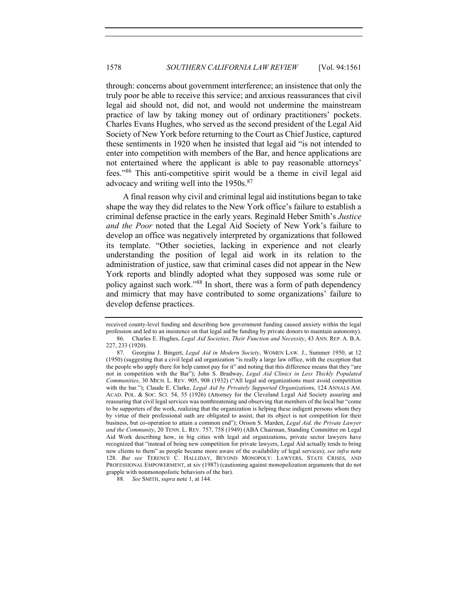through: concerns about government interference; an insistence that only the truly poor be able to receive this service; and anxious reassurances that civil legal aid should not, did not, and would not undermine the mainstream practice of law by taking money out of ordinary practitioners' pockets. Charles Evans Hughes, who served as the second president of the Legal Aid Society of New York before returning to the Court as Chief Justice, captured these sentiments in 1920 when he insisted that legal aid "is not intended to enter into competition with members of the Bar, and hence applications are not entertained where the applicant is able to pay reasonable attorneys' fees."<sup>86</sup> This anti-competitive spirit would be a theme in civil legal aid advocacy and writing well into the 1950s.<sup>87</sup>

A final reason why civil and criminal legal aid institutions began to take shape the way they did relates to the New York office's failure to establish a criminal defense practice in the early years. Reginald Heber Smith's *Justice and the Poor* noted that the Legal Aid Society of New York's failure to develop an office was negatively interpreted by organizations that followed its template. "Other societies, lacking in experience and not clearly understanding the position of legal aid work in its relation to the administration of justice, saw that criminal cases did not appear in the New York reports and blindly adopted what they supposed was some rule or policy against such work."<sup>88</sup> In short, there was a form of path dependency and mimicry that may have contributed to some organizations' failure to develop defense practices.

received county-level funding and describing how government funding caused anxiety within the legal profession and led to an insistence on that legal aid be funding by private donors to maintain autonomy). 86. Charles E. Hughes, *Legal Aid Societies, Their Function and Necessity*, 43 ANN. REP. A. B.A.

<sup>227, 233 (1920).</sup>

<sup>87.</sup> Georgina J. Bingert, *Legal Aid in Modern Society*, WOMEN LAW. J., Summer 1950, at 12 (1950) (suggesting that a civil legal aid organization "is really a large law office, with the exception that the people who apply there for help cannot pay for it" and noting that this difference means that they "are not in competition with the Bar"); John S. Bradway, *Legal Aid Clinics in Less Thickly Populated Communities*, 30 MICH. L. REV. 905, 908 (1932) ("All legal aid organizations must avoid competition with the bar."); Claude E. Clarke, *Legal Aid by Privately Supported Organization*s, 124 ANNALS AM. ACAD. POL. & SOC. SCI. 54, 55 (1926) (Attorney for the Cleveland Legal Aid Society assuring and reassuring that civil legal services was nonthreatening and observing that members of the local bar "come to be supporters of the work, realizing that the organization is helping these indigent persons whom they by virtue of their professional oath are obligated to assist, that its object is not competition for their business, but co-operation to attain a common end"); Orison S. Marden, *Legal Aid, the Private Lawyer and the Community*, 20 TENN. L. REV. 757, 758 (1949) (ABA Chairman, Standing Committee on Legal Aid Work describing how, in big cities with legal aid organizations, private sector lawyers have recognized that "instead of being new competition for private lawyers, Legal Aid actually tends to bring new clients to them" as people became more aware of the availability of legal services); *see infra* note 128. *But see* TERENCE C. HALLIDAY, BEYOND MONOPOLY: LAWYERS, STATE CRISES, AND PROFESSIONAL EMPOWERMENT, at xiv (1987) (cautioning against monopolization arguments that do not grapple with nonmonopolistic behaviors of the bar).

<sup>88</sup>*. See* SMITH, *supra* note 1, at 144.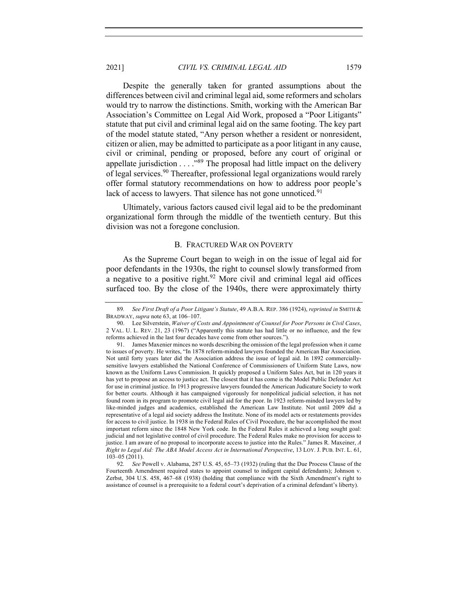2021] *CIVIL VS. CRIMINAL LEGAL AID* 1579

Despite the generally taken for granted assumptions about the differences between civil and criminal legal aid, some reformers and scholars would try to narrow the distinctions. Smith, working with the American Bar Association's Committee on Legal Aid Work, proposed a "Poor Litigants" statute that put civil and criminal legal aid on the same footing. The key part of the model statute stated, "Any person whether a resident or nonresident, citizen or alien, may be admitted to participate as a poor litigant in any cause, civil or criminal, pending or proposed, before any court of original or appellate jurisdiction  $\dots$ ."<sup>89</sup> The proposal had little impact on the delivery of legal services.<sup>90</sup> Thereafter, professional legal organizations would rarely offer formal statutory recommendations on how to address poor people's lack of access to lawyers. That silence has not gone unnoticed.<sup>91</sup>

Ultimately, various factors caused civil legal aid to be the predominant organizational form through the middle of the twentieth century. But this division was not a foregone conclusion.

#### B. FRACTURED WAR ON POVERTY

As the Supreme Court began to weigh in on the issue of legal aid for poor defendants in the 1930s, the right to counsel slowly transformed from a negative to a positive right.<sup>92</sup> More civil and criminal legal aid offices surfaced too. By the close of the 1940s, there were approximately thirty

<sup>89</sup>*. See First Draft of a Poor Litigant's Statute*, 49 A.B.A. REP. 386 (1924), *reprinted in* SMITH & BRADWAY, *supra* note 63, at 106–107.

<sup>90.</sup> Lee Silverstein, *Waiver of Costs and Appointment of Counsel for Poor Persons in Civil Cases*, 2 VAL. U. L. REV. 21, 23 (1967) ("Apparently this statute has had little or no influence, and the few reforms achieved in the last four decades have come from other sources.").

<sup>91.</sup> James Maxenier minces no words describing the omission of the legal profession when it came to issues of poverty. He writes, "In 1878 reform-minded lawyers founded the American Bar Association. Not until forty years later did the Association address the issue of legal aid. In 1892 commerciallysensitive lawyers established the National Conference of Commissioners of Uniform State Laws, now known as the Uniform Laws Commission. It quickly proposed a Uniform Sales Act, but in 120 years it has yet to propose an access to justice act. The closest that it has come is the Model Public Defender Act for use in criminal justice. In 1913 progressive lawyers founded the American Judicature Society to work for better courts. Although it has campaigned vigorously for nonpolitical judicial selection, it has not found room in its program to promote civil legal aid for the poor. In 1923 reform-minded lawyers led by like-minded judges and academics, established the American Law Institute. Not until 2009 did a representative of a legal aid society address the Institute. None of its model acts or restatements provides for access to civil justice. In 1938 in the Federal Rules of Civil Procedure, the bar accomplished the most important reform since the 1848 New York code. In the Federal Rules it achieved a long sought goal: judicial and not legislative control of civil procedure. The Federal Rules make no provision for access to justice. I am aware of no proposal to incorporate access to justice into the Rules." James R. Maxeiner, *A Right to Legal Aid: The ABA Model Access Act in International Perspective*, 13 LOY. J. PUB. INT. L. 61, 103–05 (2011).

<sup>92</sup>*. See* Powell v. Alabama, 287 U.S. 45, 65–73 (1932) (ruling that the Due Process Clause of the Fourteenth Amendment required states to appoint counsel to indigent capital defendants); Johnson v. Zerbst, 304 U.S. 458, 467–68 (1938) (holding that compliance with the Sixth Amendment's right to assistance of counsel is a prerequisite to a federal court's deprivation of a criminal defendant's liberty).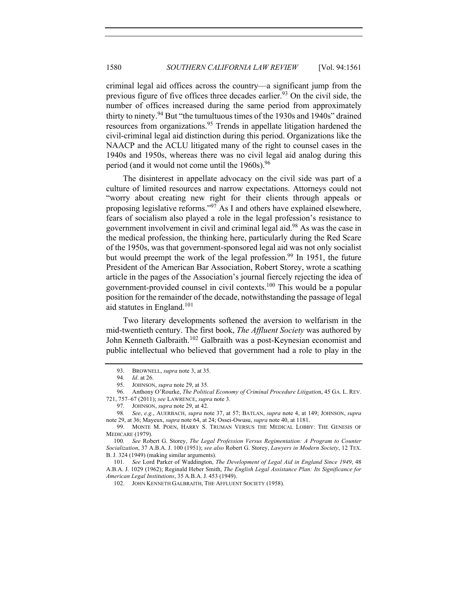criminal legal aid offices across the country—a significant jump from the previous figure of five offices three decades earlier.<sup>93</sup> On the civil side, the number of offices increased during the same period from approximately thirty to ninety.<sup>94</sup> But "the tumultuous times of the 1930s and 1940s" drained resources from organizations.<sup>95</sup> Trends in appellate litigation hardened the civil-criminal legal aid distinction during this period. Organizations like the NAACP and the ACLU litigated many of the right to counsel cases in the 1940s and 1950s, whereas there was no civil legal aid analog during this period (and it would not come until the  $1960s$ ).<sup>96</sup>

The disinterest in appellate advocacy on the civil side was part of a culture of limited resources and narrow expectations. Attorneys could not "worry about creating new right for their clients through appeals or proposing legislative reforms."<sup>97</sup> As I and others have explained elsewhere, fears of socialism also played a role in the legal profession's resistance to government involvement in civil and criminal legal aid.98 As was the case in the medical profession, the thinking here, particularly during the Red Scare of the 1950s, was that government-sponsored legal aid was not only socialist but would preempt the work of the legal profession.<sup>99</sup> In 1951, the future President of the American Bar Association, Robert Storey, wrote a scathing article in the pages of the Association's journal fiercely rejecting the idea of government-provided counsel in civil contexts.100 This would be a popular position for the remainder of the decade, notwithstanding the passage of legal aid statutes in England.<sup>101</sup>

Two literary developments softened the aversion to welfarism in the mid-twentieth century. The first book, *The Affluent Society* was authored by John Kenneth Galbraith.<sup>102</sup> Galbraith was a post-Keynesian economist and public intellectual who believed that government had a role to play in the

98*. See*, *e.g.*, AUERBACH, *supra* note 37, at 57; BATLAN, *supra* note 4, at 149; JOHNSON, *supra* note 29, at 36; Mayeux, *supra* note 64, at 24; Ossei-Owusu, *supra* note 40, at 1181.

<sup>93.</sup> BROWNELL, *supra* note 3, at 35.

<sup>94</sup>*. Id*. at 26.

<sup>95.</sup> JOHNSON, *supra* note 29, at 35.

<sup>96.</sup> Anthony O'Rourke, *The Political Economy of Criminal Procedure Litigatio*n, 45 GA. L. REV. 721, 757–67 (2011); *see* LAWRENCE, *supra* note 3.

<sup>97.</sup> JOHNSON, *supra* note 29, at 42.

<sup>99.</sup> MONTE M. POEN, HARRY S. TRUMAN VERSUS THE MEDICAL LOBBY: THE GENESIS OF MEDICARE (1979).

<sup>100</sup>*. See* Robert G. Storey, *The Legal Profession Versus Regimentation: A Program to Counter Socialization*, 37 A.B.A. J. 100 (1951); *see also* Robert G. Storey, *Lawyers in Modern Society*, 12 TEX. B. J. 324 (1949) (making similar arguments).

<sup>101</sup>*. See* Lord Parker of Waddington, *The Development of Legal Aid in England Since 1949*, 48 A.B.A. J. 1029 (1962); Reginald Heber Smith, *The English Legal Assistance Plan: Its Significance for American Legal Institutions*, 35 A.B.A. J. 453 (1949).

<sup>102.</sup> JOHN KENNETH GALBRAITH, THE AFFLUENT SOCIETY (1958).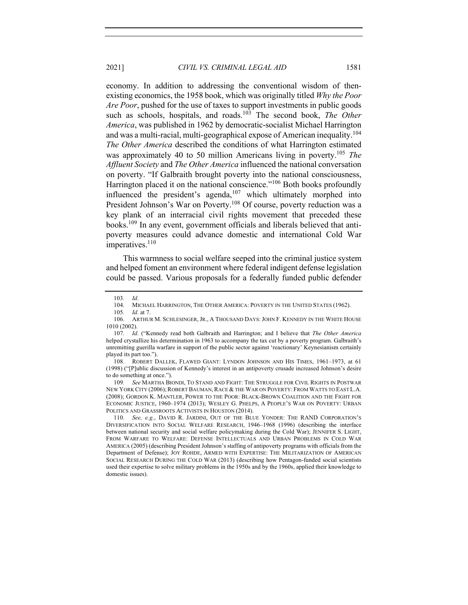economy. In addition to addressing the conventional wisdom of thenexisting economics, the 1958 book, which was originally titled *Why the Poor Are Poor*, pushed for the use of taxes to support investments in public goods such as schools, hospitals, and roads.<sup>103</sup> The second book, *The Other America*, was published in 1962 by democratic-socialist Michael Harrington and was a multi-racial, multi-geographical expose of American inequality.<sup>104</sup> *The Other America* described the conditions of what Harrington estimated was approximately 40 to 50 million Americans living in poverty.<sup>105</sup> The *Affluent Society* and *The Other America* influenced the national conversation on poverty. "If Galbraith brought poverty into the national consciousness, Harrington placed it on the national conscience."<sup>106</sup> Both books profoundly influenced the president's agenda, $107$  which ultimately morphed into President Johnson's War on Poverty.<sup>108</sup> Of course, poverty reduction was a key plank of an interracial civil rights movement that preceded these books.109 In any event, government officials and liberals believed that antipoverty measures could advance domestic and international Cold War imperatives.<sup>110</sup>

This warmness to social welfare seeped into the criminal justice system and helped foment an environment where federal indigent defense legislation could be passed. Various proposals for a federally funded public defender

109*. See* MARTHA BIONDI, TO STAND AND FIGHT: THE STRUGGLE FOR CIVIL RIGHTS IN POSTWAR NEW YORK CITY (2006); ROBERT BAUMAN, RACE & THE WAR ON POVERTY: FROM WATTS TO EAST L.A. (2008); GORDON K. MANTLER, POWER TO THE POOR: BLACK-BROWN COALITION AND THE FIGHT FOR ECONOMIC JUSTICE, 1960–1974 (2013); WESLEY G. PHELPS, A PEOPLE'S WAR ON POVERTY: URBAN POLITICS AND GRASSROOTS ACTIVISTS IN HOUSTON (2014).

<sup>103</sup>*. Id*.

MICHAEL HARRINGTON, THE OTHER AMERICA: POVERTY IN THE UNITED STATES (1962).

<sup>105</sup>*. Id*. at 7.

<sup>106.</sup> ARTHUR M. SCHLESINGER, JR., A THOUSAND DAYS: JOHN F. KENNEDY IN THE WHITE HOUSE 1010 (2002).

<sup>107</sup>*. Id*. ("Kennedy read both Galbraith and Harrington; and I believe that *The Other America* helped crystallize his determination in 1963 to accompany the tax cut by a poverty program. Galbraith's unremitting guerilla warfare in support of the public sector against 'reactionary' Keynesianism certainly played its part too.").

<sup>108.</sup> ROBERT DALLEK, FLAWED GIANT: LYNDON JOHNSON AND HIS TIMES, 1961–1973, at 61 (1998) ("[P]ublic discussion of Kennedy's interest in an antipoverty crusade increased Johnson's desire to do something at once.").

<sup>110</sup>*. See, e.g.*, DAVID R. JARDINI, OUT OF THE BLUE YONDER: THE RAND CORPORATION'S DIVERSIFICATION INTO SOCIAL WELFARE RESEARCH, 1946–1968 (1996) (describing the interface between national security and social welfare policymaking during the Cold War); JENNIFER S. LIGHT, FROM WARFARE TO WELFARE: DEFENSE INTELLECTUALS AND URBAN PROBLEMS IN COLD WAR AMERICA (2005) (describing President Johnson's staffing of antipoverty programs with officials from the Department of Defense); JOY ROHDE, ARMED WITH EXPERTISE: THE MILITARIZATION OF AMERICAN SOCIAL RESEARCH DURING THE COLD WAR (2013) (describing how Pentagon-funded social scientists used their expertise to solve military problems in the 1950s and by the 1960s, applied their knowledge to domestic issues).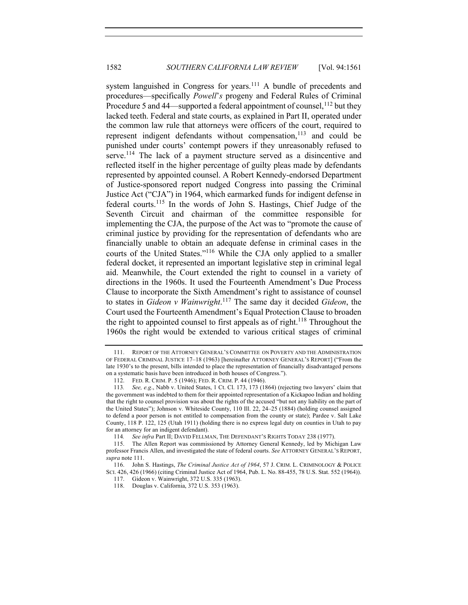system languished in Congress for years.<sup>111</sup> A bundle of precedents and procedures—specifically *Powell*'*s* progeny and Federal Rules of Criminal Procedure 5 and 44—supported a federal appointment of counsel,  $^{112}$  but they lacked teeth. Federal and state courts, as explained in Part II, operated under the common law rule that attorneys were officers of the court, required to represent indigent defendants without compensation,  $113$  and could be punished under courts' contempt powers if they unreasonably refused to serve.<sup>114</sup> The lack of a payment structure served as a disincentive and reflected itself in the higher percentage of guilty pleas made by defendants represented by appointed counsel. A Robert Kennedy-endorsed Department of Justice-sponsored report nudged Congress into passing the Criminal Justice Act ("CJA") in 1964, which earmarked funds for indigent defense in federal courts.<sup>115</sup> In the words of John S. Hastings, Chief Judge of the Seventh Circuit and chairman of the committee responsible for implementing the CJA, the purpose of the Act was to "promote the cause of criminal justice by providing for the representation of defendants who are financially unable to obtain an adequate defense in criminal cases in the courts of the United States."116 While the CJA only applied to a smaller federal docket, it represented an important legislative step in criminal legal aid. Meanwhile, the Court extended the right to counsel in a variety of directions in the 1960s. It used the Fourteenth Amendment's Due Process Clause to incorporate the Sixth Amendment's right to assistance of counsel to states in *Gideon v Wainwright*. <sup>117</sup> The same day it decided *Gideon*, the Court used the Fourteenth Amendment's Equal Protection Clause to broaden the right to appointed counsel to first appeals as of right.<sup>118</sup> Throughout the 1960s the right would be extended to various critical stages of criminal

<sup>111.</sup> REPORT OF THE ATTORNEY GENERAL'S COMMITTEE ON POVERTY AND THE ADMINISTRATION OF FEDERAL CRIMINAL JUSTICE 17–18 (1963) [hereinafter ATTORNEY GENERAL'S REPORT] ("From the late 1930's to the present, bills intended to place the representation of financially disadvantaged persons on a systematic basis have been introduced in both houses of Congress.").

<sup>112.</sup> FED. R. CRIM. P. 5 (1946); FED. R. CRIM. P. 44 (1946).

<sup>113</sup>*. See, e.g*., Nabb v. United States, 1 Ct. Cl. 173, 173 (1864) (rejecting two lawyers' claim that the government was indebted to them for their appointed representation of a Kickapoo Indian and holding that the right to counsel provision was about the rights of the accused "but not any liability on the part of the United States"); Johnson v. Whiteside County, 110 Ill. 22, 24–25 (1884) (holding counsel assigned to defend a poor person is not entitled to compensation from the county or state); Pardee v. Salt Lake County, 118 P. 122, 125 (Utah 1911) (holding there is no express legal duty on counties in Utah to pay for an attorney for an indigent defendant).

<sup>114</sup>*. See infra* Part II; DAVID FELLMAN, THE DEFENDANT'S RIGHTS TODAY 238 (1977).

<sup>115.</sup> The Allen Report was commissioned by Attorney General Kennedy, led by Michigan Law professor Francis Allen, and investigated the state of federal courts. *See* ATTORNEY GENERAL'S REPORT, *supra* note 111.

<sup>116.</sup> John S. Hastings, *The Criminal Justice Act of 1964*, 57 J. CRIM. L. CRIMINOLOGY & POLICE SCI. 426, 426 (1966) (citing Criminal Justice Act of 1964, Pub. L. No. 88-455, 78 U.S. Stat. 552 (1964)).

<sup>117.</sup> Gideon v. Wainwright, 372 U.S. 335 (1963).

<sup>118.</sup> Douglas v. California, 372 U.S. 353 (1963).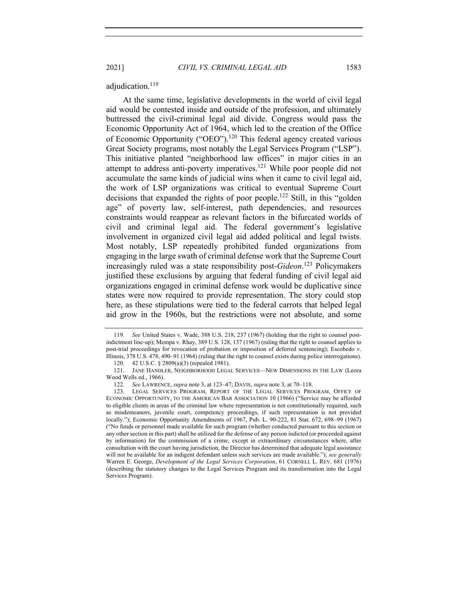2021] *CIVIL VS. CRIMINAL LEGAL AID* 1583

adjudication.<sup>119</sup>

At the same time, legislative developments in the world of civil legal aid would be contested inside and outside of the profession, and ultimately buttressed the civil-criminal legal aid divide. Congress would pass the Economic Opportunity Act of 1964, which led to the creation of the Office of Economic Opportunity ("OEO").<sup>120</sup> This federal agency created various Great Society programs, most notably the Legal Services Program ("LSP"). This initiative planted "neighborhood law offices" in major cities in an attempt to address anti-poverty imperatives.<sup>121</sup> While poor people did not accumulate the same kinds of judicial wins when it came to civil legal aid, the work of LSP organizations was critical to eventual Supreme Court decisions that expanded the rights of poor people.<sup>122</sup> Still, in this "golden age" of poverty law, self-interest, path dependencies, and resources constraints would reappear as relevant factors in the bifurcated worlds of civil and criminal legal aid. The federal government's legislative involvement in organized civil legal aid added political and legal twists. Most notably, LSP repeatedly prohibited funded organizations from engaging in the large swath of criminal defense work that the Supreme Court increasingly ruled was a state responsibility post-*Gideon*. <sup>123</sup> Policymakers justified these exclusions by arguing that federal funding of civil legal aid organizations engaged in criminal defense work would be duplicative since states were now required to provide representation. The story could stop here, as these stipulations were tied to the federal carrots that helped legal aid grow in the 1960s, but the restrictions were not absolute, and some

120. 42 U.S.C. § 2809(a)(3) (repealed 1981).

<sup>119</sup>*. See* United States v. Wade, 388 U.S. 218, 237 (1967) (holding that the right to counsel postindictment line-up); Mempa v. Rhay, 389 U.S. 128, 137 (1967) (ruling that the right to counsel applies to post-trial proceedings for revocation of probation or imposition of deferred sentencing); Escobedo v. Illinois, 378 U.S. 478, 490–91 (1964) (ruling that the right to counsel exists during police interrogations).

<sup>121.</sup> JANE HANDLER, NEIGHBORHOOD LEGAL SERVICES—NEW DIMENSIONS IN THE LAW (Leora Wood Wells ed., 1966).

<sup>122</sup>*. See* LAWRENCE, *supra* note 3, at 123–47; DAVIS, *supra* note 3, at 70–118.

<sup>123.</sup> LEGAL SERVICES PROGRAM, REPORT OF THE LEGAL SERVICES PROGRAM, OFFICE OF ECONOMIC OPPORTUNITY, TO THE AMERICAN BAR ASSOCIATION 10 (1966) ("Service may be afforded to eligible clients in areas of the criminal law where representation is not constitutionally required, such as misdemeanors, juvenile court, competency proceedings, if such representation is not provided locally."); Economic Opportunity Amendments of 1967, Pub. L. 90-222, 81 Stat. 672, 698–99 (1967) ("No funds or personnel made available for such program (whether conducted pursuant to this section or any other section in this part) shall be utilized for the defense of any person indicted (or proceeded against by information) for the commission of a crime, except in extraordinary circumstances where, after consultation with the court having jurisdiction, the Director has determined that adequate legal assistance will not be available for an indigent defendant unless such services are made available."); *see generally* Warren E. George, *Development of the Legal Services Corporation*, 61 CORNELL L. REV. 681 (1976) (describing the statutory changes to the Legal Services Program and its transformation into the Legal Services Program).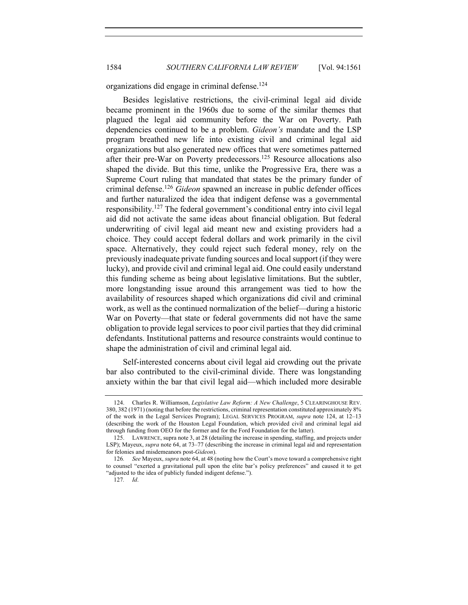organizations did engage in criminal defense.<sup>124</sup>

Besides legislative restrictions, the civil-criminal legal aid divide became prominent in the 1960s due to some of the similar themes that plagued the legal aid community before the War on Poverty. Path dependencies continued to be a problem. *Gideon's* mandate and the LSP program breathed new life into existing civil and criminal legal aid organizations but also generated new offices that were sometimes patterned after their pre-War on Poverty predecessors.<sup>125</sup> Resource allocations also shaped the divide. But this time, unlike the Progressive Era, there was a Supreme Court ruling that mandated that states be the primary funder of criminal defense.126 *Gideon* spawned an increase in public defender offices and further naturalized the idea that indigent defense was a governmental responsibility.<sup>127</sup> The federal government's conditional entry into civil legal aid did not activate the same ideas about financial obligation. But federal underwriting of civil legal aid meant new and existing providers had a choice. They could accept federal dollars and work primarily in the civil space. Alternatively, they could reject such federal money, rely on the previously inadequate private funding sources and local support (if they were lucky), and provide civil and criminal legal aid. One could easily understand this funding scheme as being about legislative limitations. But the subtler, more longstanding issue around this arrangement was tied to how the availability of resources shaped which organizations did civil and criminal work, as well as the continued normalization of the belief—during a historic War on Poverty—that state or federal governments did not have the same obligation to provide legal services to poor civil parties that they did criminal defendants. Institutional patterns and resource constraints would continue to shape the administration of civil and criminal legal aid.

Self-interested concerns about civil legal aid crowding out the private bar also contributed to the civil-criminal divide. There was longstanding anxiety within the bar that civil legal aid—which included more desirable

<sup>124.</sup> Charles R. Williamson, *Legislative Law Reform: A New Challenge*, 5 CLEARINGHOUSE REV. 380, 382 (1971) (noting that before the restrictions, criminal representation constituted approximately 8% of the work in the Legal Services Program); LEGAL SERVICES PROGRAM, *supra* note 124, at 12–13 (describing the work of the Houston Legal Foundation, which provided civil and criminal legal aid through funding from OEO for the former and for the Ford Foundation for the latter).

<sup>125.</sup> LAWRENCE, supra note 3, at 28 (detailing the increase in spending, staffing, and projects under LSP); Mayeux, *supra* note 64, at 73–77 (describing the increase in criminal legal aid and representation for felonies and misdemeanors post-*Gideon*).

<sup>126</sup>*. See* Mayeux, *supra* note 64, at 48 (noting how the Court's move toward a comprehensive right to counsel "exerted a gravitational pull upon the elite bar's policy preferences" and caused it to get "adjusted to the idea of publicly funded indigent defense.").

<sup>127</sup>*. Id*.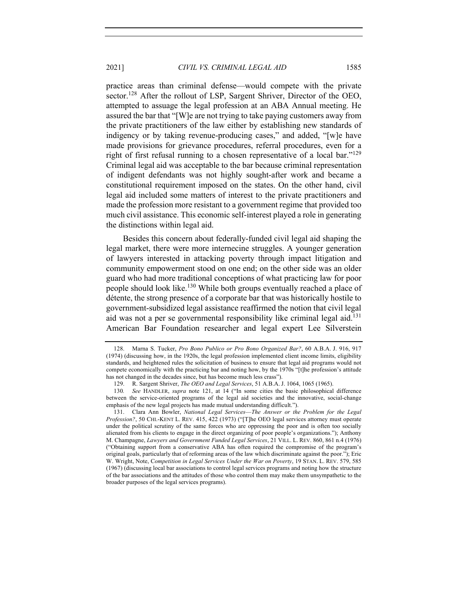practice areas than criminal defense—would compete with the private sector.<sup>128</sup> After the rollout of LSP, Sargent Shriver, Director of the OEO, attempted to assuage the legal profession at an ABA Annual meeting. He assured the bar that "[W]e are not trying to take paying customers away from the private practitioners of the law either by establishing new standards of indigency or by taking revenue-producing cases," and added, "[w]e have made provisions for grievance procedures, referral procedures, even for a right of first refusal running to a chosen representative of a local bar."<sup>129</sup> Criminal legal aid was acceptable to the bar because criminal representation of indigent defendants was not highly sought-after work and became a constitutional requirement imposed on the states. On the other hand, civil legal aid included some matters of interest to the private practitioners and made the profession more resistant to a government regime that provided too much civil assistance. This economic self-interest played a role in generating the distinctions within legal aid.

Besides this concern about federally-funded civil legal aid shaping the legal market, there were more internecine struggles. A younger generation of lawyers interested in attacking poverty through impact litigation and community empowerment stood on one end; on the other side was an older guard who had more traditional conceptions of what practicing law for poor people should look like.<sup>130</sup> While both groups eventually reached a place of détente, the strong presence of a corporate bar that was historically hostile to government-subsidized legal assistance reaffirmed the notion that civil legal aid was not a per se governmental responsibility like criminal legal aid.<sup>131</sup> American Bar Foundation researcher and legal expert Lee Silverstein

<sup>128.</sup> Marna S. Tucker, *Pro Bono Publico or Pro Bono Organized Bar?*, 60 A.B.A. J. 916, 917 (1974) (discussing how, in the 1920s, the legal profession implemented client income limits, eligibility standards, and heightened rules the solicitation of business to ensure that legal aid programs would not compete economically with the practicing bar and noting how, by the 1970s "[t]he profession's attitude has not changed in the decades since, but has become much less crass").

<sup>129.</sup> R. Sargent Shriver, *The OEO and Legal Services*, 51 A.B.A. J. 1064, 1065 (1965).

<sup>130</sup>*. See* HANDLER, *supra* note 121, at 14 ("In some cities the basic philosophical difference between the service-oriented programs of the legal aid societies and the innovative, social-change emphasis of the new legal projects has made mutual understanding difficult.").

<sup>131.</sup> Clara Ann Bowler, *National Legal Services*—*The Answer or the Problem for the Legal Profession?*, 50 CHI.-KENT L. REV. 415, 422 (1973) ("[T]he OEO legal services attorney must operate under the political scrutiny of the same forces who are oppressing the poor and is often too socially alienated from his clients to engage in the direct organizing of poor people's organizations."); Anthony M. Champagne, *Lawyers and Government Funded Legal Services*, 21 VILL. L. REV. 860, 861 n.4 (1976) ("Obtaining support from a conservative ABA has often required the compromise of the program's original goals, particularly that of reforming areas of the law which discriminate against the poor."); Eric W. Wright, Note, C*ompetition in Legal Services Under the War on Poverty*, 19 STAN. L. REV. 579, 585 (1967) (discussing local bar associations to control legal services programs and noting how the structure of the bar associations and the attitudes of those who control them may make them unsympathetic to the broader purposes of the legal services programs).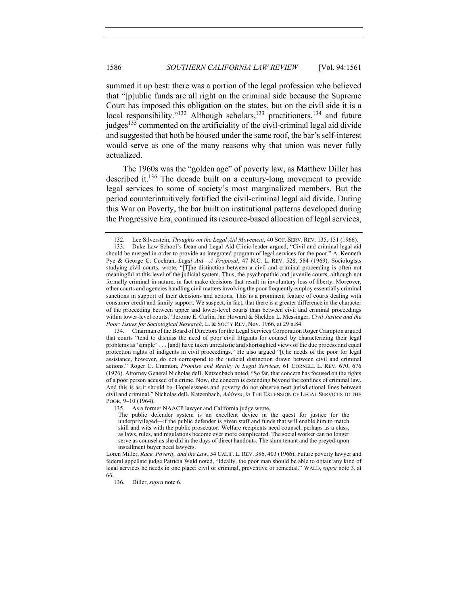summed it up best: there was a portion of the legal profession who believed that "[p]ublic funds are all right on the criminal side because the Supreme Court has imposed this obligation on the states, but on the civil side it is a local responsibility."<sup>132</sup> Although scholars,<sup>133</sup> practitioners,<sup>134</sup> and future judges<sup>135</sup> commented on the artificiality of the civil-criminal legal aid divide and suggested that both be housed under the same roof, the bar's self-interest would serve as one of the many reasons why that union was never fully actualized.

The 1960s was the "golden age" of poverty law, as Matthew Diller has described it.136 The decade built on a century-long movement to provide legal services to some of society's most marginalized members. But the period counterintuitively fortified the civil-criminal legal aid divide. During this War on Poverty, the bar built on institutional patterns developed during the Progressive Era, continued its resource-based allocation of legal services,

135. As a former NAACP lawyer and California judge wrote,

The public defender system is an excellent device in the quest for justice for the underprivileged––if the public defender is given staff and funds that will enable him to match skill and wits with the public prosecutor. Welfare recipients need counsel, perhaps as a class, as laws, rules, and regulations become ever more complicated. The social worker can no longer serve as counsel as she did in the days of direct handouts. The slum tenant and the preyed-upon installment buyer need lawyers.

Loren Miller, *Race, Poverty, and the Law*, 54 CALIF. L. REV. 386, 403 (1966). Future poverty lawyer and federal appellate judge Patricia Wald noted, "Ideally, the poor man should be able to obtain any kind of legal services he needs in one place: civil or criminal, preventive or remedial." WALD, *supra* note 3, at 66.

136. Diller, *supra* note 6.

<sup>132.</sup> Lee Silverstein, *Thoughts on the Legal Aid Movement*, 40 SOC. SERV. REV. 135, 151 (1966).

<sup>133.</sup> Duke Law School's Dean and Legal Aid Clinic leader argued, "Civil and criminal legal aid should be merged in order to provide an integrated program of legal services for the poor." A. Kenneth Pye & George C. Cochran, *Legal Aid*—*A Proposal*, 47 N.C. L. REV. 528, 584 (1969). Sociologists studying civil courts, wrote, "[T]he distinction between a civil and criminal proceeding is often not meaningful at this level of the judicial system. Thus, the psychopathic and juvenile courts, although not formally criminal in nature, in fact make decisions that result in involuntary loss of liberty. Moreover, other courts and agencies handling civil matters involving the poor frequently employ essentially criminal sanctions in support of their decisions and actions. This is a prominent feature of courts dealing with consumer credit and family support. We suspect, in fact, that there is a greater difference in the character of the proceeding between upper and lower-level courts than between civil and criminal proceedings within lower-level courts." Jerome E. Carlin, Jan Howard & Sheldon L. Messinger, *Civil Justice and the Poor: Issues for Sociological Research*, L. & SOC'Y REV, Nov. 1966, at 29 n.84.

<sup>134.</sup> Chairman of the Board of Directors for the Legal Services Corporation Roger Crampton argued that courts "tend to dismiss the need of poor civil litigants for counsel by characterizing their legal problems as 'simple' . . . [and] have taken unrealistic and shortsighted views of the due process and equal protection rights of indigents in civil proceedings." He also argued "[t]he needs of the poor for legal assistance, however, do not correspond to the judicial distinction drawn between civil and criminal actions." Roger C. Cramton, *Promise and Reality in Legal Services*, 61 CORNELL L. REV. 670, 676 (1976). Attorney General Nicholas deB. Katzenbach noted, "So far, that concern has focused on the rights of a poor person accused of a crime. Now, the concern is extending beyond the confines of criminal law. And this is as it should be. Hopelessness and poverty do not observe neat jurisdictional lines between civil and criminal." Nicholas deB. Katzenbach, *Address*, *in* THE EXTENSION OF LEGAL SERVICES TO THE POOR, 9–10 (1964).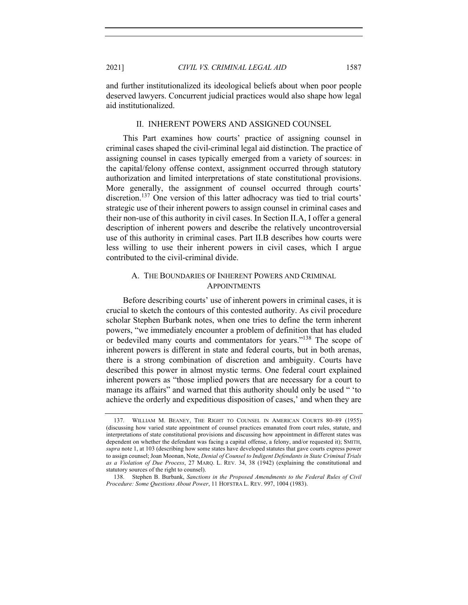and further institutionalized its ideological beliefs about when poor people deserved lawyers. Concurrent judicial practices would also shape how legal aid institutionalized.

## II. INHERENT POWERS AND ASSIGNED COUNSEL

This Part examines how courts' practice of assigning counsel in criminal cases shaped the civil-criminal legal aid distinction. The practice of assigning counsel in cases typically emerged from a variety of sources: in the capital/felony offense context, assignment occurred through statutory authorization and limited interpretations of state constitutional provisions. More generally, the assignment of counsel occurred through courts' discretion.<sup>137</sup> One version of this latter adhocracy was tied to trial courts' strategic use of their inherent powers to assign counsel in criminal cases and their non-use of this authority in civil cases. In Section II.A, I offer a general description of inherent powers and describe the relatively uncontroversial use of this authority in criminal cases. Part II.B describes how courts were less willing to use their inherent powers in civil cases, which I argue contributed to the civil-criminal divide.

# A. THE BOUNDARIES OF INHERENT POWERS AND CRIMINAL APPOINTMENTS

Before describing courts' use of inherent powers in criminal cases, it is crucial to sketch the contours of this contested authority. As civil procedure scholar Stephen Burbank notes, when one tries to define the term inherent powers, "we immediately encounter a problem of definition that has eluded or bedeviled many courts and commentators for years."138 The scope of inherent powers is different in state and federal courts, but in both arenas, there is a strong combination of discretion and ambiguity. Courts have described this power in almost mystic terms. One federal court explained inherent powers as "those implied powers that are necessary for a court to manage its affairs" and warned that this authority should only be used " 'to achieve the orderly and expeditious disposition of cases,' and when they are

<sup>137.</sup> WILLIAM M. BEANEY, THE RIGHT TO COUNSEL IN AMERICAN COURTS 80–89 (1955) (discussing how varied state appointment of counsel practices emanated from court rules, statute, and interpretations of state constitutional provisions and discussing how appointment in different states was dependent on whether the defendant was facing a capital offense, a felony, and/or requested it); SMITH, *supra* note 1, at 103 (describing how some states have developed statutes that gave courts express power to assign counsel; Joan Moonan, Note, *Denial of Counsel to Indigent Defendants in State Criminal Trials as a Violation of Due Process*, 27 MARQ. L. REV. 34, 38 (1942) (explaining the constitutional and statutory sources of the right to counsel).

<sup>138.</sup> Stephen B. Burbank, *Sanctions in the Proposed Amendments to the Federal Rules of Civil Procedure: Some Questions About Power*, 11 HOFSTRA L. REV. 997, 1004 (1983).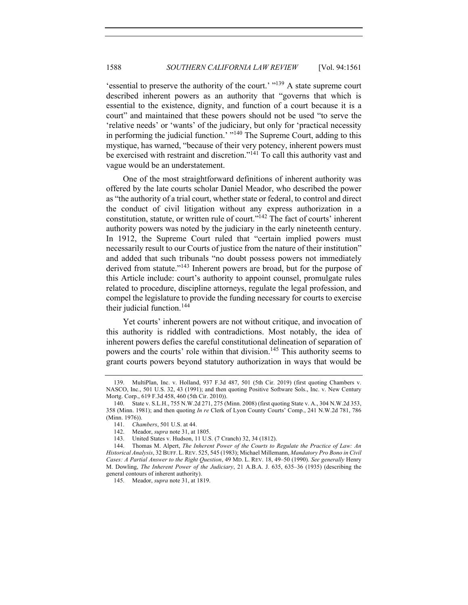'essential to preserve the authority of the court.' "139 A state supreme court described inherent powers as an authority that "governs that which is essential to the existence, dignity, and function of a court because it is a court" and maintained that these powers should not be used "to serve the 'relative needs' or 'wants' of the judiciary, but only for 'practical necessity in performing the judicial function.' "<sup>140</sup> The Supreme Court, adding to this mystique, has warned, "because of their very potency, inherent powers must be exercised with restraint and discretion."<sup>141</sup> To call this authority vast and vague would be an understatement.

One of the most straightforward definitions of inherent authority was offered by the late courts scholar Daniel Meador, who described the power as "the authority of a trial court, whether state or federal, to control and direct the conduct of civil litigation without any express authorization in a constitution, statute, or written rule of court."<sup>142</sup> The fact of courts' inherent authority powers was noted by the judiciary in the early nineteenth century. In 1912, the Supreme Court ruled that "certain implied powers must necessarily result to our Courts of justice from the nature of their institution" and added that such tribunals "no doubt possess powers not immediately derived from statute."<sup>143</sup> Inherent powers are broad, but for the purpose of this Article include: court's authority to appoint counsel, promulgate rules related to procedure, discipline attorneys, regulate the legal profession, and compel the legislature to provide the funding necessary for courts to exercise their judicial function. $144$ 

Yet courts' inherent powers are not without critique, and invocation of this authority is riddled with contradictions. Most notably, the idea of inherent powers defies the careful constitutional delineation of separation of powers and the courts' role within that division.<sup>145</sup> This authority seems to grant courts powers beyond statutory authorization in ways that would be

145. Meador, *supra* note 31, at 1819.

<sup>139.</sup> MultiPlan, Inc. v. Holland, 937 F.3d 487, 501 (5th Cir. 2019) (first quoting Chambers v. NASCO, Inc., 501 U.S. 32, 43 (1991); and then quoting Positive Software Sols., Inc. v. New Century Mortg. Corp., 619 F.3d 458, 460 (5th Cir. 2010)).

<sup>140.</sup> State v. S.L.H., 755 N.W.2d 271, 275 (Minn. 2008) (first quoting State v. A., 304 N.W.2d 353, 358 (Minn. 1981); and then quoting *In re* Clerk of Lyon County Courts' Comp., 241 N.W.2d 781, 786 (Minn. 1976)).

<sup>141.</sup> *Chambers*, 501 U.S. at 44.

<sup>142.</sup> Meador, *supra* note 31, at 1805.

<sup>143.</sup> United States v. Hudson, 11 U.S. (7 Cranch) 32, 34 (1812).

<sup>144.</sup> Thomas M. Alpert, *The Inherent Power of the Courts to Regulate the Practice of Law: An Historical Analysis*, 32 BUFF. L.REV. 525, 545 (1983); Michael Millemann, *Mandatory Pro Bono in Civil Cases: A Partial Answer to the Right Question*, 49 MD. L. REV. 18, 49–50 (1990). *See generally* Henry M. Dowling, *The Inherent Power of the Judiciary*, 21 A.B.A. J. 635, 635–36 (1935) (describing the general contours of inherent authority).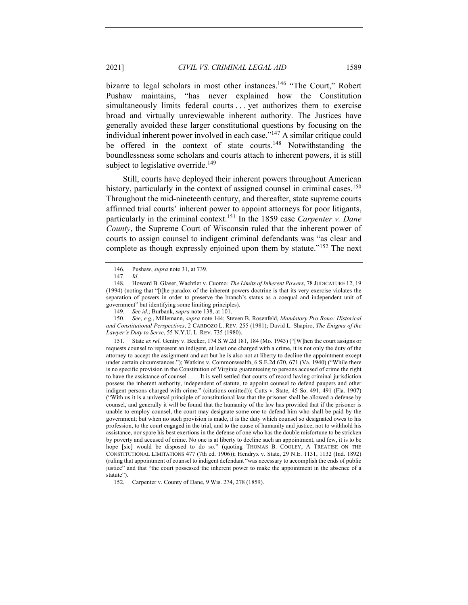bizarre to legal scholars in most other instances.<sup>146</sup> "The Court," Robert Pushaw maintains, "has never explained how the Constitution simultaneously limits federal courts . . . yet authorizes them to exercise broad and virtually unreviewable inherent authority. The Justices have generally avoided these larger constitutional questions by focusing on the individual inherent power involved in each case."<sup>147</sup> A similar critique could be offered in the context of state courts.<sup>148</sup> Notwithstanding the boundlessness some scholars and courts attach to inherent powers, it is still subject to legislative override.<sup>149</sup>

Still, courts have deployed their inherent powers throughout American history, particularly in the context of assigned counsel in criminal cases.<sup>150</sup> Throughout the mid-nineteenth century, and thereafter, state supreme courts affirmed trial courts' inherent power to appoint attorneys for poor litigants, particularly in the criminal context.151 In the 1859 case *Carpenter v. Dane County*, the Supreme Court of Wisconsin ruled that the inherent power of courts to assign counsel to indigent criminal defendants was "as clear and complete as though expressly enjoined upon them by statute."<sup>152</sup> The next

150*. See*, *e.g.*, Millemann, *supra* note 144; Steven B. Rosenfeld, *Mandatory Pro Bono: Historical and Constitutional Perspectives*, 2 CARDOZO L. REV. 255 (1981); David L. Shapiro, *The Enigma of the Lawyer's Duty to Serve*, 55 N.Y.U. L. REV. 735 (1980).

151. State *ex rel.* Gentry v. Becker, 174 S.W.2d 181, 184 (Mo. 1943) ("[W]hen the court assigns or requests counsel to represent an indigent, at least one charged with a crime, it is not only the duty of the attorney to accept the assignment and act but he is also not at liberty to decline the appointment except under certain circumstances."); Watkins v. Commonwealth, 6 S.E.2d 670, 671 (Va. 1940) ("While there is no specific provision in the Constitution of Virginia guaranteeing to persons accused of crime the right to have the assistance of counsel . . . . It is well settled that courts of record having criminal jurisdiction possess the inherent authority, independent of statute, to appoint counsel to defend paupers and other indigent persons charged with crime." (citations omitted)); Cutts v. State, 45 So. 491, 491 (Fla. 1907) ("With us it is a universal principle of constitutional law that the prisoner shall be allowed a defense by counsel, and generally it will be found that the humanity of the law has provided that if the prisoner is unable to employ counsel, the court may designate some one to defend him who shall be paid by the government; but when no such provision is made, it is the duty which counsel so designated owes to his profession, to the court engaged in the trial, and to the cause of humanity and justice, not to withhold his assistance, nor spare his best exertions in the defense of one who has the double misfortune to be stricken by poverty and accused of crime. No one is at liberty to decline such an appointment, and few, it is to be hope [sic] would be disposed to do so." (quoting THOMAS B. COOLEY, A TREATISE ON THE CONSTITUTIONAL LIMITATIONS 477 (7th ed. 1906)); Hendryx v. State, 29 N.E. 1131, 1132 (Ind. 1892) (ruling that appointment of counsel to indigent defendant "was necessary to accomplish the ends of public justice" and that "the court possessed the inherent power to make the appointment in the absence of a statute").

152. Carpenter v. County of Dane, 9 Wis. 274, 278 (1859).

<sup>146.</sup> Pushaw, *supra* note 31, at 739.

<sup>147</sup>*. Id*.

<sup>148.</sup> Howard B. Glaser, Wachtler v. Cuomo*: The Limits of Inherent Powers*, 78 JUDICATURE 12, 19 (1994) (noting that "[t]he paradox of the inherent powers doctrine is that its very exercise violates the separation of powers in order to preserve the branch's status as a coequal and independent unit of government" but identifying some limiting principles).

<sup>149</sup>*. See id*.; Burbank, *supra* note 138, at 101.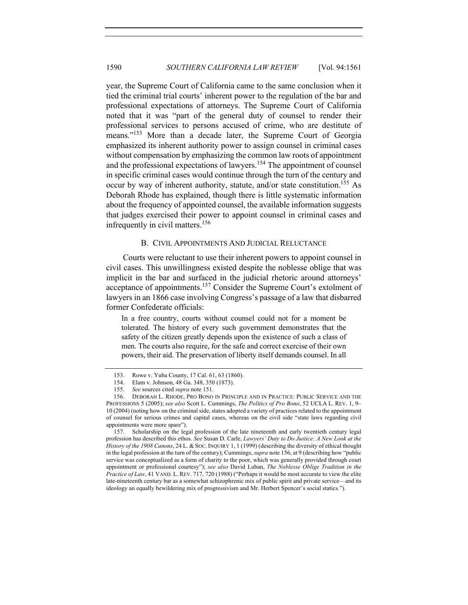year, the Supreme Court of California came to the same conclusion when it tied the criminal trial courts' inherent power to the regulation of the bar and professional expectations of attorneys. The Supreme Court of California noted that it was "part of the general duty of counsel to render their professional services to persons accused of crime, who are destitute of means."<sup>153</sup> More than a decade later, the Supreme Court of Georgia emphasized its inherent authority power to assign counsel in criminal cases without compensation by emphasizing the common law roots of appointment and the professional expectations of lawyers.<sup>154</sup> The appointment of counsel in specific criminal cases would continue through the turn of the century and occur by way of inherent authority, statute, and/or state constitution.<sup>155</sup> As Deborah Rhode has explained, though there is little systematic information about the frequency of appointed counsel, the available information suggests that judges exercised their power to appoint counsel in criminal cases and infrequently in civil matters.<sup>156</sup>

### B. CIVIL APPOINTMENTS AND JUDICIAL RELUCTANCE

Courts were reluctant to use their inherent powers to appoint counsel in civil cases. This unwillingness existed despite the noblesse oblige that was implicit in the bar and surfaced in the judicial rhetoric around attorneys' acceptance of appointments.<sup>157</sup> Consider the Supreme Court's extolment of lawyers in an 1866 case involving Congress's passage of a law that disbarred former Confederate officials:

In a free country, courts without counsel could not for a moment be tolerated. The history of every such government demonstrates that the safety of the citizen greatly depends upon the existence of such a class of men. The courts also require, for the safe and correct exercise of their own powers, their aid. The preservation of liberty itself demands counsel. In all

<sup>153.</sup> Rowe v. Yuba County, 17 Cal. 61, 63 (1860).

<sup>154.</sup> Elam v. Johnson, 48 Ga. 348, 350 (1873).

<sup>155</sup>*. See* sources cited *supra* note 151.

<sup>156.</sup> DEBORAH L. RHODE, PRO BONO IN PRINCIPLE AND IN PRACTICE: PUBLIC SERVICE AND THE PROFESSIONS 5 (2005); *see also* Scott L. Cummings, *The Politics of Pro Bono*, 52 UCLA L. REV. 1, 9– 10 (2004) (noting how on the criminal side, states adopted a variety of practices related to the appointment of counsel for serious crimes and capital cases, whereas on the civil side "state laws regarding civil appointments were more spare").

<sup>157.</sup> Scholarship on the legal profession of the late nineteenth and early twentieth century legal profession has described this ethos. *See* Susan D. Carle, *Lawyers' Duty to Do Justice: A New Look at the History of the 1908 Canons*, 24 L. & SOC. INQUIRY 1, 1 (1999) (describing the diversity of ethical thought in the legal profession at the turn of the century); Cummings, *supra* note 156, at 9 (describing how "public service was conceptualized as a form of charity to the poor, which was generally provided through court appointment or professional courtesy"); *see also* David Luban, *The Noblesse Oblige Tradition in the Practice of Law*, 41 VAND. L. REV. 717, 720 (1988) ("Perhaps it would be most accurate to view the elite late-nineteenth century bar as a somewhat schizophrenic mix of public spirit and private service—and its ideology an equally bewildering mix of progressivism and Mr. Herbert Spencer's social statics.").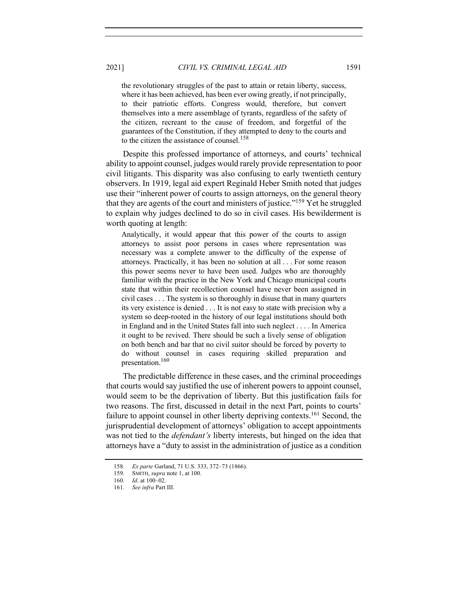the revolutionary struggles of the past to attain or retain liberty, success, where it has been achieved, has been ever owing greatly, if not principally, to their patriotic efforts. Congress would, therefore, but convert themselves into a mere assemblage of tyrants, regardless of the safety of the citizen, recreant to the cause of freedom, and forgetful of the guarantees of the Constitution, if they attempted to deny to the courts and to the citizen the assistance of counsel.<sup>158</sup>

Despite this professed importance of attorneys, and courts' technical ability to appoint counsel, judges would rarely provide representation to poor civil litigants. This disparity was also confusing to early twentieth century observers. In 1919, legal aid expert Reginald Heber Smith noted that judges use their "inherent power of courts to assign attorneys, on the general theory that they are agents of the court and ministers of justice."<sup>159</sup> Yet he struggled to explain why judges declined to do so in civil cases. His bewilderment is worth quoting at length:

Analytically, it would appear that this power of the courts to assign attorneys to assist poor persons in cases where representation was necessary was a complete answer to the difficulty of the expense of attorneys. Practically, it has been no solution at all . . . For some reason this power seems never to have been used. Judges who are thoroughly familiar with the practice in the New York and Chicago municipal courts state that within their recollection counsel have never been assigned in civil cases . . . The system is so thoroughly in disuse that in many quarters its very existence is denied . . . It is not easy to state with precision why a system so deep-rooted in the history of our legal institutions should both in England and in the United States fall into such neglect . . . . In America it ought to be revived. There should be such a lively sense of obligation on both bench and bar that no civil suitor should be forced by poverty to do without counsel in cases requiring skilled preparation and presentation.160

The predictable difference in these cases, and the criminal proceedings that courts would say justified the use of inherent powers to appoint counsel, would seem to be the deprivation of liberty. But this justification fails for two reasons. The first, discussed in detail in the next Part, points to courts' failure to appoint counsel in other liberty depriving contexts.<sup>161</sup> Second, the jurisprudential development of attorneys' obligation to accept appointments was not tied to the *defendant's* liberty interests, but hinged on the idea that attorneys have a "duty to assist in the administration of justice as a condition

<sup>158</sup>*. Ex parte* Garland, 71 U.S. 333, 372–73 (1866).

<sup>159.</sup> SMITH, *supra* note 1, at 100.

<sup>160</sup>*. Id*. at 100–02.

<sup>161</sup>*. See infra* Part III.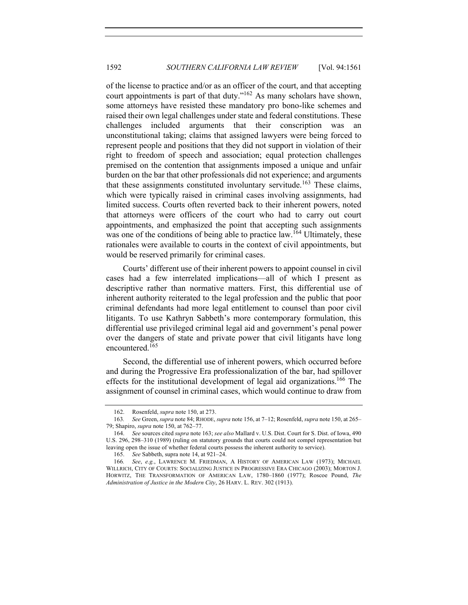of the license to practice and/or as an officer of the court, and that accepting court appointments is part of that duty."162 As many scholars have shown, some attorneys have resisted these mandatory pro bono-like schemes and raised their own legal challenges under state and federal constitutions. These challenges included arguments that their conscription was an unconstitutional taking; claims that assigned lawyers were being forced to represent people and positions that they did not support in violation of their right to freedom of speech and association; equal protection challenges premised on the contention that assignments imposed a unique and unfair burden on the bar that other professionals did not experience; and arguments that these assignments constituted involuntary servitude.<sup>163</sup> These claims, which were typically raised in criminal cases involving assignments, had limited success. Courts often reverted back to their inherent powers, noted that attorneys were officers of the court who had to carry out court appointments, and emphasized the point that accepting such assignments was one of the conditions of being able to practice law.<sup>164</sup> Ultimately, these rationales were available to courts in the context of civil appointments, but would be reserved primarily for criminal cases.

Courts' different use of their inherent powers to appoint counsel in civil cases had a few interrelated implications—all of which I present as descriptive rather than normative matters. First, this differential use of inherent authority reiterated to the legal profession and the public that poor criminal defendants had more legal entitlement to counsel than poor civil litigants. To use Kathryn Sabbeth's more contemporary formulation, this differential use privileged criminal legal aid and government's penal power over the dangers of state and private power that civil litigants have long encountered.<sup>165</sup>

Second, the differential use of inherent powers, which occurred before and during the Progressive Era professionalization of the bar, had spillover effects for the institutional development of legal aid organizations.<sup>166</sup> The assignment of counsel in criminal cases, which would continue to draw from

<sup>162.</sup> Rosenfeld, *supra* note 150, at 273.

<sup>163</sup>*. See* Green, *supra* note 84; RHODE, *supra* note 156, at 7–12; Rosenfeld, *supra* note 150, at 265– 79; Shapiro, *supra* note 150, at 762–77.

<sup>164.</sup> *See* sources cited *supra* note 163; *see also* Mallard v. U.S. Dist. Court for S. Dist. of Iowa, 490 U.S. 296, 298–310 (1989) (ruling on statutory grounds that courts could not compel representation but leaving open the issue of whether federal courts possess the inherent authority to service).

<sup>165.</sup> *See* Sabbeth, supra note 14, at 921–24.

<sup>166</sup>*. See*, *e.g.*, LAWRENCE M. FRIEDMAN, A HISTORY OF AMERICAN LAW (1973); MICHAEL WILLRICH, CITY OF COURTS: SOCIALIZING JUSTICE IN PROGRESSIVE ERA CHICAGO (2003); MORTON J. HORWITZ, THE TRANSFORMATION OF AMERICAN LAW, 1780–1860 (1977); Roscoe Pound, *The Administration of Justice in the Modern City*, 26 HARV. L. REV. 302 (1913).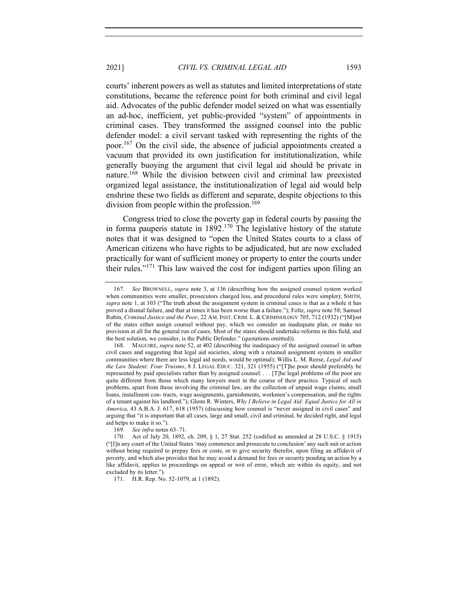courts' inherent powers as well as statutes and limited interpretations of state constitutions, became the reference point for both criminal and civil legal aid. Advocates of the public defender model seized on what was essentially an ad-hoc, inefficient, yet public-provided "system" of appointments in criminal cases. They transformed the assigned counsel into the public defender model: a civil servant tasked with representing the rights of the poor.<sup>167</sup> On the civil side, the absence of judicial appointments created a vacuum that provided its own justification for institutionalization, while generally buoying the argument that civil legal aid should be private in nature.<sup>168</sup> While the division between civil and criminal law preexisted organized legal assistance, the institutionalization of legal aid would help enshrine these two fields as different and separate, despite objections to this division from people within the profession.<sup>169</sup>

Congress tried to close the poverty gap in federal courts by passing the in forma pauperis statute in  $1892$ .<sup>170</sup> The legislative history of the statute notes that it was designed to "open the United States courts to a class of American citizens who have rights to be adjudicated, but are now excluded practically for want of sufficient money or property to enter the courts under their rules."<sup>171</sup> This law waived the cost for indigent parties upon filing an

<sup>167</sup>*. See* BROWNELL, *supra* note 3, at 136 (describing how the assigned counsel system worked when communities were smaller, prosecutors charged less, and procedural rules were simpler); SMITH, *supra* note 1, at 103 ("The truth about the assignment system in criminal cases is that as a whole it has proved a dismal failure, and that at times it has been worse than a failure."); Foltz, *supra* note 58; Samuel Rubin, *Criminal Justice and the Poor*, 22 AM. INST. CRIM. L. & CRIMINOLOGY 705, 712 (1932) ("[M]ost of the states either assign counsel without pay, which we consider an inadequate plan, or make no provision at all for the general run of cases. Most of the states should undertake reforms in this field, and the best solution, we consider, is the Public Defender." (quotations omitted)).

<sup>168.</sup> MAGUIRE, *supra* note 52, at 402 (describing the inadequacy of the assigned counsel in urban civil cases and suggesting that legal aid societies, along with a retained assignment system in smaller communities where there are less legal aid needs, would be optimal); Willis L. M. Reese, *Legal Aid and the Law Student: Four Truisms*, 8 J. LEGAL EDUC. 321, 321 (1955) ("[T]he poor should preferably be represented by paid specialists rather than by assigned counsel. . . . [T]he legal problems of the poor are quite different from those which many lawyers meet in the course of their practice. Typical of such problems, apart from those involving the criminal law, are the collection of unpaid wage claims, small loans, installment con- tracts, wage assignments, garnishments, workmen's compensation, and the rights of a tenant against his landlord."); Glenn R. Winters, *Why I Believe in Legal Aid: Equal Justice for All in America*, 43 A.B.A. J. 617, 618 (1957) (discussing how counsel is "never assigned in civil cases" and arguing that "it is important that all cases, large and small, civil and criminal, be decided right, and legal aid helps to make it so.").

<sup>169</sup>*. See infra* notes 63–71.

<sup>170.</sup> Act of July 20, 1892, ch. 209, § 1, 27 Stat. 252 (codified as amended at 28 U.S.C. § 1915) ("[I]n any court of the United States 'may commence and prosecute to conclusion' any such suit or action without being required to prepay fees or costs, or to give security therefor, upon filing an affidavit of poverty, and which also provides that he may avoid a demand for fees or security pending an action by a like affidavit, applies to proceedings on appeal or writ of error, which are within its equity, and not excluded by its letter.").

<sup>171.</sup> H.R. Rep. No. 52-1079, at 1 (1892).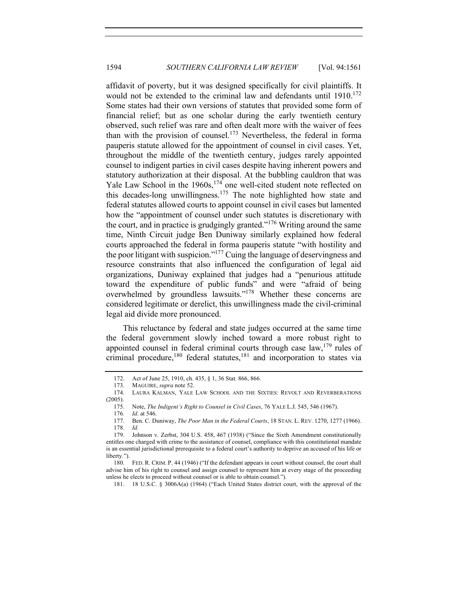affidavit of poverty, but it was designed specifically for civil plaintiffs. It would not be extended to the criminal law and defendants until  $1910$ <sup>172</sup> Some states had their own versions of statutes that provided some form of financial relief; but as one scholar during the early twentieth century observed, such relief was rare and often dealt more with the waiver of fees than with the provision of counsel.<sup>173</sup> Nevertheless, the federal in forma pauperis statute allowed for the appointment of counsel in civil cases. Yet, throughout the middle of the twentieth century, judges rarely appointed counsel to indigent parties in civil cases despite having inherent powers and statutory authorization at their disposal. At the bubbling cauldron that was Yale Law School in the  $1960s$ ,  $174$  one well-cited student note reflected on this decades-long unwillingness.<sup>175</sup> The note highlighted how state and federal statutes allowed courts to appoint counsel in civil cases but lamented how the "appointment of counsel under such statutes is discretionary with the court, and in practice is grudgingly granted."<sup>176</sup> Writing around the same time, Ninth Circuit judge Ben Duniway similarly explained how federal courts approached the federal in forma pauperis statute "with hostility and the poor litigant with suspicion."<sup>177</sup> Cuing the language of deservingness and resource constraints that also influenced the configuration of legal aid organizations, Duniway explained that judges had a "penurious attitude toward the expenditure of public funds" and were "afraid of being overwhelmed by groundless lawsuits."<sup>178</sup> Whether these concerns are considered legitimate or derelict, this unwillingness made the civil-criminal legal aid divide more pronounced.

This reluctance by federal and state judges occurred at the same time the federal government slowly inched toward a more robust right to appointed counsel in federal criminal courts through case law,  $179$  rules of criminal procedure,<sup>180</sup> federal statutes,<sup>181</sup> and incorporation to states via

<sup>172.</sup> Act of June 25, 1910, ch. 435, § 1, 36 Stat. 866, 866.<br>173. MAGUIRE, *supra* note 52.

MAGUIRE, *supra* note 52.

<sup>174.</sup> LAURA KALMAN, YALE LAW SCHOOL AND THE SIXTIES: REVOLT AND REVERBERATIONS (2005).

<sup>175.</sup> Note, *The Indigent's Right to Counsel in Civil Cases*, 76 YALE L.J. 545, 546 (1967).

<sup>176</sup>*. Id*. at 546.

<sup>177.</sup> Ben. C. Duniway, *The Poor Man in the Federal Courts*, 18 STAN. L. REV. 1270, 1277 (1966). 178. *Id.*

<sup>179.</sup> Johnson v. Zerbst, 304 U.S. 458, 467 (1938) ("Since the Sixth Amendment constitutionally entitles one charged with crime to the assistance of counsel, compliance with this constitutional mandate is an essential jurisdictional prerequisite to a federal court's authority to deprive an accused of his life or liberty.").

<sup>180.</sup> FED. R. CRIM. P. 44 (1946) ("If the defendant appears in court without counsel, the court shall advise him of his right to counsel and assign counsel to represent him at every stage of the proceeding unless he elects to proceed without counsel or is able to obtain counsel.").

<sup>181.</sup> 18 U.S.C. § 3006A(a) (1964) ("Each United States district court, with the approval of the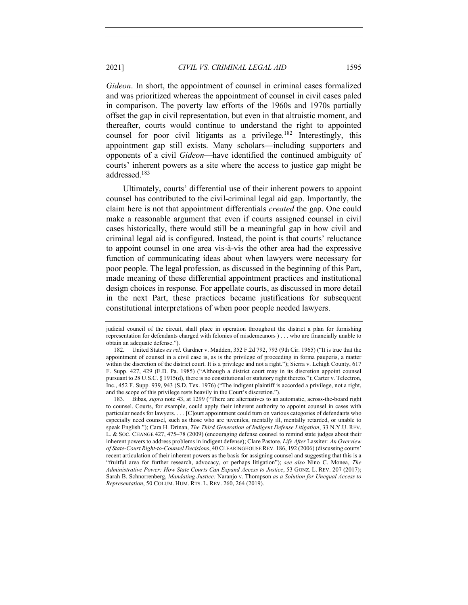*Gideon*. In short, the appointment of counsel in criminal cases formalized and was prioritized whereas the appointment of counsel in civil cases paled in comparison. The poverty law efforts of the 1960s and 1970s partially offset the gap in civil representation, but even in that altruistic moment, and thereafter, courts would continue to understand the right to appointed counsel for poor civil litigants as a privilege.<sup>182</sup> Interestingly, this appointment gap still exists. Many scholars—including supporters and opponents of a civil *Gideon*—have identified the continued ambiguity of courts' inherent powers as a site where the access to justice gap might be addressed.183

Ultimately, courts' differential use of their inherent powers to appoint counsel has contributed to the civil-criminal legal aid gap. Importantly, the claim here is not that appointment differentials *created* the gap. One could make a reasonable argument that even if courts assigned counsel in civil cases historically, there would still be a meaningful gap in how civil and criminal legal aid is configured. Instead, the point is that courts' reluctance to appoint counsel in one area vis-à-vis the other area had the expressive function of communicating ideas about when lawyers were necessary for poor people. The legal profession, as discussed in the beginning of this Part, made meaning of these differential appointment practices and institutional design choices in response. For appellate courts, as discussed in more detail in the next Part, these practices became justifications for subsequent constitutional interpretations of when poor people needed lawyers.

judicial council of the circuit, shall place in operation throughout the district a plan for furnishing representation for defendants charged with felonies of misdemeanors ) . . . who are financially unable to obtain an adequate defense.").

<sup>182.</sup> United States *ex rel*. Gardner v. Madden, 352 F.2d 792, 793 (9th Cir. 1965) ("It is true that the appointment of counsel in a civil case is, as is the privilege of proceeding in forma pauperis, a matter within the discretion of the district court. It is a privilege and not a right."); Sierra v. Lehigh County, 617 F. Supp. 427, 429 (E.D. Pa. 1985) ("Although a district court may in its discretion appoint counsel pursuant to 28 U.S.C. § 1915(d), there is no constitutional or statutory right thereto."); Carter v. Telectron, Inc., 452 F. Supp. 939, 943 (S.D. Tex. 1976) ("The indigent plaintiff is accorded a privilege, not a right, and the scope of this privilege rests heavily in the Court's discretion.").

<sup>183.</sup> Bibas, *supra* note 43, at 1299 ("There are alternatives to an automatic, across-the-board right to counsel. Courts, for example, could apply their inherent authority to appoint counsel in cases with particular needs for lawyers. . . . [C]ourt appointment could turn on various categories of defendants who especially need counsel, such as those who are juveniles, mentally ill, mentally retarded, or unable to speak English."); Cara H. Drinan, *The Third Generation of Indigent Defense Litigation*, 33 N.Y.U. REV. L. & SOC. CHANGE 427, 475–78 (2009) (encouraging defense counsel to remind state judges about their inherent powers to address problems in indigent defense); Clare Pastore, *Life After* Lassiter*: An Overview of State-Court Right-to-Counsel Decisions*, 40 CLEARINGHOUSE REV. 186, 192 (2006) (discussing courts' recent articulation of their inherent powers as the basis for assigning counsel and suggesting that this is a "fruitful area for further research, advocacy, or perhaps litigation"); *see also* Nino C. Monea, *The Administrative Power: How State Courts Can Expand Access to Justice*, 53 GONZ. L. REV. 207 (2017); Sarah B. Schnorrenberg, *Mandating Justice:* Naranjo v. Thompson *as a Solution for Unequal Access to Representation*, 50 COLUM. HUM. RTS. L. REV. 260, 264 (2019).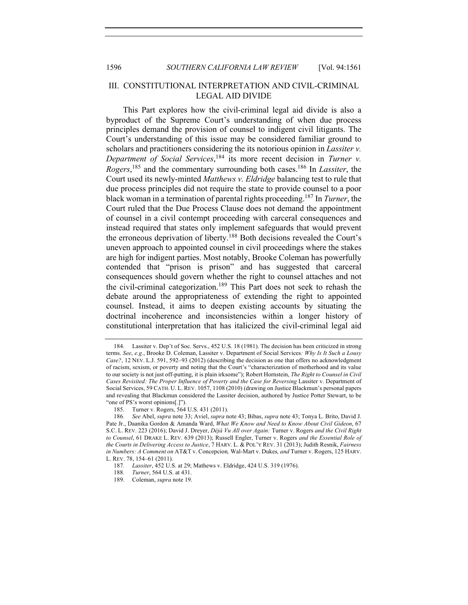# III. CONSTITUTIONAL INTERPRETATION AND CIVIL-CRIMINAL LEGAL AID DIVIDE

This Part explores how the civil-criminal legal aid divide is also a byproduct of the Supreme Court's understanding of when due process principles demand the provision of counsel to indigent civil litigants. The Court's understanding of this issue may be considered familiar ground to scholars and practitioners considering the its notorious opinion in *Lassiter v. Department of Social Services*, <sup>184</sup> its more recent decision in *Turner v. Rogers*, <sup>185</sup> and the commentary surrounding both cases.186 In *Lassiter*, the Court used its newly-minted *Matthews v. Eldridge* balancing test to rule that due process principles did not require the state to provide counsel to a poor black woman in a termination of parental rights proceeding.187 In *Turner*, the Court ruled that the Due Process Clause does not demand the appointment of counsel in a civil contempt proceeding with carceral consequences and instead required that states only implement safeguards that would prevent the erroneous deprivation of liberty.<sup>188</sup> Both decisions revealed the Court's uneven approach to appointed counsel in civil proceedings where the stakes are high for indigent parties. Most notably, Brooke Coleman has powerfully contended that "prison is prison" and has suggested that carceral consequences should govern whether the right to counsel attaches and not the civil-criminal categorization.189 This Part does not seek to rehash the debate around the appropriateness of extending the right to appointed counsel. Instead, it aims to deepen existing accounts by situating the doctrinal incoherence and inconsistencies within a longer history of constitutional interpretation that has italicized the civil-criminal legal aid

<sup>184.</sup> Lassiter v. Dep't of Soc. Servs., 452 U.S. 18 (1981). The decision has been criticized in strong terms. *See*, *e.g.*, Brooke D. Coleman, Lassiter v. Department of Social Services*: Why Is It Such a Lousy Case?*, 12 NEV. L.J. 591, 592–93 (2012) (describing the decision as one that offers no acknowledgment of racism, sexism, or poverty and noting that the Court's "characterization of motherhood and its value to our society is not just off-putting, it is plain irksome"); Robert Hornstein, *The Right to Counsel in Civil*  Cases Revisited: The Proper Influence of Poverty and the Case for Reversing Lassiter v. Department of Social Services, 59 CATH. U. L. REV. 1057, 1108 (2010) (drawing on Justice Blackmun's personal papers and revealing that Blackmun considered the Lassiter decision, authored by Justice Potter Stewart, to be "one of PS's worst opinions[.]").

<sup>185.</sup> Turner v. Rogers, 564 U.S. 431 (2011).

<sup>186</sup>*. See* Abel, *supra* note 33; Aviel, *supra* note 43; Bibas, *supra* note 43; Tonya L. Brito, David J. Pate Jr., Daanika Gordon & Amanda Ward, *What We Know and Need to Know About Civil Gideon*, 67 S.C. L. REV. 223 (2016); David J. Dreyer, *Déjà Vu All over Again:* Turner v. Rogers *and the Civil Right to Counsel*, 61 DRAKE L. REV. 639 (2013); Russell Engler, Turner v. Rogers *and the Essential Role of the Courts in Delivering Access to Justice*, 7 HARV. L. & POL'Y REV. 31 (2013); Judith Resnik, *Fairness in Numbers: A Comment on* AT&T v. Concepcion*,* Wal-Mart v. Dukes*, and* Turner v. Rogers, 125 HARV. L. REV. 78, 154–61 (2011).

<sup>187</sup>*. Lassiter*, 452 U.S. at 29; Mathews v. Eldridge, 424 U.S. 319 (1976).

*Turner*, 564 U.S. at 431.

<sup>189.</sup> Coleman, *supra* note 19.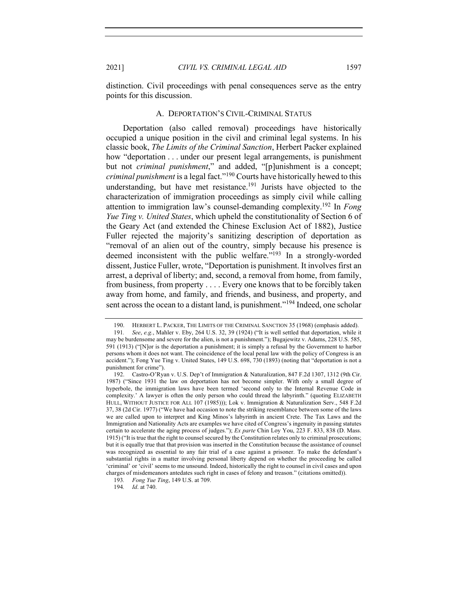distinction. Civil proceedings with penal consequences serve as the entry points for this discussion.

### A. DEPORTATION'S CIVIL-CRIMINAL STATUS

Deportation (also called removal) proceedings have historically occupied a unique position in the civil and criminal legal systems. In his classic book, *The Limits of the Criminal Sanction*, Herbert Packer explained how "deportation . . . under our present legal arrangements, is punishment but not *criminal punishment*," and added, "[p]unishment is a concept; *criminal punishment* is a legal fact."<sup>190</sup> Courts have historically hewed to this understanding, but have met resistance.<sup>191</sup> Jurists have objected to the characterization of immigration proceedings as simply civil while calling attention to immigration law's counsel-demanding complexity.192 In *Fong Yue Ting v. United States*, which upheld the constitutionality of Section 6 of the Geary Act (and extended the Chinese Exclusion Act of 1882), Justice Fuller rejected the majority's sanitizing description of deportation as "removal of an alien out of the country, simply because his presence is deemed inconsistent with the public welfare."193 In a strongly-worded dissent, Justice Fuller, wrote, "Deportation is punishment. It involves first an arrest, a deprival of liberty; and, second, a removal from home, from family, from business, from property . . . . Every one knows that to be forcibly taken away from home, and family, and friends, and business, and property, and sent across the ocean to a distant land, is punishment."<sup>194</sup> Indeed, one scholar

<sup>190.</sup> HERBERT L. PACKER, THE LIMITS OF THE CRIMINAL SANCTION 35 (1968) (emphasis added). 191*. See*, *e.g.*, Mahler v. Eby, 264 U.S. 32, 39 (1924) ("It is well settled that deportation, while it may be burdensome and severe for the alien, is not a punishment."); Bugajewitz v. Adams, 228 U.S. 585, 591 (1913) ("[N]or is the deportation a punishment; it is simply a refusal by the Government to harbor persons whom it does not want. The coincidence of the local penal law with the policy of Congress is an accident."); Fong Yue Ting v. United States, 149 U.S. 698, 730 (1893) (noting that "deportation is not a punishment for crime").

<sup>192.</sup> Castro-O'Ryan v. U.S. Dep't of Immigration & Naturalization, 847 F.2d 1307, 1312 (9th Cir. 1987) ("Since 1931 the law on deportation has not become simpler. With only a small degree of hyperbole, the immigration laws have been termed 'second only to the Internal Revenue Code in complexity.' A lawyer is often the only person who could thread the labyrinth." (quoting ELIZABETH HULL, WITHOUT JUSTICE FOR ALL 107 (1985))); Lok v. Immigration & Naturalization Serv., 548 F.2d 37, 38 (2d Cir. 1977) ("We have had occasion to note the striking resemblance between some of the laws we are called upon to interpret and King Minos's labyrinth in ancient Crete. The Tax Laws and the Immigration and Nationality Acts are examples we have cited of Congress's ingenuity in passing statutes certain to accelerate the aging process of judges."); *Ex parte* Chin Loy You, 223 F. 833, 838 (D. Mass. 1915) ("It is true that the right to counsel secured by the Constitution relates only to criminal prosecutions; but it is equally true that that provision was inserted in the Constitution because the assistance of counsel was recognized as essential to any fair trial of a case against a prisoner. To make the defendant's substantial rights in a matter involving personal liberty depend on whether the proceeding be called 'criminal' or 'civil' seems to me unsound. Indeed, historically the right to counsel in civil cases and upon charges of misdemeanors antedates such right in cases of felony and treason." (citations omitted)).

<sup>193</sup>*. Fong Yue Ting*, 149 U.S. at 709.

<sup>194</sup>*. Id*. at 740.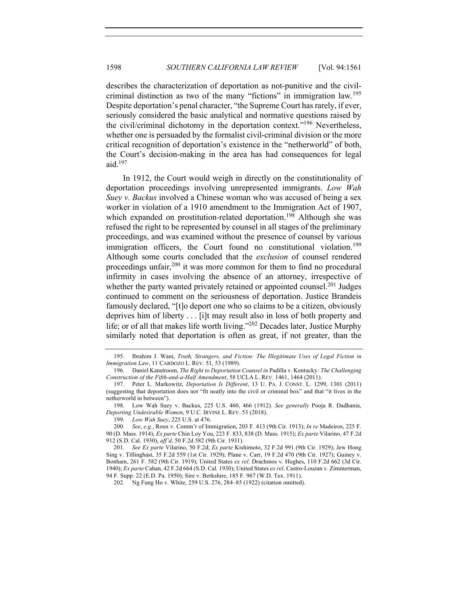describes the characterization of deportation as not-punitive and the civilcriminal distinction as two of the many "fictions" in immigration law.<sup>195</sup> Despite deportation's penal character, "the Supreme Court has rarely, if ever, seriously considered the basic analytical and normative questions raised by the civil/criminal dichotomy in the deportation context."<sup>196</sup> Nevertheless, whether one is persuaded by the formalist civil-criminal division or the more critical recognition of deportation's existence in the "netherworld" of both, the Court's decision-making in the area has had consequences for legal aid. $197$ 

In 1912, the Court would weigh in directly on the constitutionality of deportation proceedings involving unrepresented immigrants. *Low Wah Suey v. Backus* involved a Chinese woman who was accused of being a sex worker in violation of a 1910 amendment to the Immigration Act of 1907, which expanded on prostitution-related deportation.<sup>198</sup> Although she was refused the right to be represented by counsel in all stages of the preliminary proceedings, and was examined without the presence of counsel by various immigration officers, the Court found no constitutional violation.<sup>199</sup> Although some courts concluded that the *exclusion* of counsel rendered proceedings unfair,<sup>200</sup> it was more common for them to find no procedural infirmity in cases involving the absence of an attorney, irrespective of whether the party wanted privately retained or appointed counsel.<sup>201</sup> Judges continued to comment on the seriousness of deportation. Justice Brandeis famously declared, "[t]o deport one who so claims to be a citizen, obviously deprives him of liberty . . . [i]t may result also in loss of both property and life; or of all that makes life worth living."202 Decades later, Justice Murphy similarly noted that deportation is often as great, if not greater, than the

<sup>195.</sup> Ibrahim J. Wani, *Truth, Strangers, and Fiction: The Illegitimate Uses of Legal Fiction in Immigration Law*, 11 CARDOZO L. REV. 51, 53 (1989).

<sup>196.</sup> Daniel Kanstroom, *The Right to Deportation Counsel in* Padilla v. Kentucky*: The Challenging Construction of the Fifth-and-a-Half Amendment*, 58 UCLA L. REV. 1461, 1464 (2011).

<sup>197.</sup> Peter L. Markowitz, *Deportation Is Different*, 13 U. PA. J. CONST. L. 1299, 1301 (2011) (suggesting that deportation does not "fit neatly into the civil or criminal box" and that "it lives in the netherworld in between").

<sup>198.</sup> Low Wah Suey v. Backus, 225 U.S. 460, 466 (1912). *See generally* Pooja R. Dadhania, *Deporting Undesirable Women*, 9 U.C. IRVINE L. REV. 53 (2018).

<sup>199.</sup> *Low Wah Suey*, 225 U.S. at 476.

<sup>200</sup>*. See*, *e.g*., Roux v. Comm'r of Immigration, 203 F. 413 (9th Cir. 1913); *In re* Madeiros, 225 F. 90 (D. Mass. 1914); *Ex parte* Chin Loy You, 223 F. 833, 838 (D. Mass. 1915); *Ex parte* Vilarino, 47 F.2d 912 (S.D. Cal. 1930), *aff'd*, 50 F.2d 582 (9th Cir. 1931).

<sup>201</sup>*. See Ex parte* Vilarino, 50 F.2d; *Ex parte* Kishimoto, 32 F.2d 991 (9th Cir. 1929); Jew Hong Sing v. Tillinghast, 35 F.2d 559 (1st Cir. 1929); Plane v. Carr, 19 F.2d 470 (9th Cir. 1927); Guiney v. Bonham, 261 F. 582 (9th Cir. 1919); United States *ex rel*. Drachmos v. Hughes, 110 F.2d 662 (3d Cir. 1940); *Ex parte* Cahan, 42 F.2d 664 (S.D. Cal. 1930); United States *ex rel*. Castro-Louzan v. Zimmerman, 94 F. Supp. 22 (E.D. Pa. 1950); Sire v. Berkshire, 185 F. 967 (W.D. Tex. 1911).

<sup>202.</sup> Ng Fung Ho v. White, 259 U.S. 276, 284–85 (1922) (citation omitted).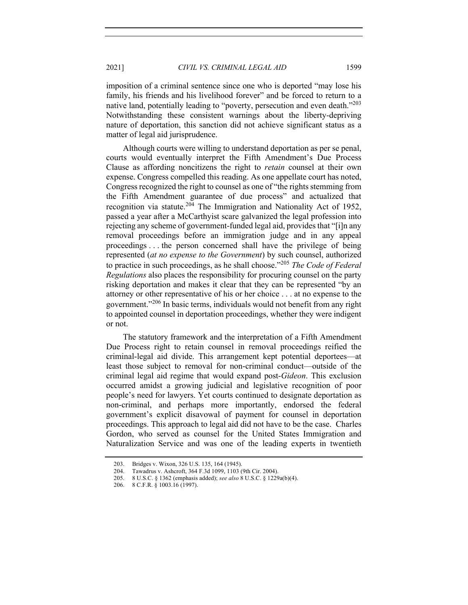imposition of a criminal sentence since one who is deported "may lose his family, his friends and his livelihood forever" and be forced to return to a native land, potentially leading to "poverty, persecution and even death."<sup>203</sup> Notwithstanding these consistent warnings about the liberty-depriving nature of deportation, this sanction did not achieve significant status as a matter of legal aid jurisprudence.

Although courts were willing to understand deportation as per se penal, courts would eventually interpret the Fifth Amendment's Due Process Clause as affording noncitizens the right to *retain* counsel at their own expense. Congress compelled this reading. As one appellate court has noted, Congress recognized the right to counsel as one of "the rights stemming from the Fifth Amendment guarantee of due process" and actualized that recognition via statute.<sup>204</sup> The Immigration and Nationality Act of 1952, passed a year after a McCarthyist scare galvanized the legal profession into rejecting any scheme of government-funded legal aid, provides that "[i]n any removal proceedings before an immigration judge and in any appeal proceedings . . . the person concerned shall have the privilege of being represented (*at no expense to the Government*) by such counsel, authorized to practice in such proceedings, as he shall choose."<sup>205</sup> *The Code of Federal Regulations* also places the responsibility for procuring counsel on the party risking deportation and makes it clear that they can be represented "by an attorney or other representative of his or her choice . . . at no expense to the government."<sup>206</sup> In basic terms, individuals would not benefit from any right to appointed counsel in deportation proceedings, whether they were indigent or not.

The statutory framework and the interpretation of a Fifth Amendment Due Process right to retain counsel in removal proceedings reified the criminal-legal aid divide. This arrangement kept potential deportees—at least those subject to removal for non-criminal conduct—outside of the criminal legal aid regime that would expand post-*Gideon*. This exclusion occurred amidst a growing judicial and legislative recognition of poor people's need for lawyers. Yet courts continued to designate deportation as non-criminal, and perhaps more importantly, endorsed the federal government's explicit disavowal of payment for counsel in deportation proceedings. This approach to legal aid did not have to be the case. Charles Gordon, who served as counsel for the United States Immigration and Naturalization Service and was one of the leading experts in twentieth

<sup>203.</sup> Bridges v. Wixon, 326 U.S. 135, 164 (1945).

<sup>204.</sup> Tawadrus v. Ashcroft, 364 F.3d 1099, 1103 (9th Cir. 2004).

<sup>205.</sup> 8 U.S.C. § 1362 (emphasis added); *see also* 8 U.S.C. § 1229a(b)(4).

<sup>206.</sup> 8 C.F.R. § 1003.16 (1997).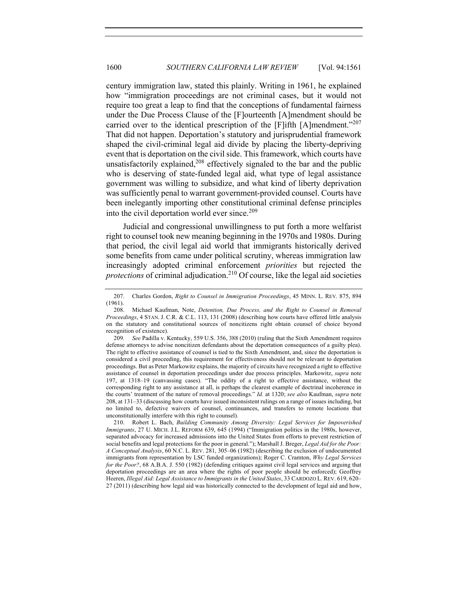century immigration law, stated this plainly. Writing in 1961, he explained how "immigration proceedings are not criminal cases, but it would not require too great a leap to find that the conceptions of fundamental fairness under the Due Process Clause of the [F]ourteenth [A]mendment should be carried over to the identical prescription of the [F]ifth [A]mendment."<sup>207</sup> That did not happen. Deportation's statutory and jurisprudential framework shaped the civil-criminal legal aid divide by placing the liberty-depriving event that is deportation on the civil side. This framework, which courts have unsatisfactorily explained, $208$  effectively signaled to the bar and the public who is deserving of state-funded legal aid, what type of legal assistance government was willing to subsidize, and what kind of liberty deprivation was sufficiently penal to warrant government-provided counsel. Courts have been inelegantly importing other constitutional criminal defense principles into the civil deportation world ever since.<sup>209</sup>

Judicial and congressional unwillingness to put forth a more welfarist right to counsel took new meaning beginning in the 1970s and 1980s. During that period, the civil legal aid world that immigrants historically derived some benefits from came under political scrutiny, whereas immigration law increasingly adopted criminal enforcement *priorities* but rejected the *protections* of criminal adjudication.<sup>210</sup> Of course, like the legal aid societies

<sup>207.</sup> Charles Gordon, *Right to Counsel in Immigration Proceedings*, 45 MINN. L. REV. 875, 894 (1961).

<sup>208.</sup> Michael Kaufman, Note, *Detention, Due Process, and the Right to Counsel in Removal Proceedings*, 4 STAN. J. C.R. & C.L. 113, 131 (2008) (describing how courts have offered little analysis on the statutory and constitutional sources of noncitizens right obtain counsel of choice beyond recognition of existence).

<sup>209</sup>*. See* Padilla v. Kentucky, 559 U.S. 356, 388 (2010) (ruling that the Sixth Amendment requires defense attorneys to advise noncitizen defendants about the deportation consequences of a guilty plea). The right to effective assistance of counsel is tied to the Sixth Amendment, and, since the deportation is considered a civil proceeding, this requirement for effectiveness should not be relevant to deportation proceedings. But as Peter Markowitz explains, the majority of circuits have recognized a right to effective assistance of counsel in deportation proceedings under due process principles. Markowitz, *supra* note 197, at 1318–19 (canvassing cases). "The oddity of a right to effective assistance, without the corresponding right to any assistance at all, is perhaps the clearest example of doctrinal incoherence in the courts' treatment of the nature of removal proceedings." *Id.* at 1320; *see also* Kaufman, *supra* note 208, at 131–33 (discussing how courts have issued inconsistent rulings on a range of issues including, but no limited to, defective waivers of counsel, continuances, and transfers to remote locations that unconstitutionally interfere with this right to counsel).

<sup>210.</sup> Robert L. Bach, *Building Community Among Diversity: Legal Services for Impoverished Immigrants*, 27 U. MICH. J.L. REFORM 639, 645 (1994) ("Immigration politics in the 1980s, however, separated advocacy for increased admissions into the United States from efforts to prevent restriction of social benefits and legal protections for the poor in general."); Marshall J. Breger, *Legal Aid for the Poor: A Conceptual Analysis*, 60 N.C. L. REV. 281, 305–06 (1982) (describing the exclusion of undocumented immigrants from representation by LSC funded organizations); Roger C. Cramton, *Why Legal Services for the Poor?*, 68 A.B.A. J. 550 (1982) (defending critiques against civil legal services and arguing that deportation proceedings are an area where the rights of poor people should be enforced); Geoffrey Heeren, *Illegal Aid: Legal Assistance to Immigrants in the United States*, 33 CARDOZO L. REV. 619, 620– 27 (2011) (describing how legal aid was historically connected to the development of legal aid and how,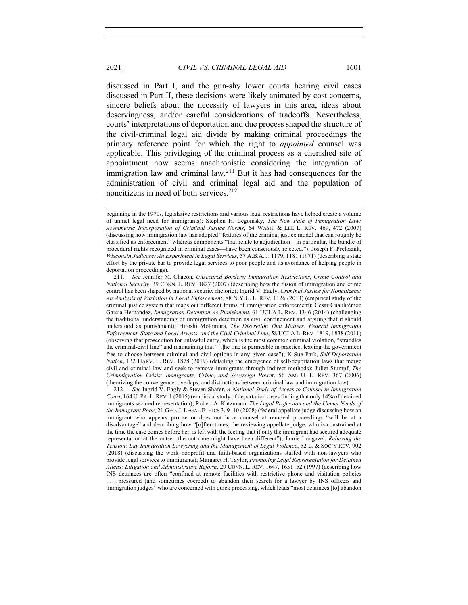discussed in Part I, and the gun-shy lower courts hearing civil cases discussed in Part II, these decisions were likely animated by cost concerns, sincere beliefs about the necessity of lawyers in this area, ideas about deservingness, and/or careful considerations of tradeoffs. Nevertheless, courts' interpretations of deportation and due process shaped the structure of the civil-criminal legal aid divide by making criminal proceedings the primary reference point for which the right to *appointed* counsel was applicable. This privileging of the criminal process as a cherished site of appointment now seems anachronistic considering the integration of immigration law and criminal law.<sup>211</sup> But it has had consequences for the administration of civil and criminal legal aid and the population of noncitizens in need of both services.<sup>212</sup>

212*. See* Ingrid V. Eagly & Steven Shafer, *A National Study of Access to Counsel in Immigration Court*, 164 U. PA. L.REV. 1 (2015) (empirical study of deportation cases finding that only 14% of detained immigrants secured representation); Robert A. Katzmann, *The Legal Profession and the Unmet Needs of the Immigrant Poor*, 21 GEO.J. LEGAL ETHICS 3, 9–10 (2008) (federal appellate judge discussing how an immigrant who appears pro se or does not have counsel at removal proceedings "will be at a disadvantage" and describing how "[o]ften times, the reviewing appellate judge, who is constrained at the time the case comes before her, is left with the feeling that if only the immigrant had secured adequate representation at the outset, the outcome might have been different"); Jamie Longazel, *Relieving the Tension: Lay Immigration Lawyering and the Management of Legal Violence*, 52 L. & SOC'Y REV. 902 (2018) (discussing the work nonprofit and faith-based organizations staffed with non-lawyers who provide legal services to immigrants); Margaret H. Taylor, *Promoting Legal Representation for Detained Aliens: Litigation and Administrative Reform*, 29 CONN. L. REV. 1647, 1651–52 (1997) (describing how INS detainees are often "confined at remote facilities with restrictive phone and visitation policies . . . . pressured (and sometimes coerced) to abandon their search for a lawyer by INS officers and immigration judges" who are concerned with quick processing, which leads "most detainees [to] abandon

beginning in the 1970s, legislative restrictions and various legal restrictions have helped create a volume of unmet legal need for immigrants); Stephen H. Legomsky, *The New Path of Immigration Law: Asymmetric Incorporation of Criminal Justice Norms*, 64 WASH. & LEE L. REV. 469, 472 (2007) (discussing how immigration law has adopted "features of the criminal justice model that can roughly be classified as enforcement" whereas components "that relate to adjudication––in particular, the bundle of procedural rights recognized in criminal cases––have been consciously rejected."); Joseph F. Preloznik, *Wisconsin Judicare: An Experiment in Legal Services*, 57 A.B.A.J. 1179, 1181 (1971) (describing a state effort by the private bar to provide legal services to poor people and its avoidance of helping people in deportation proceedings).

<sup>211</sup>*. See* Jennifer M. Chacón, *Unsecured Borders: Immigration Restrictions, Crime Control and National Security*, 39 CONN. L. REV. 1827 (2007) (describing how the fusion of immigration and crime control has been shaped by national security rhetoric); Ingrid V. Eagly, *Criminal Justice for Noncitizens: An Analysis of Variation in Local Enforcement*, 88 N.Y.U. L. REV. 1126 (2013) (empirical study of the criminal justice system that maps out different forms of immigration enforcement); César Cuauhtémoc García Hernández, *Immigration Detention As Punishment*, 61 UCLA L. REV. 1346 (2014) (challenging the traditional understanding of immigration detention as civil confinement and arguing that it should understood as punishment); Hiroshi Motomura, *The Discretion That Matters: Federal Immigration Enforcement, State and Local Arrests, and the Civil-Criminal Line*, 58 UCLA L. REV. 1819, 1838 (2011) (observing that prosecution for unlawful entry, which is the most common criminal violation, "straddles the criminal-civil line" and maintaining that "[t]he line is permeable in practice, leaving the government free to choose between criminal and civil options in any given case"); K-Sue Park, *Self-Deportation Nation*, 132 HARV. L. REV. 1878 (2019) (detailing the emergence of self-deportation laws that merge civil and criminal law and seek to remove immigrants through indirect methods); Juliet Stumpf, *The Crimmigration Crisis: Immigrants, Crime, and Sovereign Powe*r, 56 AM. U. L. REV. 367 (2006) (theorizing the convergence, overlaps, and distinctions between criminal law and immigration law).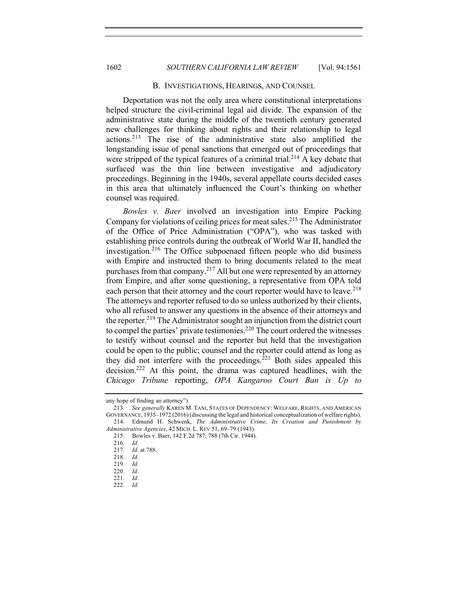#### B. INVESTIGATIONS, HEARINGS, AND COUNSEL

Deportation was not the only area where constitutional interpretations helped structure the civil-criminal legal aid divide. The expansion of the administrative state during the middle of the twentieth century generated new challenges for thinking about rights and their relationship to legal actions.213 The rise of the administrative state also amplified the longstanding issue of penal sanctions that emerged out of proceedings that were stripped of the typical features of a criminal trial.<sup>214</sup>  $\hat{A}$  key debate that surfaced was the thin line between investigative and adjudicatory proceedings. Beginning in the 1940s, several appellate courts decided cases in this area that ultimately influenced the Court's thinking on whether counsel was required.

*Bowles v. Baer* involved an investigation into Empire Packing Company for violations of ceiling prices for meat sales.<sup>215</sup> The Administrator of the Office of Price Administration ("OPA"), who was tasked with establishing price controls during the outbreak of World War II, handled the investigation.<sup>216</sup> The Office subpoenaed fifteen people who did business with Empire and instructed them to bring documents related to the meat purchases from that company.<sup>217</sup> All but one were represented by an attorney from Empire, and after some questioning, a representative from OPA told each person that their attorney and the court reporter would have to leave.<sup>218</sup> The attorneys and reporter refused to do so unless authorized by their clients, who all refused to answer any questions in the absence of their attorneys and the reporter.<sup>219</sup> The Administrator sought an injunction from the district court to compel the parties' private testimonies.<sup>220</sup> The court ordered the witnesses to testify without counsel and the reporter but held that the investigation could be open to the public; counsel and the reporter could attend as long as they did not interfere with the proceedings.<sup>221</sup> Both sides appealed this decision.222 At this point, the drama was captured headlines, with the *Chicago Tribune* reporting, *OPA Kangaroo Court Ban is Up to* 

any hope of finding an attorney").

<sup>213</sup>*. See generally* KAREN M. TANI, STATES OF DEPENDENCY: WELFARE, RIGHTS, AND AMERICAN GOVERNANCE, 1935–1972 (2016) (discussing the legal and historical conceptualization of welfare rights). 214. Edmund H. Schwenk, *The Administrative Crime, Its Creation and Punishment by* 

*Administrative Agencies*, 42 MICH. L. REV 51, 69–79 (1943). 215. Bowles v. Baer, 142 F.2d 787, 788 (7th Cir. 1944).

<sup>216.</sup> *Id*.

<sup>217.</sup> *Id*. at 788.

<sup>218.</sup> *Id*.

<sup>219.</sup> *Id*.

<sup>220.</sup> *Id*.

<sup>221.</sup> *Id*.

<sup>222.</sup> *Id*.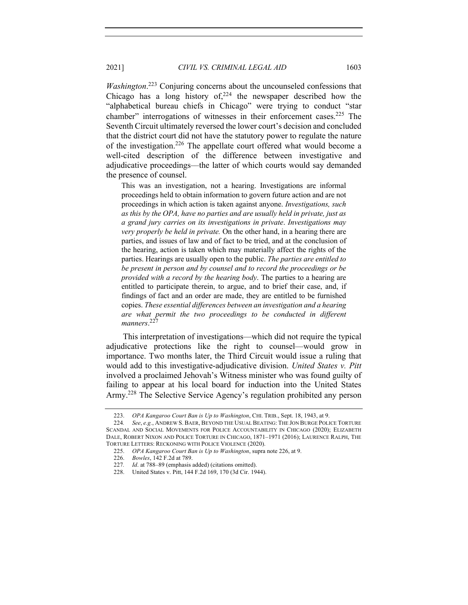*Washington*.<sup>223</sup> Conjuring concerns about the uncounseled confessions that Chicago has a long history of, $224$  the newspaper described how the "alphabetical bureau chiefs in Chicago" were trying to conduct "star chamber" interrogations of witnesses in their enforcement cases.<sup>225</sup> The Seventh Circuit ultimately reversed the lower court's decision and concluded that the district court did not have the statutory power to regulate the nature of the investigation.<sup>226</sup> The appellate court offered what would become a well-cited description of the difference between investigative and adjudicative proceedings––the latter of which courts would say demanded the presence of counsel.

This was an investigation, not a hearing. Investigations are informal proceedings held to obtain information to govern future action and are not proceedings in which action is taken against anyone. *Investigations, such as this by the OPA, have no parties and are usually held in private, just as a grand jury carries on its investigations in private*. *Investigations may very properly be held in private.* On the other hand, in a hearing there are parties, and issues of law and of fact to be tried, and at the conclusion of the hearing, action is taken which may materially affect the rights of the parties. Hearings are usually open to the public. *The parties are entitled to be present in person and by counsel and to record the proceedings or be provided with a record by the hearing body*. The parties to a hearing are entitled to participate therein, to argue, and to brief their case, and, if findings of fact and an order are made, they are entitled to be furnished copies. *These essential differences between an investigation and a hearing are what permit the two proceedings to be conducted in different manners*. 227

This interpretation of investigations—which did not require the typical adjudicative protections like the right to counsel—would grow in importance. Two months later, the Third Circuit would issue a ruling that would add to this investigative-adjudicative division. *United States v. Pitt* involved a proclaimed Jehovah's Witness minister who was found guilty of failing to appear at his local board for induction into the United States Army.228 The Selective Service Agency's regulation prohibited any person

<sup>223.</sup> *OPA Kangaroo Court Ban is Up to Washington*, CHI. TRIB., Sept. 18, 1943, at 9.

<sup>224</sup>*. See*, *e.g.*, ANDREW S. BAER, BEYOND THE USUAL BEATING: THE JON BURGE POLICE TORTURE SCANDAL AND SOCIAL MOVEMENTS FOR POLICE ACCOUNTABILITY IN CHICAGO (2020); ELIZABETH DALE, ROBERT NIXON AND POLICE TORTURE IN CHICAGO, 1871–1971 (2016); LAURENCE RALPH, THE TORTURE LETTERS: RECKONING WITH POLICE VIOLENCE (2020).

<sup>225.</sup> *OPA Kangaroo Court Ban is Up to Washington*, supra note 226, at 9.

<sup>226.</sup> *Bowles*, 142 F.2d at 789.

<sup>227</sup>*. Id*. at 788–89 (emphasis added) (citations omitted).

<sup>228.</sup> United States v. Pitt, 144 F.2d 169, 170 (3d Cir. 1944).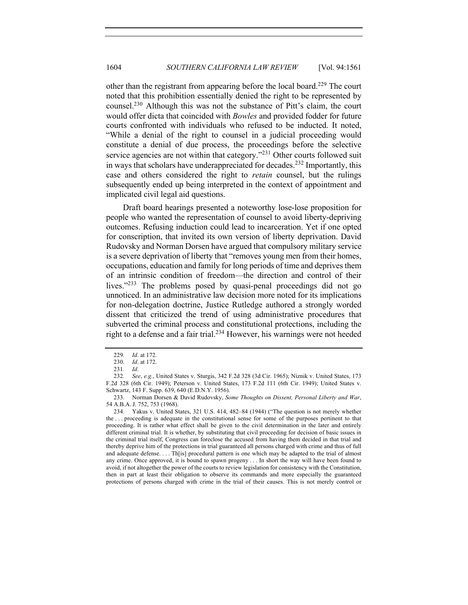other than the registrant from appearing before the local board.<sup>229</sup> The court noted that this prohibition essentially denied the right to be represented by counsel.230 Although this was not the substance of Pitt's claim, the court would offer dicta that coincided with *Bowles* and provided fodder for future courts confronted with individuals who refused to be inducted. It noted, "While a denial of the right to counsel in a judicial proceeding would constitute a denial of due process, the proceedings before the selective service agencies are not within that category."<sup>231</sup> Other courts followed suit in ways that scholars have underappreciated for decades.<sup>232</sup> Importantly, this case and others considered the right to *retain* counsel, but the rulings subsequently ended up being interpreted in the context of appointment and implicated civil legal aid questions.

Draft board hearings presented a noteworthy lose-lose proposition for people who wanted the representation of counsel to avoid liberty-depriving outcomes. Refusing induction could lead to incarceration. Yet if one opted for conscription, that invited its own version of liberty deprivation. David Rudovsky and Norman Dorsen have argued that compulsory military service is a severe deprivation of liberty that "removes young men from their homes, occupations, education and family for long periods of time and deprives them of an intrinsic condition of freedom—the direction and control of their lives."<sup>233</sup> The problems posed by quasi-penal proceedings did not go unnoticed. In an administrative law decision more noted for its implications for non-delegation doctrine, Justice Rutledge authored a strongly worded dissent that criticized the trend of using administrative procedures that subverted the criminal process and constitutional protections, including the right to a defense and a fair trial.<sup>234</sup> However, his warnings were not heeded

<sup>229</sup>*. Id*. at 172.

<sup>230.</sup> *Id*. at 172.

<sup>231</sup>*. Id*.

<sup>232</sup>*. See*, *e.g.*, United States v. Sturgis, 342 F.2d 328 (3d Cir. 1965); Niznik v. United States, 173 F.2d 328 (6th Cir. 1949); Peterson v. United States, 173 F.2d 111 (6th Cir. 1949); United States v. Schwartz, 143 F. Supp. 639, 640 (E.D.N.Y. 1956).

<sup>233.</sup> Norman Dorsen & David Rudovsky, *Some Thoughts on Dissent, Personal Liberty and War*, 54 A.B.A. J. 752, 753 (1968).

<sup>234.</sup> Yakus v. United States, 321 U.S. 414, 482–84 (1944) ("The question is not merely whether the . . . proceeding is adequate in the constitutional sense for some of the purposes pertinent to that proceeding. It is rather what effect shall be given to the civil determination in the later and entirely different criminal trial. It is whether, by substituting that civil proceeding for decision of basic issues in the criminal trial itself, Congress can foreclose the accused from having them decided in that trial and thereby deprive him of the protections in trial guaranteed all persons charged with crime and thus of full and adequate defense. . . . Th[is] procedural pattern is one which may be adapted to the trial of almost any crime. Once approved, it is bound to spawn progeny . . . In short the way will have been found to avoid, if not altogether the power of the courts to review legislation for consistency with the Constitution, then in part at least their obligation to observe its commands and more especially the guaranteed protections of persons charged with crime in the trial of their causes. This is not merely control or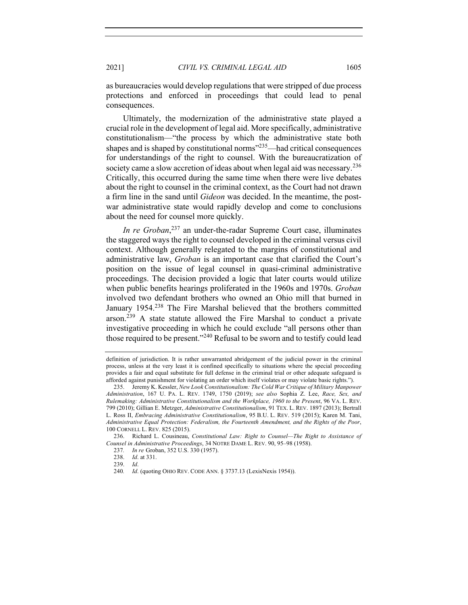as bureaucracies would develop regulations that were stripped of due process protections and enforced in proceedings that could lead to penal consequences.

Ultimately, the modernization of the administrative state played a crucial role in the development of legal aid. More specifically, administrative constitutionalism—"the process by which the administrative state both shapes and is shaped by constitutional norms $^{235}$ —had critical consequences for understandings of the right to counsel. With the bureaucratization of society came a slow accretion of ideas about when legal aid was necessary.<sup>236</sup> Critically, this occurred during the same time when there were live debates about the right to counsel in the criminal context, as the Court had not drawn a firm line in the sand until *Gideon* was decided. In the meantime, the postwar administrative state would rapidly develop and come to conclusions about the need for counsel more quickly.

*In re Groban*, <sup>237</sup> an under-the-radar Supreme Court case, illuminates the staggered ways the right to counsel developed in the criminal versus civil context. Although generally relegated to the margins of constitutional and administrative law, *Groban* is an important case that clarified the Court's position on the issue of legal counsel in quasi-criminal administrative proceedings. The decision provided a logic that later courts would utilize when public benefits hearings proliferated in the 1960s and 1970s. *Groban*  involved two defendant brothers who owned an Ohio mill that burned in January 1954.<sup>238</sup> The Fire Marshal believed that the brothers committed arson.<sup>239</sup> A state statute allowed the Fire Marshal to conduct a private investigative proceeding in which he could exclude "all persons other than those required to be present."<sup>240</sup> Refusal to be sworn and to testify could lead

definition of jurisdiction. It is rather unwarranted abridgement of the judicial power in the criminal process, unless at the very least it is confined specifically to situations where the special proceeding provides a fair and equal substitute for full defense in the criminal trial or other adequate safeguard is afforded against punishment for violating an order which itself violates or may violate basic rights.").

<sup>235.</sup> Jeremy K. Kessler, *New Look Constitutionalism: The Cold War Critique of Military Manpower Administration*, 167 U. PA. L. REV. 1749, 1750 (2019); *see also* Sophia Z. Lee, *Race, Sex, and Rulemaking: Administrative Constitutionalism and the Workplace, 1960 to the Present*, 96 VA. L. REV. 799 (2010); Gillian E. Metzger, *Administrative Constitutionalism*, 91 TEX. L. REV. 1897 (2013); Bertrall L. Ross II, *Embracing Administrative Constitutionalism*, 95 B.U. L. REV. 519 (2015); Karen M. Tani, *Administrative Equal Protection: Federalism, the Fourteenth Amendment, and the Rights of the Poor*, 100 CORNELL L. REV. 825 (2015).

<sup>236.</sup> Richard L. Cousineau, *Constitutional Law: Right to Counsel—The Right to Assistance of Counsel in Administrative Proceedings*, 34 NOTRE DAME L. REV. 90, 95–98 (1958).

<sup>237</sup>*. In re* Groban, 352 U.S. 330 (1957).

<sup>238.</sup> *Id*. at 331.

<sup>239.</sup> *Id*.

<sup>240</sup>*. Id*. (quoting OHIO REV. CODE ANN. § 3737.13 (LexisNexis 1954)).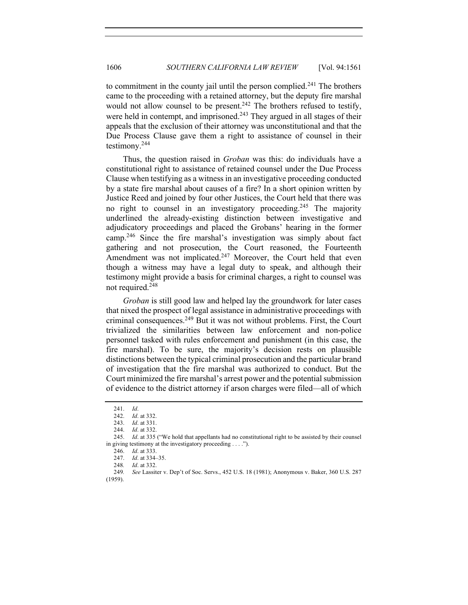to commitment in the county jail until the person complied.<sup>241</sup> The brothers came to the proceeding with a retained attorney, but the deputy fire marshal would not allow counsel to be present.<sup>242</sup> The brothers refused to testify, were held in contempt, and imprisoned.<sup>243</sup> They argued in all stages of their appeals that the exclusion of their attorney was unconstitutional and that the Due Process Clause gave them a right to assistance of counsel in their testimony.244

Thus, the question raised in *Groban* was this: do individuals have a constitutional right to assistance of retained counsel under the Due Process Clause when testifying as a witness in an investigative proceeding conducted by a state fire marshal about causes of a fire? In a short opinion written by Justice Reed and joined by four other Justices, the Court held that there was no right to counsel in an investigatory proceeding.<sup>245</sup> The majority underlined the already-existing distinction between investigative and adjudicatory proceedings and placed the Grobans' hearing in the former camp.<sup>246</sup> Since the fire marshal's investigation was simply about fact gathering and not prosecution, the Court reasoned, the Fourteenth Amendment was not implicated.<sup>247</sup> Moreover, the Court held that even though a witness may have a legal duty to speak, and although their testimony might provide a basis for criminal charges, a right to counsel was not required.<sup>248</sup>

*Groban* is still good law and helped lay the groundwork for later cases that nixed the prospect of legal assistance in administrative proceedings with criminal consequences. $249$  But it was not without problems. First, the Court trivialized the similarities between law enforcement and non-police personnel tasked with rules enforcement and punishment (in this case, the fire marshal). To be sure, the majority's decision rests on plausible distinctions between the typical criminal prosecution and the particular brand of investigation that the fire marshal was authorized to conduct. But the Court minimized the fire marshal's arrest power and the potential submission of evidence to the district attorney if arson charges were filed—all of which

<sup>241.</sup> *Id*.

<sup>242.</sup> *Id*. at 332.

<sup>243.</sup> *Id*. at 331.

<sup>244.</sup> *Id*. at 332.

<sup>245.</sup> *Id*. at 335 ("We hold that appellants had no constitutional right to be assisted by their counsel in giving testimony at the investigatory proceeding . . . .").

<sup>246.</sup> *Id*. at 333.

<sup>247.</sup> *Id*. at 334–35.

<sup>248</sup>*. Id*. at 332.

<sup>249</sup>*. See* Lassiter v. Dep't of Soc. Servs., 452 U.S. 18 (1981); Anonymous v. Baker, 360 U.S. 287 (1959).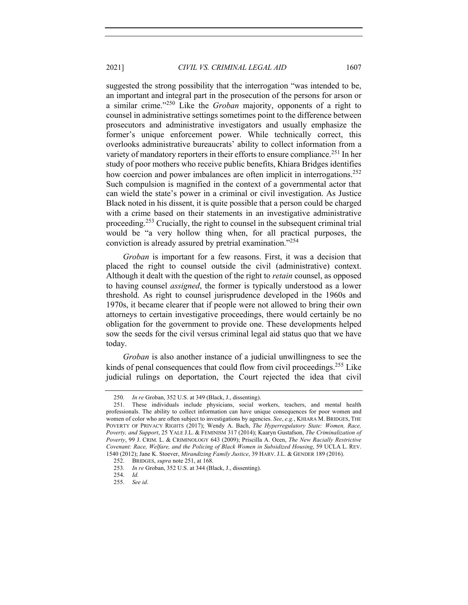2021] *CIVIL VS. CRIMINAL LEGAL AID* 1607

suggested the strong possibility that the interrogation "was intended to be, an important and integral part in the prosecution of the persons for arson or a similar crime."<sup>250</sup> Like the *Groban* majority, opponents of a right to counsel in administrative settings sometimes point to the difference between prosecutors and administrative investigators and usually emphasize the former's unique enforcement power. While technically correct, this overlooks administrative bureaucrats' ability to collect information from a variety of mandatory reporters in their efforts to ensure compliance.<sup>251</sup> In her study of poor mothers who receive public benefits, Khiara Bridges identifies how coercion and power imbalances are often implicit in interrogations.<sup>252</sup>

Such compulsion is magnified in the context of a governmental actor that can wield the state's power in a criminal or civil investigation. As Justice Black noted in his dissent, it is quite possible that a person could be charged with a crime based on their statements in an investigative administrative proceeding.<sup>253</sup> Crucially, the right to counsel in the subsequent criminal trial would be "a very hollow thing when, for all practical purposes, the conviction is already assured by pretrial examination."254

*Groban* is important for a few reasons. First, it was a decision that placed the right to counsel outside the civil (administrative) context. Although it dealt with the question of the right to *retain* counsel, as opposed to having counsel *assigned*, the former is typically understood as a lower threshold. As right to counsel jurisprudence developed in the 1960s and 1970s, it became clearer that if people were not allowed to bring their own attorneys to certain investigative proceedings, there would certainly be no obligation for the government to provide one. These developments helped sow the seeds for the civil versus criminal legal aid status quo that we have today.

*Groban* is also another instance of a judicial unwillingness to see the kinds of penal consequences that could flow from civil proceedings.<sup>255</sup> Like judicial rulings on deportation, the Court rejected the idea that civil

<sup>250</sup>*. In re* Groban, 352 U.S. at 349 (Black, J., dissenting).

<sup>251.</sup> These individuals include physicians, social workers, teachers, and mental health professionals. The ability to collect information can have unique consequences for poor women and women of color who are often subject to investigations by agencies. *See*, *e.g.*, KHIARA M. BRIDGES, THE POVERTY OF PRIVACY RIGHTS (2017); Wendy A. Bach, *The Hyperregulatory State: Women, Race, Poverty, and Support*, 25 YALE J.L. & FEMINISM 317 (2014); Kaaryn Gustafson, *The Criminalization of Poverty*, 99 J. CRIM. L. & CRIMINOLOGY 643 (2009); Priscilla A. Ocen, *The New Racially Restrictive Covenant: Race, Welfare, and the Policing of Black Women in Subsidized Housing*, 59 UCLA L. REV. 1540 (2012); Jane K. Stoever, *Mirandizing Family Justice*, 39 HARV. J.L. & GENDER 189 (2016).

<sup>252.</sup> BRIDGES, *supra* note 251, at 168.

<sup>253</sup>*. In re* Groban, 352 U.S. at 344 (Black, J., dissenting).

<sup>254.</sup> *Id.*

<sup>255.</sup> *See id*.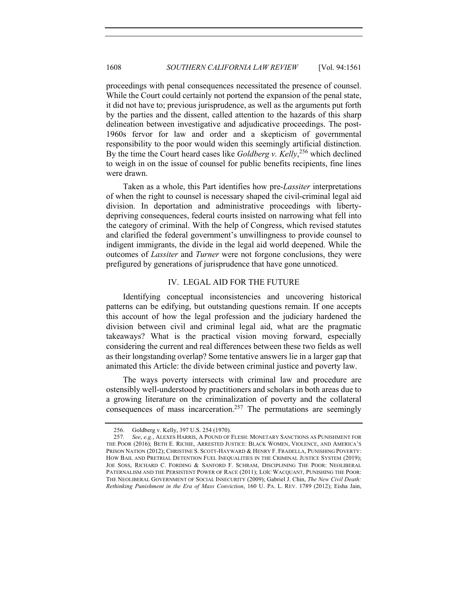proceedings with penal consequences necessitated the presence of counsel. While the Court could certainly not portend the expansion of the penal state, it did not have to; previous jurisprudence, as well as the arguments put forth by the parties and the dissent, called attention to the hazards of this sharp delineation between investigative and adjudicative proceedings. The post-1960s fervor for law and order and a skepticism of governmental responsibility to the poor would widen this seemingly artificial distinction. By the time the Court heard cases like *Goldberg v. Kelly*, <sup>256</sup> which declined to weigh in on the issue of counsel for public benefits recipients, fine lines were drawn.

Taken as a whole, this Part identifies how pre-*Lassiter* interpretations of when the right to counsel is necessary shaped the civil-criminal legal aid division. In deportation and administrative proceedings with libertydepriving consequences, federal courts insisted on narrowing what fell into the category of criminal. With the help of Congress, which revised statutes and clarified the federal government's unwillingness to provide counsel to indigent immigrants, the divide in the legal aid world deepened. While the outcomes of *Lassiter* and *Turner* were not forgone conclusions, they were prefigured by generations of jurisprudence that have gone unnoticed.

## IV. LEGAL AID FOR THE FUTURE

Identifying conceptual inconsistencies and uncovering historical patterns can be edifying, but outstanding questions remain. If one accepts this account of how the legal profession and the judiciary hardened the division between civil and criminal legal aid, what are the pragmatic takeaways? What is the practical vision moving forward, especially considering the current and real differences between these two fields as well as their longstanding overlap? Some tentative answers lie in a larger gap that animated this Article: the divide between criminal justice and poverty law.

The ways poverty intersects with criminal law and procedure are ostensibly well-understood by practitioners and scholars in both areas due to a growing literature on the criminalization of poverty and the collateral consequences of mass incarceration.<sup>257</sup> The permutations are seemingly

<sup>256.</sup> Goldberg v. Kelly, 397 U.S. 254 (1970).

<sup>257</sup>*. See*, *e.g.*, ALEXES HARRIS, A POUND OF FLESH: MONETARY SANCTIONS AS PUNISHMENT FOR THE POOR (2016); BETH E. RICHIE, ARRESTED JUSTICE: BLACK WOMEN, VIOLENCE, AND AMERICA'S PRISON NATION (2012); CHRISTINE S. SCOTT-HAYWARD & HENRY F. FRADELLA, PUNISHING POVERTY: HOW BAIL AND PRETRIAL DETENTION FUEL INEQUALITIES IN THE CRIMINAL JUSTICE SYSTEM (2019); JOE SOSS, RICHARD C. FORDING & SANFORD F. SCHRAM, DISCIPLINING THE POOR: NEOLIBERAL PATERNALISM AND THE PERSISTENT POWER OF RACE (2011); LOÏC WACQUANT, PUNISHING THE POOR: THE NEOLIBERAL GOVERNMENT OF SOCIAL INSECURITY (2009); Gabriel J. Chin, *The New Civil Death: Rethinking Punishment in the Era of Mass Conviction*, 160 U. PA. L. REV. 1789 (2012); Eisha Jain,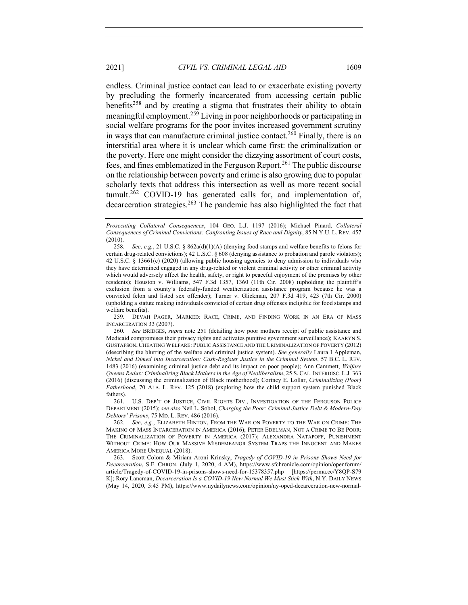endless. Criminal justice contact can lead to or exacerbate existing poverty by precluding the formerly incarcerated from accessing certain public benefits<sup>258</sup> and by creating a stigma that frustrates their ability to obtain meaningful employment.<sup>259</sup> Living in poor neighborhoods or participating in social welfare programs for the poor invites increased government scrutiny in ways that can manufacture criminal justice contact.<sup>260</sup> Finally, there is an interstitial area where it is unclear which came first: the criminalization or the poverty. Here one might consider the dizzying assortment of court costs, fees, and fines emblematized in the Ferguson Report.<sup>261</sup> The public discourse on the relationship between poverty and crime is also growing due to popular scholarly texts that address this intersection as well as more recent social tumult.<sup>262</sup> COVID-19 has generated calls for, and implementation of, decarceration strategies.<sup>263</sup> The pandemic has also highlighted the fact that

259. DEVAH PAGER, MARKED: RACE, CRIME, AND FINDING WORK IN AN ERA OF MASS INCARCERATION 33 (2007).

261. U.S. DEP'T OF JUSTICE, CIVIL RIGHTS DIV., INVESTIGATION OF THE FERGUSON POLICE DEPARTMENT (2015); *see also* Neil L. Sobol, *Charging the Poor: Criminal Justice Debt & Modern-Day Debtors' Prisons*, 75 MD. L. REV. 486 (2016).

*Prosecuting Collateral Consequences*, 104 GEO. L.J. 1197 (2016); Michael Pinard, *Collateral Consequences of Criminal Convictions: Confronting Issues of Race and Dignity*, 85 N.Y.U. L. REV. 457 (2010).

<sup>258</sup>*. See*, *e.g.*, 21 U.S.C. § 862a(d)(1)(A) (denying food stamps and welfare benefits to felons for certain drug-related convictions); 42 U.S.C. § 608 (denying assistance to probation and parole violators); 42 U.S.C. § 13661(c) (2020) (allowing public housing agencies to deny admission to individuals who they have determined engaged in any drug-related or violent criminal activity or other criminal activity which would adversely affect the health, safety, or right to peaceful enjoyment of the premises by other residents); Houston v. Williams, 547 F.3d 1357, 1360 (11th Cir. 2008) (upholding the plaintiff's exclusion from a county's federally-funded weatherization assistance program because he was a convicted felon and listed sex offender); Turner v. Glickman, 207 F.3d 419, 423 (7th Cir. 2000) (upholding a statute making individuals convicted of certain drug offenses ineligible for food stamps and welfare benefits).

<sup>260</sup>*. See* BRIDGES, *supra* note 251 (detailing how poor mothers receipt of public assistance and Medicaid compromises their privacy rights and activates punitive government surveillance); KAARYN S. GUSTAFSON,CHEATING WELFARE: PUBLIC ASSISTANCE AND THE CRIMINALIZATION OF POVERTY (2012) (describing the blurring of the welfare and criminal justice system). *See generally* Laura I Appleman, *Nickel and Dimed into Incarceration: Cash-Register Justice in the Criminal System*, 57 B.C. L. REV. 1483 (2016) (examining criminal justice debt and its impact on poor people); Ann Cammett, *Welfare Queens Redux: Criminalizing Black Mothers in the Age of Neoliberalism*, 25 S. CAL. INTERDISC. L.J. 363 (2016) (discussing the criminalization of Black motherhood); Cortney E. Lollar, *Criminalizing (Poor) Fatherhood*, 70 ALA. L. REV. 125 (2018) (exploring how the child support system punished Black fathers).

<sup>262</sup>*. See*, *e.g.*, ELIZABETH HINTON, FROM THE WAR ON POVERTY TO THE WAR ON CRIME: THE MAKING OF MASS INCARCERATION IN AMERICA (2016); PETER EDELMAN, NOT A CRIME TO BE POOR: THE CRIMINALIZATION OF POVERTY IN AMERICA (2017); ALEXANDRA NATAPOFF, PUNISHMENT WITHOUT CRIME: HOW OUR MASSIVE MISDEMEANOR SYSTEM TRAPS THE INNOCENT AND MAKES AMERICA MORE UNEQUAL (2018).

<sup>263.</sup> Scott Colom & Miriam Aroni Krinsky, *Tragedy of COVID-19 in Prisons Shows Need for Decarceration*, S.F. CHRON. (July 1, 2020, 4 AM), https://www.sfchronicle.com/opinion/openforum/ article/Tragedy-of-COVID-19-in-prisons-shows-need-for-15378357.php [https://perma.cc/Y8QP-S79 K]; Rory Lancman, *Decarceration Is a COVID-19 New Normal We Must Stick With*, N.Y. DAILY NEWS (May 14, 2020, 5:45 PM), https://www.nydailynews.com/opinion/ny-oped-decarceration-new-normal-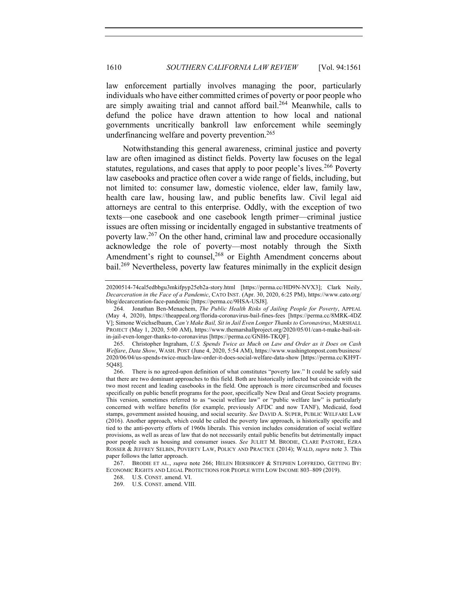law enforcement partially involves managing the poor, particularly individuals who have either committed crimes of poverty or poor people who are simply awaiting trial and cannot afford bail.<sup>264</sup> Meanwhile, calls to defund the police have drawn attention to how local and national governments uncritically bankroll law enforcement while seemingly underfinancing welfare and poverty prevention.<sup>265</sup>

Notwithstanding this general awareness, criminal justice and poverty law are often imagined as distinct fields. Poverty law focuses on the legal statutes, regulations, and cases that apply to poor people's lives.<sup>266</sup> Poverty law casebooks and practice often cover a wide range of fields, including, but not limited to: consumer law, domestic violence, elder law, family law, health care law, housing law, and public benefits law. Civil legal aid attorneys are central to this enterprise. Oddly, with the exception of two texts—one casebook and one casebook length primer—criminal justice issues are often missing or incidentally engaged in substantive treatments of poverty law.<sup>267</sup> On the other hand, criminal law and procedure occasionally acknowledge the role of poverty—most notably through the Sixth Amendment's right to counsel,<sup>268</sup> or Eighth Amendment concerns about bail.<sup>269</sup> Nevertheless, poverty law features minimally in the explicit design

<sup>20200514-74</sup>cal5edbbgu3mkifpyp25eb2a-story.html [https://perma.cc/HD9N-NVX3]; Clark Neily, *Decarceration in the Face of a Pandemic*, CATO INST. (Apr. 30, 2020, 6:25 PM), https://www.cato.org/ blog/decarceration-face-pandemic [https://perma.cc/9HSA-USJ8].

<sup>264.</sup> Jonathan Ben-Menachem, *The Public Health Risks of Jailing People for Poverty*, APPEAL (May 4, 2020), https://theappeal.org/florida-coronavirus-bail-fines-fees [https://perma.cc/8MRK-4DZ V]; Simone Weichselbaum, *Can't Make Bail, Sit in Jail Even Longer Thanks to Coronavirus*, MARSHALL PROJECT (May 1, 2020, 5:00 AM), https://www.themarshallproject.org/2020/05/01/can-t-make-bail-sitin-jail-even-longer-thanks-to-coronavirus [https://perma.cc/GNH6-TKQF].

<sup>265.</sup> Christopher Ingraham, *U.S. Spends Twice as Much on Law and Order as it Does on Cash Welfare*, *Data Show*, WASH. POST (June 4, 2020, 5:54 AM), https://www.washingtonpost.com/business/ 2020/06/04/us-spends-twice-much-law-order-it-does-social-welfare-data-show [https://perma.cc/KH9T-5Q48].

<sup>266.</sup> There is no agreed-upon definition of what constitutes "poverty law." It could be safely said that there are two dominant approaches to this field. Both are historically inflected but coincide with the two most recent and leading casebooks in the field. One approach is more circumscribed and focuses specifically on public benefit programs for the poor, specifically New Deal and Great Society programs. This version, sometimes referred to as "social welfare law" or "public welfare law" is particularly concerned with welfare benefits (for example, previously AFDC and now TANF), Medicaid, food stamps, government assisted housing, and social security. *See* DAVID A. SUPER, PUBLIC WELFARE LAW (2016). Another approach, which could be called the poverty law approach, is historically specific and tied to the anti-poverty efforts of 1960s liberals. This version includes consideration of social welfare provisions, as well as areas of law that do not necessarily entail public benefits but detrimentally impact poor people such as housing and consumer issues. *See* JULIET M. BRODIE, CLARE PASTORE, EZRA ROSSER & JEFFREY SELBIN, POVERTY LAW, POLICY AND PRACTICE (2014); WALD, *supra* note 3. This paper follows the latter approach.

<sup>267.</sup> BRODIE ET AL., *supra* note 266; HELEN HERSHKOFF & STEPHEN LOFFREDO, GETTING BY: ECONOMIC RIGHTS AND LEGAL PROTECTIONS FOR PEOPLE WITH LOW INCOME 803–809 (2019).

<sup>268.</sup> U.S. CONST. amend. VI.

<sup>269.</sup> U.S. CONST. amend. VIII.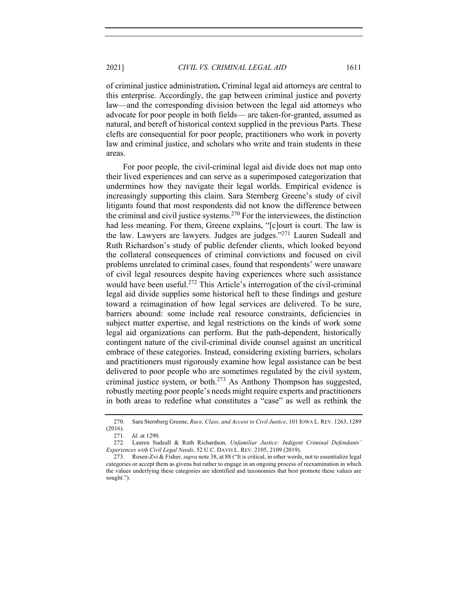of criminal justice administration**.** Criminal legal aid attorneys are central to this enterprise. Accordingly, the gap between criminal justice and poverty law—and the corresponding division between the legal aid attorneys who

advocate for poor people in both fields— are taken-for-granted, assumed as natural, and bereft of historical context supplied in the previous Parts. These clefts are consequential for poor people, practitioners who work in poverty law and criminal justice, and scholars who write and train students in these areas.

For poor people, the civil-criminal legal aid divide does not map onto their lived experiences and can serve as a superimposed categorization that undermines how they navigate their legal worlds. Empirical evidence is increasingly supporting this claim. Sara Sternberg Greene's study of civil litigants found that most respondents did not know the difference between the criminal and civil justice systems.<sup>270</sup> For the interviewees, the distinction had less meaning. For them, Greene explains, "[c]ourt is court. The law is the law. Lawyers are lawyers. Judges are judges."<sup>271</sup> Lauren Sudeall and Ruth Richardson's study of public defender clients, which looked beyond the collateral consequences of criminal convictions and focused on civil problems unrelated to criminal cases, found that respondents' were unaware of civil legal resources despite having experiences where such assistance would have been useful.<sup>272</sup> This Article's interrogation of the civil-criminal legal aid divide supplies some historical heft to these findings and gesture toward a reimagination of how legal services are delivered. To be sure, barriers abound: some include real resource constraints, deficiencies in subject matter expertise, and legal restrictions on the kinds of work some legal aid organizations can perform. But the path-dependent, historically contingent nature of the civil-criminal divide counsel against an uncritical embrace of these categories. Instead, considering existing barriers, scholars and practitioners must rigorously examine how legal assistance can be best delivered to poor people who are sometimes regulated by the civil system, criminal justice system, or both. $273$  As Anthony Thompson has suggested, robustly meeting poor people's needs might require experts and practitioners in both areas to redefine what constitutes a "case" as well as rethink the

<sup>270.</sup> Sara Sternberg Greene, *Race, Class, and Access to Civil Justice*, 101 IOWA L. REV. 1263, 1289 (2016).

<sup>271</sup>*. Id*. at 1290.

<sup>272.</sup> Lauren Sudeall & Ruth Richardson, *Unfamiliar Justice: Indigent Criminal Defendants' Experiences with Civil Legal Needs*, 52 U.C. DAVIS L. REV. 2105, 2109 (2019).

<sup>273.</sup> Rosen-Zvi & Fisher, *supra* note 38, at 88 ("It is critical, in other words, not to essentialize legal categories or accept them as givens but rather to engage in an ongoing process of reexamination in which the values underlying these categories are identified and taxonomies that best promote these values are sought.").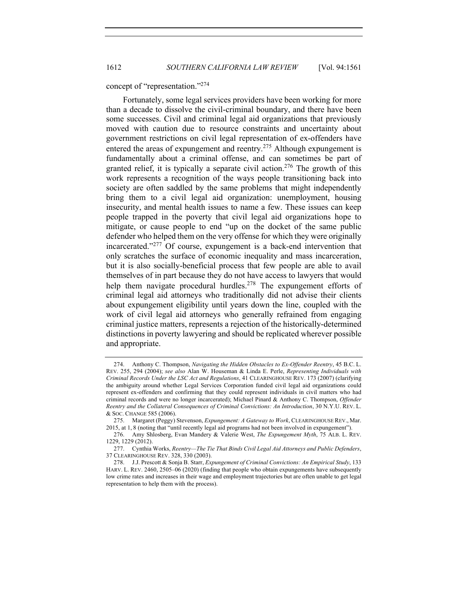concept of "representation."<sup>274</sup>

Fortunately, some legal services providers have been working for more than a decade to dissolve the civil-criminal boundary, and there have been some successes. Civil and criminal legal aid organizations that previously moved with caution due to resource constraints and uncertainty about government restrictions on civil legal representation of ex-offenders have entered the areas of expungement and reentry.<sup>275</sup> Although expungement is fundamentally about a criminal offense, and can sometimes be part of granted relief, it is typically a separate civil action.<sup>276</sup> The growth of this work represents a recognition of the ways people transitioning back into society are often saddled by the same problems that might independently bring them to a civil legal aid organization: unemployment, housing insecurity, and mental health issues to name a few. These issues can keep people trapped in the poverty that civil legal aid organizations hope to mitigate, or cause people to end "up on the docket of the same public defender who helped them on the very offense for which they were originally incarcerated."<sup>277</sup> Of course, expungement is a back-end intervention that only scratches the surface of economic inequality and mass incarceration, but it is also socially-beneficial process that few people are able to avail themselves of in part because they do not have access to lawyers that would help them navigate procedural hurdles.<sup>278</sup> The expungement efforts of criminal legal aid attorneys who traditionally did not advise their clients about expungement eligibility until years down the line, coupled with the work of civil legal aid attorneys who generally refrained from engaging criminal justice matters, represents a rejection of the historically-determined distinctions in poverty lawyering and should be replicated wherever possible and appropriate.

<sup>274.</sup> Anthony C. Thompson, *Navigating the Hidden Obstacles to Ex-Offender Reentry*, 45 B.C. L. REV. 255, 294 (2004); *see also* Alan W. Houseman & Linda E. Perle, *Representing Individuals with Criminal Records Under the LSC Act and Regulations*, 41 CLEARINGHOUSE REV. 173 (2007) (clarifying the ambiguity around whether Legal Services Corporation funded civil legal aid organizations could represent ex-offenders and confirming that they could represent individuals in civil matters who had criminal records and were no longer incarcerated); Michael Pinard & Anthony C. Thompson, *Offender Reentry and the Collateral Consequences of Criminal Convictions: An Introduction*, 30 N.Y.U. REV. L. & SOC. CHANGE 585 (2006).

<sup>275.</sup> Margaret (Peggy) Stevenson, *Expungement: A Gateway to Work*, CLEARINGHOUSE REV., Mar. 2015, at 1, 8 (noting that "until recently legal aid programs had not been involved in expungement").

<sup>276.</sup> Amy Shlosberg, Evan Mandery & Valerie West, *The Expungement Myth*, 75 ALB. L. REV. 1229, 1229 (2012).

<sup>277.</sup> Cynthia Works, *Reentry—The Tie That Binds Civil Legal Aid Attorneys and Public Defenders*, 37 CLEARINGHOUSE REV. 328, 330 (2003).

<sup>278.</sup> J.J. Prescott & Sonja B. Starr, *Expungement of Criminal Convictions: An Empirical Study*, 133 HARV. L. REV. 2460, 2505–06 (2020) (finding that people who obtain expungements have subsequently low crime rates and increases in their wage and employment trajectories but are often unable to get legal representation to help them with the process).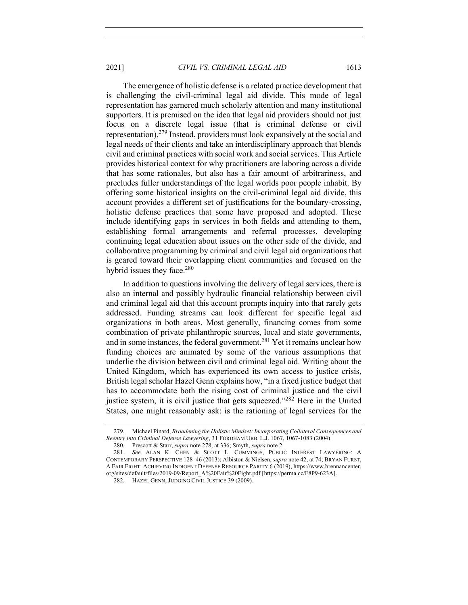2021] *CIVIL VS. CRIMINAL LEGAL AID* 1613

The emergence of holistic defense is a related practice development that is challenging the civil-criminal legal aid divide. This mode of legal representation has garnered much scholarly attention and many institutional supporters. It is premised on the idea that legal aid providers should not just focus on a discrete legal issue (that is criminal defense or civil representation).279 Instead, providers must look expansively at the social and legal needs of their clients and take an interdisciplinary approach that blends civil and criminal practices with social work and social services. This Article provides historical context for why practitioners are laboring across a divide that has some rationales, but also has a fair amount of arbitrariness, and precludes fuller understandings of the legal worlds poor people inhabit. By offering some historical insights on the civil-criminal legal aid divide, this account provides a different set of justifications for the boundary-crossing, holistic defense practices that some have proposed and adopted. These include identifying gaps in services in both fields and attending to them, establishing formal arrangements and referral processes, developing continuing legal education about issues on the other side of the divide, and collaborative programming by criminal and civil legal aid organizations that is geared toward their overlapping client communities and focused on the hybrid issues they face.<sup>280</sup>

In addition to questions involving the delivery of legal services, there is also an internal and possibly hydraulic financial relationship between civil and criminal legal aid that this account prompts inquiry into that rarely gets addressed. Funding streams can look different for specific legal aid organizations in both areas. Most generally, financing comes from some combination of private philanthropic sources, local and state governments, and in some instances, the federal government.<sup>281</sup> Yet it remains unclear how funding choices are animated by some of the various assumptions that underlie the division between civil and criminal legal aid. Writing about the United Kingdom, which has experienced its own access to justice crisis, British legal scholar Hazel Genn explains how, "in a fixed justice budget that has to accommodate both the rising cost of criminal justice and the civil justice system, it is civil justice that gets squeezed."<sup>282</sup> Here in the United States, one might reasonably ask: is the rationing of legal services for the

<sup>279.</sup> Michael Pinard, *Broadening the Holistic Mindset: Incorporating Collateral Consequences and Reentry into Criminal Defense Lawyering*, 31 FORDHAM URB. L.J. 1067, 1067-1083 (2004).

<sup>280.</sup> Prescott & Starr, *supra* note 278, at 336; Smyth, *supra* note 2.

<sup>281</sup>*. See* ALAN K. CHEN & SCOTT L. CUMMINGS, PUBLIC INTEREST LAWYERING: A CONTEMPORARY PERSPECTIVE 128–46 (2013); Albiston & Nielsen, *supra* note 42, at 74; BRYAN FURST, A FAIR FIGHT: ACHIEVING INDIGENT DEFENSE RESOURCE PARITY 6 (2019), https://www.brennancenter. org/sites/default/files/2019-09/Report\_A%20Fair%20Fight.pdf [https://perma.cc/F8P9-623A].

<sup>282.</sup> HAZEL GENN, JUDGING CIVIL JUSTICE 39 (2009).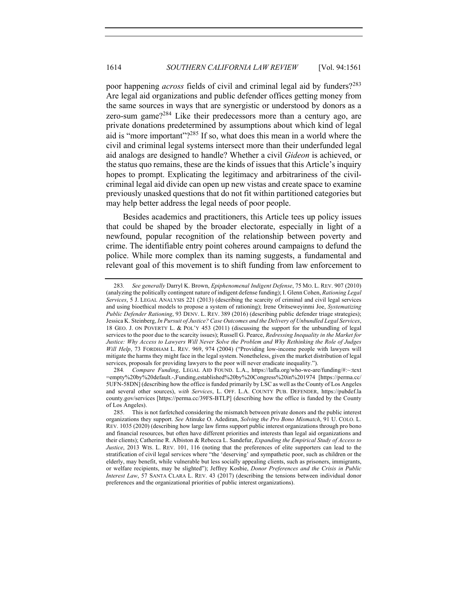poor happening *across* fields of civil and criminal legal aid by funders?<sup>283</sup> Are legal aid organizations and public defender offices getting money from the same sources in ways that are synergistic or understood by donors as a zero-sum game?<sup>284</sup> Like their predecessors more than a century ago, are private donations predetermined by assumptions about which kind of legal aid is "more important"?<sup>285</sup> If so, what does this mean in a world where the civil and criminal legal systems intersect more than their underfunded legal aid analogs are designed to handle? Whether a civil *Gideon* is achieved, or the status quo remains, these are the kinds of issues that this Article's inquiry hopes to prompt. Explicating the legitimacy and arbitrariness of the civilcriminal legal aid divide can open up new vistas and create space to examine previously unasked questions that do not fit within partitioned categories but may help better address the legal needs of poor people.

Besides academics and practitioners, this Article tees up policy issues that could be shaped by the broader electorate, especially in light of a newfound, popular recognition of the relationship between poverty and crime. The identifiable entry point coheres around campaigns to defund the police. While more complex than its naming suggests, a fundamental and relevant goal of this movement is to shift funding from law enforcement to

<sup>283</sup>*. See generally* Darryl K. Brown, *Epiphenomenal Indigent Defense*, 75 MO. L. REV. 907 (2010) (analyzing the politically contingent nature of indigent defense funding); I. Glenn Cohen, *Rationing Legal Services*, 5 J. LEGAL ANALYSIS 221 (2013) (describing the scarcity of criminal and civil legal services and using bioethical models to propose a system of rationing); Irene Oritseweyinmi Joe, *Systematizing Public Defender Rationing*, 93 DENV. L. REV. 389 (2016) (describing public defender triage strategies); Jessica K. Steinberg, *In Pursuit of Justice? Case Outcomes and the Delivery of Unbundled Legal Services*, 18 GEO. J. ON POVERTY L. & POL'Y 453 (2011) (discussing the support for the unbundling of legal services to the poor due to the scarcity issues); Russell G. Pearce, *Redressing Inequality in the Market for Justice: Why Access to Lawyers Will Never Solve the Problem and Why Rethinking the Role of Judges Will Help*, 73 FORDHAM L. REV. 969, 974 (2004) ("Providing low-income people with lawyers will mitigate the harms they might face in the legal system. Nonetheless, given the market distribution of legal services, proposals for providing lawyers to the poor will never eradicate inequality.").

<sup>284</sup>*. Compare Funding*, LEGAL AID FOUND. L.A., https://lafla.org/who-we-are/funding/#:~:text =empty%20by%20default.-,Funding,established%20by%20Congress%20in%201974 [https://perma.cc/ 5UFN-58DN] (describing how the office is funded primarily by LSC as well as the County of Los Angeles and several other sources), *with Services*, L. OFF. L.A. COUNTY PUB. DEFENDER, https://pubdef.la county.gov/services [https://perma.cc/39FS-BTLP] (describing how the office is funded by the County of Los Angeles).

<sup>285.</sup> This is not farfetched considering the mismatch between private donors and the public interest organizations they support. *See* Atinuke O. Adediran, *Solving the Pro Bono Mismatch*, 91 U. COLO. L. REV. 1035 (2020) (describing how large law firms support public interest organizations through pro bono and financial resources, but often have different priorities and interests than legal aid organizations and their clients); Catherine R. Albiston & Rebecca L. Sandefur, *Expanding the Empirical Study of Access to Justice*, 2013 WIS. L. REV. 101, 116 (noting that the preferences of elite supporters can lead to the stratification of civil legal services where "the 'deserving' and sympathetic poor, such as children or the elderly, may benefit, while vulnerable but less socially appealing clients, such as prisoners, immigrants, or welfare recipients, may be slighted"); Jeffrey Kosbie, *Donor Preferences and the Crisis in Public Interest Law*, 57 SANTA CLARA L. REV. 43 (2017) (describing the tensions between individual donor preferences and the organizational priorities of public interest organizations).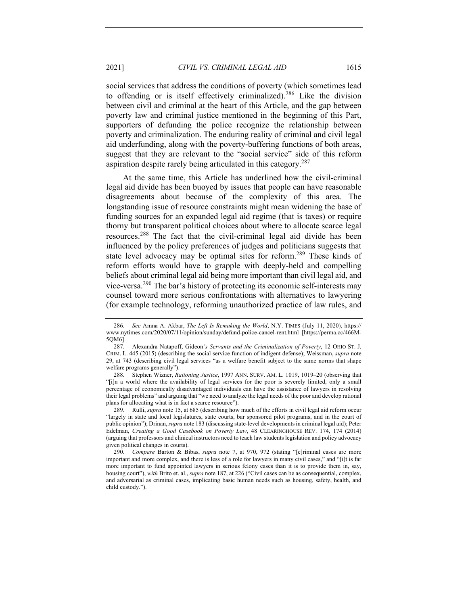2021] *CIVIL VS. CRIMINAL LEGAL AID* 1615

social services that address the conditions of poverty (which sometimes lead to offending or is itself effectively criminalized).<sup>286</sup> Like the division between civil and criminal at the heart of this Article, and the gap between poverty law and criminal justice mentioned in the beginning of this Part, supporters of defunding the police recognize the relationship between poverty and criminalization. The enduring reality of criminal and civil legal aid underfunding, along with the poverty-buffering functions of both areas, suggest that they are relevant to the "social service" side of this reform aspiration despite rarely being articulated in this category.287

At the same time, this Article has underlined how the civil-criminal legal aid divide has been buoyed by issues that people can have reasonable disagreements about because of the complexity of this area. The longstanding issue of resource constraints might mean widening the base of funding sources for an expanded legal aid regime (that is taxes) or require thorny but transparent political choices about where to allocate scarce legal resources.<sup>288</sup> The fact that the civil-criminal legal aid divide has been influenced by the policy preferences of judges and politicians suggests that state level advocacy may be optimal sites for reform.<sup>289</sup> These kinds of reform efforts would have to grapple with deeply-held and compelling beliefs about criminal legal aid being more important than civil legal aid, and vice-versa.<sup>290</sup> The bar's history of protecting its economic self-interests may counsel toward more serious confrontations with alternatives to lawyering (for example technology, reforming unauthorized practice of law rules, and

<sup>286</sup>*. See* Amna A. Akbar, *The Left Is Remaking the World*, N.Y. TIMES (July 11, 2020), https:// www.nytimes.com/2020/07/11/opinion/sunday/defund-police-cancel-rent.html [https://perma.cc/466M-5QM6].

<sup>287.</sup> Alexandra Natapoff, Gideon*'s Servants and the Criminalization of Poverty*, 12 OHIO ST. J. CRIM. L. 445 (2015) (describing the social service function of indigent defense); Weissman, *supra* note 29, at 743 (describing civil legal services "as a welfare benefit subject to the same norms that shape welfare programs generally").

<sup>288.</sup> Stephen Wizner, *Rationing Justice*, 1997 ANN. SURV. AM. L. 1019, 1019–20 (observing that "[i]n a world where the availability of legal services for the poor is severely limited, only a small percentage of economically disadvantaged individuals can have the assistance of lawyers in resolving their legal problems" and arguing that "we need to analyze the legal needs of the poor and develop rational plans for allocating what is in fact a scarce resource").

<sup>289.</sup> Rulli, *supra* note 15, at 685 (describing how much of the efforts in civil legal aid reform occur "largely in state and local legislatures, state courts, bar sponsored pilot programs, and in the court of public opinion"); Drinan, *supra* note 183 (discussing state-level developments in criminal legal aid); Peter Edelman, *Creating a Good Casebook on Poverty Law*, 48 CLEARINGHOUSE REV. 174, 174 (2014) (arguing that professors and clinical instructors need to teach law students legislation and policy advocacy given political changes in courts).

<sup>290</sup>*. Compare* Barton & Bibas, *supra* note 7, at 970, 972 (stating "[c]riminal cases are more important and more complex, and there is less of a role for lawyers in many civil cases," and "[i]t is far more important to fund appointed lawyers in serious felony cases than it is to provide them in, say, housing court"), *with* Brito et. al., *supra* note 187, at 226 ("Civil cases can be as consequential, complex, and adversarial as criminal cases, implicating basic human needs such as housing, safety, health, and child custody.").